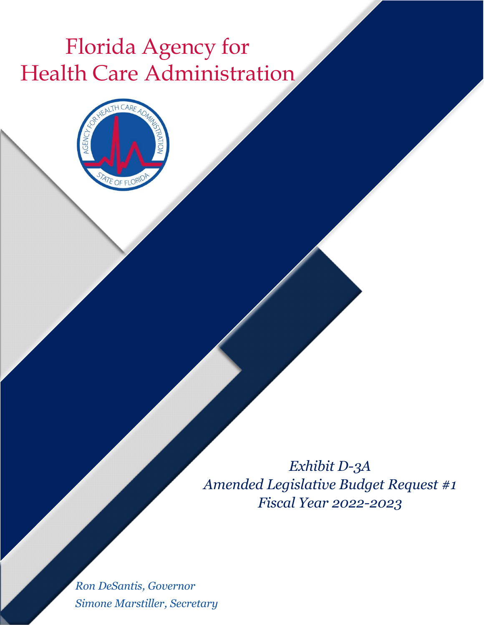## Florida Agency for Health Care Administration



*Exhibit D-3A Amended Legislative Budget Request #1 Fiscal Year 2022-2023*

*Ron DeSantis, Governor Simone Marstiller, Secretary*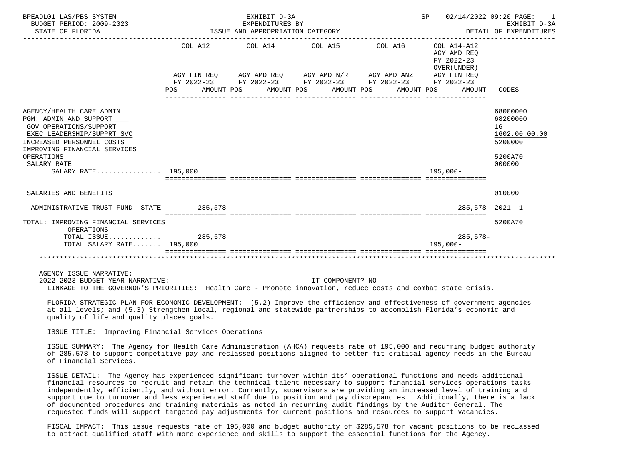| BPEADL01 LAS/PBS SYSTEM<br>BUDGET PERIOD: 2009-2023<br>STATE OF FLORIDA                                                                                                                                                                                                                                                                                                                                                                                                                                                                                                                                                                                                                                                                     |                   | EXHIBIT D-3A<br>EXPENDITURES BY<br>ISSUE AND APPROPRIATION CATEGORY |                  | SP 02/14/2022 09:20 PAGE:                                                                                                                                   | 1<br>EXHIBIT D-3A<br>DETAIL OF EXPENDITURES                                                    |                                                                             |
|---------------------------------------------------------------------------------------------------------------------------------------------------------------------------------------------------------------------------------------------------------------------------------------------------------------------------------------------------------------------------------------------------------------------------------------------------------------------------------------------------------------------------------------------------------------------------------------------------------------------------------------------------------------------------------------------------------------------------------------------|-------------------|---------------------------------------------------------------------|------------------|-------------------------------------------------------------------------------------------------------------------------------------------------------------|------------------------------------------------------------------------------------------------|-----------------------------------------------------------------------------|
|                                                                                                                                                                                                                                                                                                                                                                                                                                                                                                                                                                                                                                                                                                                                             | AMOUNT POS<br>POS |                                                                     | AMOUNT POS       | COL A12 COL A14 COL A15 COL A16<br>AGY FIN REQ AGY AMD REQ AGY AMD N/R AGY AMD ANZ AGY FIN REQ<br>FY 2022-23 FY 2022-23 FY 2022-23 FY 2022-23<br>AMOUNT POS | COL A14-A12<br>AGY AMD REQ<br>FY 2022-23<br>OVER (UNDER)<br>FY 2022-23<br>AMOUNT POS<br>AMOUNT | CODES                                                                       |
| AGENCY/HEALTH CARE ADMIN<br>PGM: ADMIN AND SUPPORT<br><b>GOV OPERATIONS/SUPPORT</b><br>EXEC LEADERSHIP/SUPPRT SVC<br>INCREASED PERSONNEL COSTS<br>IMPROVING FINANCIAL SERVICES<br>OPERATIONS<br>SALARY RATE<br>SALARY RATE 195,000                                                                                                                                                                                                                                                                                                                                                                                                                                                                                                          |                   |                                                                     |                  |                                                                                                                                                             | $195,000-$                                                                                     | 68000000<br>68200000<br>16<br>1602.00.00.00<br>5200000<br>5200A70<br>000000 |
| SALARIES AND BENEFITS                                                                                                                                                                                                                                                                                                                                                                                                                                                                                                                                                                                                                                                                                                                       |                   |                                                                     |                  |                                                                                                                                                             |                                                                                                | 010000                                                                      |
| ADMINISTRATIVE TRUST FUND -STATE 285,578                                                                                                                                                                                                                                                                                                                                                                                                                                                                                                                                                                                                                                                                                                    |                   |                                                                     |                  |                                                                                                                                                             | 285,578-2021 1                                                                                 |                                                                             |
| TOTAL: IMPROVING FINANCIAL SERVICES<br>OPERATIONS<br>TOTAL ISSUE 285,578<br>TOTAL SALARY RATE 195,000                                                                                                                                                                                                                                                                                                                                                                                                                                                                                                                                                                                                                                       |                   |                                                                     |                  |                                                                                                                                                             | $285,578-$<br>$195.000 -$                                                                      | 5200A70                                                                     |
| AGENCY ISSUE NARRATIVE:<br>2022-2023 BUDGET YEAR NARRATIVE:<br>LINKAGE TO THE GOVERNOR'S PRIORITIES: Health Care - Promote innovation, reduce costs and combat state crisis.                                                                                                                                                                                                                                                                                                                                                                                                                                                                                                                                                                |                   |                                                                     | IT COMPONENT? NO |                                                                                                                                                             |                                                                                                |                                                                             |
| FLORIDA STRATEGIC PLAN FOR ECONOMIC DEVELOPMENT: (5.2) Improve the efficiency and effectiveness of government agencies<br>at all levels; and (5.3) Strengthen local, regional and statewide partnerships to accomplish Florida's economic and<br>quality of life and quality places goals.                                                                                                                                                                                                                                                                                                                                                                                                                                                  |                   |                                                                     |                  |                                                                                                                                                             |                                                                                                |                                                                             |
| ISSUE TITLE: Improving Financial Services Operations                                                                                                                                                                                                                                                                                                                                                                                                                                                                                                                                                                                                                                                                                        |                   |                                                                     |                  |                                                                                                                                                             |                                                                                                |                                                                             |
| ISSUE SUMMARY: The Agency for Health Care Administration (AHCA) requests rate of 195,000 and recurring budget authority<br>of 285,578 to support competitive pay and reclassed positions aligned to better fit critical agency needs in the Bureau<br>of Financial Services.                                                                                                                                                                                                                                                                                                                                                                                                                                                                |                   |                                                                     |                  |                                                                                                                                                             |                                                                                                |                                                                             |
| ISSUE DETAIL: The Agency has experienced significant turnover within its' operational functions and needs additional<br>financial resources to recruit and retain the technical talent necessary to support financial services operations tasks<br>independently, efficiently, and without error. Currently, supervisors are providing an increased level of training and<br>support due to turnover and less experienced staff due to position and pay discrepancies. Additionally, there is a lack<br>of documented procedures and training materials as noted in recurring audit findings by the Auditor General. The<br>requested funds will support targeted pay adjustments for current positions and resources to support vacancies. |                   |                                                                     |                  |                                                                                                                                                             |                                                                                                |                                                                             |
| FISCAL IMPACT: This issue requests rate of 195,000 and budget authority of \$285,578 for vacant positions to be reclassed<br>to attract qualified staff with more experience and skills to support the essential functions for the Agency.                                                                                                                                                                                                                                                                                                                                                                                                                                                                                                  |                   |                                                                     |                  |                                                                                                                                                             |                                                                                                |                                                                             |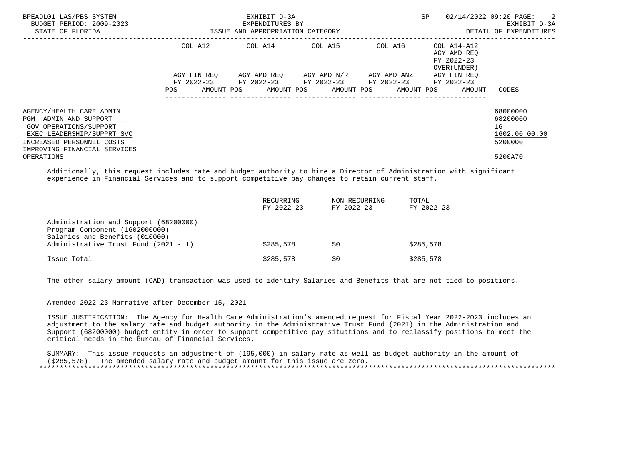| BPEADL01 LAS/PBS SYSTEM<br>BUDGET PERIOD: 2009-2023<br>STATE OF FLORIDA                                                                                                 | ISSUE AND APPROPRIATION CATEGORY | EXHIBIT D-3A<br>EXPENDITURES BY                                                                                                               |  | SP      | 02/14/2022 09:20 PAGE: 2<br>EXHIBIT D-3A<br>DETAIL OF EXPENDITURES |                                                        |
|-------------------------------------------------------------------------------------------------------------------------------------------------------------------------|----------------------------------|-----------------------------------------------------------------------------------------------------------------------------------------------|--|---------|--------------------------------------------------------------------|--------------------------------------------------------|
|                                                                                                                                                                         | COL A12                          | COL A14 COL A15                                                                                                                               |  | COL A16 | COL A14-A12<br>AGY AMD REO<br>FY 2022-23<br>OVER (UNDER)           |                                                        |
|                                                                                                                                                                         | <b>POS</b>                       | AGY FIN REQ AGY AMD REQ AGY AMD N/R AGY AMD ANZ<br>FY 2022-23 FY 2022-23 FY 2022-23 FY 2022-23<br>AMOUNT POS AMOUNT POS AMOUNT POS AMOUNT POS |  |         | AGY FIN REO<br>FY 2022-23<br>AMOUNT                                | CODES                                                  |
| AGENCY/HEALTH CARE ADMIN<br>PGM: ADMIN AND SUPPORT<br>GOV OPERATIONS/SUPPORT<br>EXEC LEADERSHIP/SUPPRT SVC<br>INCREASED PERSONNEL COSTS<br>IMPROVING FINANCIAL SERVICES |                                  |                                                                                                                                               |  |         |                                                                    | 68000000<br>68200000<br>16<br>1602.00.00.00<br>5200000 |
| OPERATIONS                                                                                                                                                              |                                  |                                                                                                                                               |  |         |                                                                    | 5200A70                                                |

 Additionally, this request includes rate and budget authority to hire a Director of Administration with significant experience in Financial Services and to support competitive pay changes to retain current staff.

|                                                                                                           | RECURRING<br>FY 2022-23 | NON-RECURRING<br>FY 2022-23 | TOTAL<br>FY 2022-23 |
|-----------------------------------------------------------------------------------------------------------|-------------------------|-----------------------------|---------------------|
| Administration and Support (68200000)<br>Program Component (1602000000)<br>Salaries and Benefits (010000) |                         |                             |                     |
| Administrative Trust Fund (2021 - 1)                                                                      | \$285,578               | S0                          | \$285,578           |
| Issue Total                                                                                               | \$285,578               | S0                          | \$285,578           |

The other salary amount (OAD) transaction was used to identify Salaries and Benefits that are not tied to positions.

Amended 2022-23 Narrative after December 15, 2021

 ISSUE JUSTIFICATION: The Agency for Health Care Administration's amended request for Fiscal Year 2022-2023 includes an adjustment to the salary rate and budget authority in the Administrative Trust Fund (2021) in the Administration and Support (68200000) budget entity in order to support competitive pay situations and to reclassify positions to meet the critical needs in the Bureau of Financial Services.

 SUMMARY: This issue requests an adjustment of (195,000) in salary rate as well as budget authority in the amount of (\$285,578). The amended salary rate and budget amount for this issue are zero. \*\*\*\*\*\*\*\*\*\*\*\*\*\*\*\*\*\*\*\*\*\*\*\*\*\*\*\*\*\*\*\*\*\*\*\*\*\*\*\*\*\*\*\*\*\*\*\*\*\*\*\*\*\*\*\*\*\*\*\*\*\*\*\*\*\*\*\*\*\*\*\*\*\*\*\*\*\*\*\*\*\*\*\*\*\*\*\*\*\*\*\*\*\*\*\*\*\*\*\*\*\*\*\*\*\*\*\*\*\*\*\*\*\*\*\*\*\*\*\*\*\*\*\*\*\*\*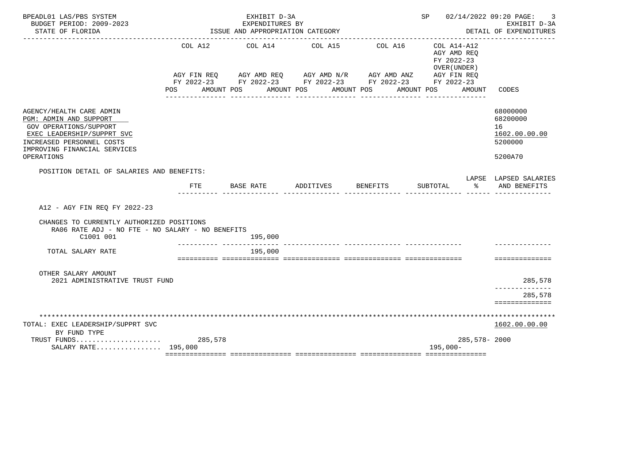| BPEADL01 LAS/PBS SYSTEM<br>BUDGET PERIOD: 2009-2023<br>STATE OF FLORIDA                                                                                                               |                    | EXHIBIT D-3A<br>EXPENDITURES BY<br>ISSUE AND APPROPRIATION CATEGORY                                     |                    |                                                                             | SP 02/14/2022 09:20 PAGE:                                          | 3<br>EXHIBIT D-3A<br>DETAIL OF EXPENDITURES                       |
|---------------------------------------------------------------------------------------------------------------------------------------------------------------------------------------|--------------------|---------------------------------------------------------------------------------------------------------|--------------------|-----------------------------------------------------------------------------|--------------------------------------------------------------------|-------------------------------------------------------------------|
|                                                                                                                                                                                       | AGY FIN REO<br>POS | COL A12 COL A14 COL A15 COL A16<br>FY 2022-23 FY 2022-23 FY 2022-23 FY 2022-23 FY 2022-23<br>AMOUNT POS | AMOUNT POS         | AGY AMD REQ AGY AMD N/R AGY AMD ANZ AGY FIN REQ<br>AMOUNT POS<br>AMOUNT POS | COL A14-A12<br>AGY AMD REO<br>FY 2022-23<br>OVER (UNDER)<br>AMOUNT | CODES                                                             |
| AGENCY/HEALTH CARE ADMIN<br>PGM: ADMIN AND SUPPORT<br>GOV OPERATIONS/SUPPORT<br>EXEC LEADERSHIP/SUPPRT SVC<br>INCREASED PERSONNEL COSTS<br>IMPROVING FINANCIAL SERVICES<br>OPERATIONS |                    |                                                                                                         |                    |                                                                             |                                                                    | 68000000<br>68200000<br>16<br>1602.00.00.00<br>5200000<br>5200A70 |
| POSITION DETAIL OF SALARIES AND BENEFITS:                                                                                                                                             |                    |                                                                                                         |                    |                                                                             |                                                                    | LAPSE LAPSED SALARIES                                             |
|                                                                                                                                                                                       | FTE                | <b>BASE RATE</b>                                                                                        | ADDITIVES BENEFITS |                                                                             | SUBTOTAL<br>ႜႂ                                                     | AND BENEFITS                                                      |
| A12 - AGY FIN REQ FY 2022-23<br>CHANGES TO CURRENTLY AUTHORIZED POSITIONS<br>RA06 RATE ADJ - NO FTE - NO SALARY - NO BENEFITS                                                         |                    |                                                                                                         |                    |                                                                             |                                                                    |                                                                   |
| C1001 001                                                                                                                                                                             |                    | 195,000                                                                                                 |                    |                                                                             |                                                                    |                                                                   |
| TOTAL SALARY RATE                                                                                                                                                                     |                    | 195,000                                                                                                 |                    |                                                                             |                                                                    |                                                                   |
|                                                                                                                                                                                       |                    |                                                                                                         |                    |                                                                             |                                                                    | ==============                                                    |
| OTHER SALARY AMOUNT<br>2021 ADMINISTRATIVE TRUST FUND                                                                                                                                 |                    |                                                                                                         |                    |                                                                             |                                                                    | 285,578                                                           |
|                                                                                                                                                                                       |                    |                                                                                                         |                    |                                                                             |                                                                    | 285,578<br>==============                                         |
|                                                                                                                                                                                       |                    |                                                                                                         |                    |                                                                             |                                                                    |                                                                   |
| TOTAL: EXEC LEADERSHIP/SUPPRT SVC<br>BY FUND TYPE                                                                                                                                     |                    |                                                                                                         |                    |                                                                             |                                                                    | 1602.00.00.00                                                     |
| SALARY RATE 195,000                                                                                                                                                                   |                    |                                                                                                         |                    |                                                                             | 285,578-2000<br>$195,000-$                                         |                                                                   |
|                                                                                                                                                                                       |                    |                                                                                                         |                    |                                                                             |                                                                    |                                                                   |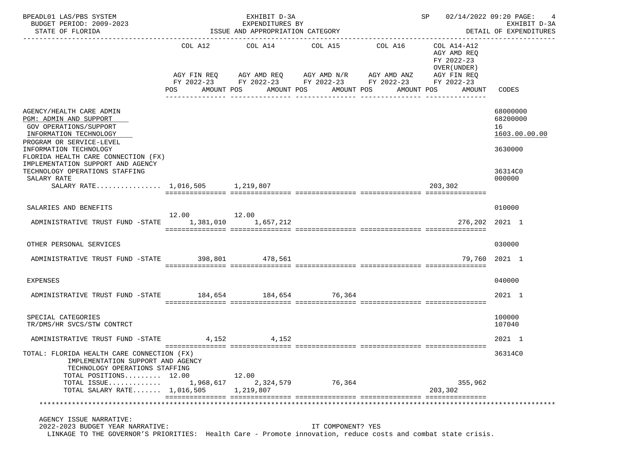| PEADL01 LAS/PBS SYSTEM FEADL01 EXHIBIT D-3A<br>BUDGET PERIOD: 2009-2023<br>STATE OF FLORIDA STATE OF STATE OF STATE OF STATE OF STATE OF STATE OF STATE OF STATE OF STATE OF STATE STATE<br>BPEADL01 LAS/PBS SYSTEM                                                                       |             |                                                     |                                                                         |                                                                                                                       | SP 02/14/2022 09:20 PAGE:                                              | EXHIBIT D-3A                                                                |  |  |  |
|-------------------------------------------------------------------------------------------------------------------------------------------------------------------------------------------------------------------------------------------------------------------------------------------|-------------|-----------------------------------------------------|-------------------------------------------------------------------------|-----------------------------------------------------------------------------------------------------------------------|------------------------------------------------------------------------|-----------------------------------------------------------------------------|--|--|--|
| STATE OF FLORIDA                                                                                                                                                                                                                                                                          |             | EXPENDITURES BY<br>ISSUE AND APPROPRIATION CATEGORY |                                                                         |                                                                                                                       | DETAIL OF EXPENDITURES                                                 |                                                                             |  |  |  |
|                                                                                                                                                                                                                                                                                           |             |                                                     | COL A12 COL A14 COL A15 COL A16<br>POS AMOUNT POS AMOUNT POS AMOUNT POS | AGY FIN REQ AGY AMD REQ AGY AMD N/R AGY AMD ANZ AGY FIN REQ<br>FY 2022-23 FY 2022-23 FY 2022-23 FY 2022-23 FY 2022-23 | COL A14-A12<br>AGY AMD REO<br>FY 2022-23<br>OVER (UNDER)<br>AMOUNT POS | AMOUNT CODES                                                                |  |  |  |
| AGENCY/HEALTH CARE ADMIN<br>PGM: ADMIN AND SUPPORT<br>GOV OPERATIONS/SUPPORT<br>INFORMATION TECHNOLOGY<br>PROGRAM OR SERVICE-LEVEL<br>INFORMATION TECHNOLOGY<br>FLORIDA HEALTH CARE CONNECTION (FX)<br>IMPLEMENTATION SUPPORT AND AGENCY<br>TECHNOLOGY OPERATIONS STAFFING<br>SALARY RATE |             |                                                     |                                                                         |                                                                                                                       |                                                                        | 68000000<br>68200000<br>16<br>1603.00.00.00<br>3630000<br>36314C0<br>000000 |  |  |  |
| SALARY RATE 1,016,505 1,219,807                                                                                                                                                                                                                                                           |             |                                                     |                                                                         |                                                                                                                       | 203,302                                                                |                                                                             |  |  |  |
| SALARIES AND BENEFITS<br>ADMINISTRATIVE TRUST FUND -STATE 1,381,010 1,657,212                                                                                                                                                                                                             | 12.00 12.00 |                                                     |                                                                         |                                                                                                                       |                                                                        | 010000<br>276,202 2021 1                                                    |  |  |  |
| OTHER PERSONAL SERVICES                                                                                                                                                                                                                                                                   |             |                                                     |                                                                         |                                                                                                                       |                                                                        | 030000                                                                      |  |  |  |
| ADMINISTRATIVE TRUST FUND -STATE 398,801 478,561                                                                                                                                                                                                                                          |             |                                                     |                                                                         |                                                                                                                       |                                                                        | 79,760 2021 1                                                               |  |  |  |
| EXPENSES                                                                                                                                                                                                                                                                                  |             |                                                     |                                                                         |                                                                                                                       |                                                                        | 040000                                                                      |  |  |  |
| ADMINISTRATIVE TRUST FUND -STATE 184,654 184,654 76,364                                                                                                                                                                                                                                   |             |                                                     |                                                                         |                                                                                                                       |                                                                        | 2021 1                                                                      |  |  |  |
| SPECIAL CATEGORIES<br>TR/DMS/HR SVCS/STW CONTRCT                                                                                                                                                                                                                                          |             |                                                     |                                                                         |                                                                                                                       |                                                                        | 100000<br>107040                                                            |  |  |  |
| ADMINISTRATIVE TRUST FUND -STATE 4,152 4,152                                                                                                                                                                                                                                              |             |                                                     |                                                                         |                                                                                                                       |                                                                        | 2021 1                                                                      |  |  |  |
| TOTAL: FLORIDA HEALTH CARE CONNECTION (FX)<br>IMPLEMENTATION SUPPORT AND AGENCY<br>TECHNOLOGY OPERATIONS STAFFING<br>TOTAL POSITIONS 12.00                                                                                                                                                |             | 12.00                                               |                                                                         |                                                                                                                       |                                                                        | 36314C0                                                                     |  |  |  |
| TOTAL ISSUE<br>TOTAL SALARY RATE $1,016,505$                                                                                                                                                                                                                                              | 1,968,617   | 2,324,579<br>1,219,807                              | 76,364                                                                  |                                                                                                                       | 355,962<br>203,302                                                     |                                                                             |  |  |  |
|                                                                                                                                                                                                                                                                                           |             |                                                     |                                                                         |                                                                                                                       |                                                                        |                                                                             |  |  |  |
| AGENCY ISSUE NARRATIVE:                                                                                                                                                                                                                                                                   |             |                                                     |                                                                         |                                                                                                                       |                                                                        |                                                                             |  |  |  |
| 2022-2023 BUDGET YEAR NARRATIVE:<br>LINKAGE TO THE GOVERNOR'S PRIORITIES: Health Care - Promote innovation, reduce costs and combat state crisis.                                                                                                                                         |             |                                                     | IT COMPONENT? YES                                                       |                                                                                                                       |                                                                        |                                                                             |  |  |  |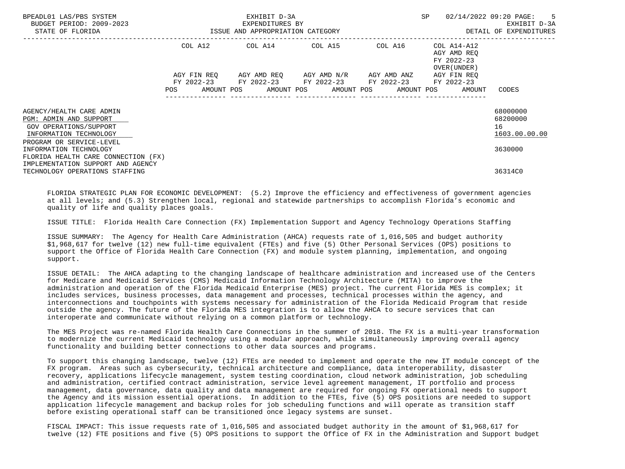| BPEADL01 LAS/PBS SYSTEM<br>BUDGET PERIOD: 2009-2023<br>STATE OF FLORIDA                                |            |  | EXHIBIT D-3A<br>EXPENDITURES BY<br>ISSUE AND APPROPRIATION CATEGORY |  |                                                                                                | SP |                                                                                                  | 02/14/2022 09:20 PAGE: 5<br>EXHIBIT D-3A<br>DETAIL OF EXPENDITURES |
|--------------------------------------------------------------------------------------------------------|------------|--|---------------------------------------------------------------------|--|------------------------------------------------------------------------------------------------|----|--------------------------------------------------------------------------------------------------|--------------------------------------------------------------------|
|                                                                                                        |            |  |                                                                     |  | COL A12 COL A14 COL A15 COL A16                                                                |    | COL A14-A12<br>AGY AMD REO<br>FY 2022-23                                                         |                                                                    |
|                                                                                                        | <b>POS</b> |  |                                                                     |  | AGY FIN REQ AGY AMD REQ AGY AMD N/R AGY AMD ANZ<br>FY 2022-23 FY 2022-23 FY 2022-23 FY 2022-23 |    | OVER (UNDER )<br>AGY FIN REO<br>FY 2022-23<br>AMOUNT POS AMOUNT POS AMOUNT POS AMOUNT POS AMOUNT | CODES                                                              |
| AGENCY/HEALTH CARE ADMIN<br>PGM: ADMIN AND SUPPORT<br>GOV OPERATIONS/SUPPORT<br>INFORMATION TECHNOLOGY |            |  |                                                                     |  |                                                                                                |    |                                                                                                  | 68000000<br>68200000<br>16<br>1603.00.00.00                        |
| PROGRAM OR SERVICE-LEVEL<br>INFORMATION TECHNOLOGY<br>FLORIDA HEALTH CARE CONNECTION (FX)              |            |  |                                                                     |  |                                                                                                |    |                                                                                                  | 3630000                                                            |
| IMPLEMENTATION SUPPORT AND AGENCY<br>TECHNOLOGY OPERATIONS STAFFING                                    |            |  |                                                                     |  |                                                                                                |    |                                                                                                  | 36314C0                                                            |

 FLORIDA STRATEGIC PLAN FOR ECONOMIC DEVELOPMENT: (5.2) Improve the efficiency and effectiveness of government agencies at all levels; and (5.3) Strengthen local, regional and statewide partnerships to accomplish Florida's economic and quality of life and quality places goals.

ISSUE TITLE: Florida Health Care Connection (FX) Implementation Support and Agency Technology Operations Staffing

 ISSUE SUMMARY: The Agency for Health Care Administration (AHCA) requests rate of 1,016,505 and budget authority \$1,968,617 for twelve (12) new full-time equivalent (FTEs) and five (5) Other Personal Services (OPS) positions to support the Office of Florida Health Care Connection (FX) and module system planning, implementation, and ongoing support.

 ISSUE DETAIL: The AHCA adapting to the changing landscape of healthcare administration and increased use of the Centers for Medicare and Medicaid Services (CMS) Medicaid Information Technology Architecture (MITA) to improve the administration and operation of the Florida Medicaid Enterprise (MES) project. The current Florida MES is complex; it includes services, business processes, data management and processes, technical processes within the agency, and interconnections and touchpoints with systems necessary for administration of the Florida Medicaid Program that reside outside the agency. The future of the Florida MES integration is to allow the AHCA to secure services that can interoperate and communicate without relying on a common platform or technology.

 The MES Project was re-named Florida Health Care Connections in the summer of 2018. The FX is a multi-year transformation to modernize the current Medicaid technology using a modular approach, while simultaneously improving overall agency functionality and building better connections to other data sources and programs.

 To support this changing landscape, twelve (12) FTEs are needed to implement and operate the new IT module concept of the FX program. Areas such as cybersecurity, technical architecture and compliance, data interoperability, disaster recovery, applications lifecycle management, system testing coordination, cloud network administration, job scheduling and administration, certified contract administration, service level agreement management, IT portfolio and process management, data governance, data quality and data management are required for ongoing FX operational needs to support the Agency and its mission essential operations. In addition to the FTEs, five (5) OPS positions are needed to support application lifecycle management and backup roles for job scheduling functions and will operate as transition staff before existing operational staff can be transitioned once legacy systems are sunset.

 FISCAL IMPACT: This issue requests rate of 1,016,505 and associated budget authority in the amount of \$1,968,617 for twelve (12) FTE positions and five (5) OPS positions to support the Office of FX in the Administration and Support budget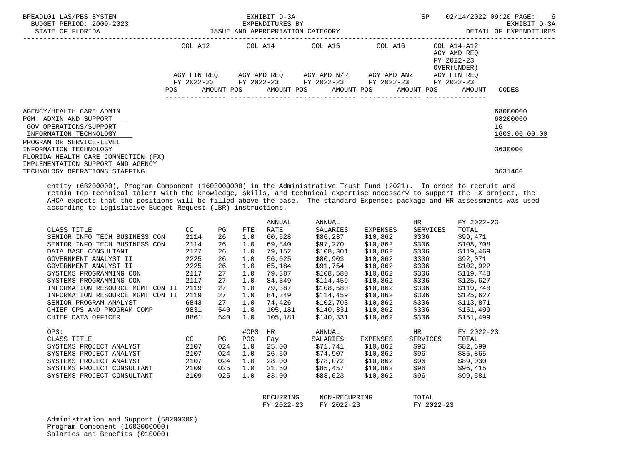| BPEADL01 LAS/PBS SYSTEM<br>BUDGET PERIOD: 2009-2023<br>STATE OF FLORIDA<br>________________________                      | EXHIBIT D-3A<br>EXPENDITURES BY<br>ISSUE AND APPROPRIATION CATEGORY                                            |            |        |                |  |                    |                                                 |       | SP                          |                                                          | 02/14/2022 09:20 PAGE: 6<br>EXHIBIT D-3A<br>DETAIL OF EXPENDITURES |
|--------------------------------------------------------------------------------------------------------------------------|----------------------------------------------------------------------------------------------------------------|------------|--------|----------------|--|--------------------|-------------------------------------------------|-------|-----------------------------|----------------------------------------------------------|--------------------------------------------------------------------|
|                                                                                                                          |                                                                                                                |            |        |                |  |                    | COL A12 COL A14 COL A15 COL A16                 |       |                             | COL A14-A12<br>AGY AMD REO<br>FY 2022-23<br>OVER (UNDER) |                                                                    |
|                                                                                                                          |                                                                                                                |            |        |                |  |                    | AGY FIN REQ AGY AMD REQ AGY AMD N/R AGY AMD ANZ |       |                             | AGY FIN REO                                              |                                                                    |
|                                                                                                                          |                                                                                                                |            |        |                |  |                    | FY 2022-23 FY 2022-23 FY 2022-23 FY 2022-23     |       |                             | FY 2022-23                                               |                                                                    |
|                                                                                                                          | POS FOR THE POST OF THE STATE STATE STATE STATE STATE STATE STATE STATE STATE STATE STATE STATE STATE STATE ST |            |        |                |  |                    | AMOUNT POS AMOUNT POS AMOUNT POS AMOUNT POS     |       |                             | AMOUNT                                                   | CODES                                                              |
|                                                                                                                          |                                                                                                                |            |        |                |  |                    |                                                 |       |                             |                                                          |                                                                    |
| AGENCY/HEALTH CARE ADMIN                                                                                                 |                                                                                                                |            |        |                |  |                    |                                                 |       |                             |                                                          | 68000000                                                           |
| PGM: ADMIN AND SUPPORT                                                                                                   |                                                                                                                |            |        |                |  |                    |                                                 |       |                             |                                                          | 68200000                                                           |
| GOV OPERATIONS/SUPPORT                                                                                                   |                                                                                                                |            |        |                |  |                    |                                                 |       |                             |                                                          | 16                                                                 |
| INFORMATION TECHNOLOGY                                                                                                   |                                                                                                                |            |        |                |  |                    |                                                 |       |                             |                                                          | 1603.00.00.00                                                      |
| PROGRAM OR SERVICE-LEVEL                                                                                                 |                                                                                                                |            |        |                |  |                    |                                                 |       |                             |                                                          |                                                                    |
| INFORMATION TECHNOLOGY                                                                                                   |                                                                                                                |            |        |                |  |                    |                                                 |       |                             |                                                          | 3630000                                                            |
| FLORIDA HEALTH CARE CONNECTION (FX)                                                                                      |                                                                                                                |            |        |                |  |                    |                                                 |       |                             |                                                          |                                                                    |
| IMPLEMENTATION SUPPORT AND AGENCY                                                                                        |                                                                                                                |            |        |                |  |                    |                                                 |       |                             |                                                          | 36314C0                                                            |
| TECHNOLOGY OPERATIONS STAFFING                                                                                           |                                                                                                                |            |        |                |  |                    |                                                 |       |                             |                                                          |                                                                    |
| entity (68200000), Program Component (1603000000) in the Administrative Trust Fund (2021). In order to recruit and       |                                                                                                                |            |        |                |  |                    |                                                 |       |                             |                                                          |                                                                    |
| retain top technical talent with the knowledge, skills, and technical expertise necessary to support the FX project, the |                                                                                                                |            |        |                |  |                    |                                                 |       |                             |                                                          |                                                                    |
| AHCA expects that the positions will be filled above the base. The standard Expenses package and HR assessments was used |                                                                                                                |            |        |                |  |                    |                                                 |       |                             |                                                          |                                                                    |
| according to Legislative Budget Request (LBR) instructions.                                                              |                                                                                                                |            |        |                |  |                    |                                                 |       |                             |                                                          |                                                                    |
|                                                                                                                          |                                                                                                                |            |        |                |  |                    |                                                 |       |                             |                                                          |                                                                    |
| CLASS TITLE                                                                                                              |                                                                                                                | CC<br>PG   | FTE    | ANNUAL<br>RATE |  | ANNUAL<br>SALARIES | EXPENSES                                        |       | HR <sub>1</sub><br>SERVICES | FY 2022-23<br>TOTAL                                      |                                                                    |
| SENIOR INFO TECH BUSINESS CON 2114                                                                                       |                                                                                                                |            | 26 1.0 |                |  |                    | 60,528 \$86,237 \$10,862 \$306                  |       |                             | \$99,471                                                 |                                                                    |
| SENIOR INFO TECH BUSINESS CON                                                                                            |                                                                                                                | 2114       | 26 1.0 |                |  |                    | 69,840 \$97,270 \$10,862 \$306 \$108,708        |       |                             |                                                          |                                                                    |
| DATA BASE CONSULTANT                                                                                                     |                                                                                                                | 2127<br>26 | 1.0    | 79.152         |  | \$108,301          | \$10,862                                        | \$306 |                             | \$119,469                                                |                                                                    |
|                                                                                                                          |                                                                                                                |            |        |                |  |                    |                                                 |       |                             |                                                          |                                                                    |

|                                     |      |     |      |         | ~ <i>~ · ·</i> ~ · <b>·</b> | ~ ~ ~ <i>,</i> ~ ~ <b>~</b> | ~~~       | ~ <del>~</del> ~ ~ <i>, ,</i> ~ ~ |
|-------------------------------------|------|-----|------|---------|-----------------------------|-----------------------------|-----------|-----------------------------------|
| DATA BASE CONSULTANT                | 2127 | 26  | 1.0  | 79,152  | \$108,301                   | \$10,862                    | \$306     | \$119,469                         |
| GOVERNMENT ANALYST II               | 2225 | 26  | 1.0  | 56,025  | \$80,903                    | \$10,862                    | \$306     | \$92,071                          |
| GOVERNMENT ANALYST II               | 2225 | 26  | 1.0  | 65,184  | \$91,754                    | \$10,862                    | \$306     | \$102,922                         |
| SYSTEMS PROGRAMMING CON             | 2117 | 27  | 1.0  | 79,387  | \$108,580                   | \$10,862                    | \$306     | \$119,748                         |
| SYSTEMS PROGRAMMING CON             | 2117 | 27  | 1.0  | 84,349  | \$114,459                   | \$10,862                    | \$306     | \$125,627                         |
| INFORMATION RESOURCE MGMT CON II    | 2119 | 27  | 1.0  | 79,387  | \$108,580                   | \$10,862                    | \$306     | \$119,748                         |
| INFORMATION RESOURCE MGMT<br>CON II | 2119 | 27  | 1.0  | 84,349  | \$114,459                   | \$10,862                    | \$306     | \$125,627                         |
| SENIOR PROGRAM ANALYST              | 6843 | 27  | 1.0  | 74,426  | \$102,703                   | \$10,862                    | \$306     | \$113,871                         |
| CHIEF OPS AND PROGRAM COMP          | 9831 | 540 | 1.0  | 105,181 | \$140,331                   | \$10,862                    | \$306     | \$151,499                         |
| CHIEF DATA OFFICER                  | 8861 | 540 | 1.0  | 105,181 | \$140,331                   | \$10,862                    | \$306     | \$151,499                         |
| OPS:                                |      |     | #OPS | HR      | ANNUAL                      |                             | <b>HR</b> | FY 2022-23                        |
| CLASS TITLE                         | CC   | PG  | POS. | Pay     | SALARIES                    | <b>EXPENSES</b>             | SERVICES  | TOTAL                             |
| SYSTEMS PROJECT ANALYST             | 2107 | 024 | 1.0  | 25.00   | \$71,741                    | \$10,862                    | \$96      | \$82,699                          |
| SYSTEMS PROJECT ANALYST             | 2107 | 024 | 1.0  | 26.50   | \$74,907                    | \$10,862                    | \$96      | \$85,865                          |
| SYSTEMS PROJECT ANALYST             | 2107 | 024 | 1.0  | 28.00   | \$78,072                    | \$10,862                    | \$96      | \$89,030                          |
| SYSTEMS PROJECT CONSULTANT          | 2109 | 025 | 1.0  | 31.50   | \$85,457                    | \$10,862                    | \$96      | \$96,415                          |
| SYSTEMS PROJECT CONSULTANT          | 2109 | 025 | 1.0  | 33.00   | \$88,623                    | \$10,862                    | \$96      | \$99,581                          |
|                                     |      |     |      |         |                             |                             |           |                                   |

| RECURRING      |
|----------------|
| 2022-23<br>FY. |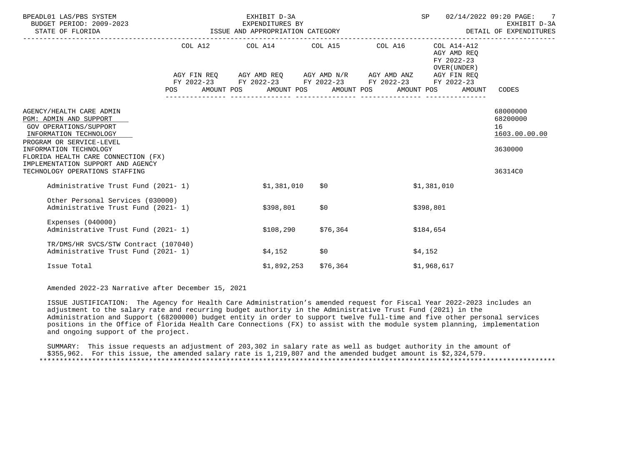| BPEADL01 LAS/PBS SYSTEM<br>BUDGET PERIOD: 2009-2023<br>EXPENDITURES BY<br>ISSUE AND APPROPRIATION CATEGORY<br>STATE OF FLORIDA                                                                                                                                             |                                                                                                                |  | EXHIBIT D-3A |                                                                                                                                                                                              |  | SP          |                                                                                  | 02/14/2022 09:20 PAGE: 7<br>EXHIBIT D-3A<br>DETAIL OF EXPENDITURES |
|----------------------------------------------------------------------------------------------------------------------------------------------------------------------------------------------------------------------------------------------------------------------------|----------------------------------------------------------------------------------------------------------------|--|--------------|----------------------------------------------------------------------------------------------------------------------------------------------------------------------------------------------|--|-------------|----------------------------------------------------------------------------------|--------------------------------------------------------------------|
|                                                                                                                                                                                                                                                                            | POS FOR THE POST OF THE STATE STATE STATE STATE STATE STATE STATE STATE STATE STATE STATE STATE STATE STATE ST |  |              | COL A12 COL A14 COL A15 COL A16<br>AGY FIN REQ AGY AMD REQ AGY AMD N/R AGY AMD ANZ AGY FIN REQ<br>FY 2022-23 FY 2022-23 FY 2022-23 FY 2022-23<br>AMOUNT POS AMOUNT POS AMOUNT POS AMOUNT POS |  |             | COL A14-A12<br>AGY AMD REO<br>FY 2022-23<br>OVER (UNDER)<br>FY 2022-23<br>AMOUNT | CODES                                                              |
| AGENCY/HEALTH CARE ADMIN<br>PGM: ADMIN AND SUPPORT<br>GOV OPERATIONS/SUPPORT<br>INFORMATION TECHNOLOGY<br>PROGRAM OR SERVICE-LEVEL<br>INFORMATION TECHNOLOGY<br>FLORIDA HEALTH CARE CONNECTION (FX)<br>IMPLEMENTATION SUPPORT AND AGENCY<br>TECHNOLOGY OPERATIONS STAFFING |                                                                                                                |  |              |                                                                                                                                                                                              |  |             |                                                                                  | 68000000<br>68200000<br>16<br>1603.00.00.00<br>3630000<br>36314C0  |
| Administrative Trust Fund (2021-1)                                                                                                                                                                                                                                         |                                                                                                                |  | \$1,381,010  | S 0                                                                                                                                                                                          |  | \$1,381,010 |                                                                                  |                                                                    |
| Other Personal Services (030000)<br>Administrative Trust Fund (2021-1)                                                                                                                                                                                                     |                                                                                                                |  | \$398,801    | \$0                                                                                                                                                                                          |  | \$398,801   |                                                                                  |                                                                    |
| Expenses $(040000)$<br>Administrative Trust Fund (2021-1)                                                                                                                                                                                                                  |                                                                                                                |  | \$108,290    | \$76,364                                                                                                                                                                                     |  | \$184,654   |                                                                                  |                                                                    |
| TR/DMS/HR SVCS/STW Contract (107040)<br>Administrative Trust Fund (2021-1)                                                                                                                                                                                                 |                                                                                                                |  | \$4,152      | \$0                                                                                                                                                                                          |  | \$4,152     |                                                                                  |                                                                    |
| Issue Total                                                                                                                                                                                                                                                                |                                                                                                                |  | \$1,892,253  | \$76,364                                                                                                                                                                                     |  | \$1,968,617 |                                                                                  |                                                                    |

Amended 2022-23 Narrative after December 15, 2021

 ISSUE JUSTIFICATION: The Agency for Health Care Administration's amended request for Fiscal Year 2022-2023 includes an adjustment to the salary rate and recurring budget authority in the Administrative Trust Fund (2021) in the Administration and Support (68200000) budget entity in order to support twelve full-time and five other personal services positions in the Office of Florida Health Care Connections (FX) to assist with the module system planning, implementation and ongoing support of the project.

 SUMMARY: This issue requests an adjustment of 203,302 in salary rate as well as budget authority in the amount of \$355,962. For this issue, the amended salary rate is 1,219,807 and the amended budget amount is \$2,324,579. \*\*\*\*\*\*\*\*\*\*\*\*\*\*\*\*\*\*\*\*\*\*\*\*\*\*\*\*\*\*\*\*\*\*\*\*\*\*\*\*\*\*\*\*\*\*\*\*\*\*\*\*\*\*\*\*\*\*\*\*\*\*\*\*\*\*\*\*\*\*\*\*\*\*\*\*\*\*\*\*\*\*\*\*\*\*\*\*\*\*\*\*\*\*\*\*\*\*\*\*\*\*\*\*\*\*\*\*\*\*\*\*\*\*\*\*\*\*\*\*\*\*\*\*\*\*\*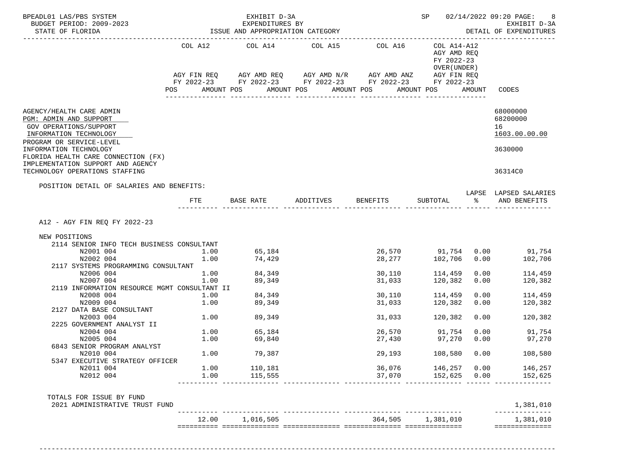| BPEADL01 LAS/PBS SYSTEM<br>BUDGET PERIOD: 2009-2023<br>STATE OF FLORIDA                                                        |            | EXHIBIT D-3A<br>EXPENDITURES BY<br>ISSUE AND APPROPRIATION CATEGORY |                                                                                                                                     |                  |                                                          |      | SP 02/14/2022 09:20 PAGE:<br>8<br>EXHIBIT D-3A<br>DETAIL OF EXPENDITURES |  |
|--------------------------------------------------------------------------------------------------------------------------------|------------|---------------------------------------------------------------------|-------------------------------------------------------------------------------------------------------------------------------------|------------------|----------------------------------------------------------|------|--------------------------------------------------------------------------|--|
| _____________________                                                                                                          |            |                                                                     | COL A12 COL A14 COL A15 COL A16                                                                                                     |                  | COL A14-A12<br>AGY AMD REO<br>FY 2022-23<br>OVER (UNDER) |      |                                                                          |  |
|                                                                                                                                | POS        | AMOUNT POS                                                          | AGY FIN REQ AGY AMD REQ AGY AMD N/R AGY AMD ANZ AGY FIN REQ<br>FY 2022-23 FY 2022-23 FY 2022-23 FY 2022-23 FY 2022-23<br>AMOUNT POS | AMOUNT POS       | AMOUNT POS                                               |      | AMOUNT CODES                                                             |  |
| AGENCY/HEALTH CARE ADMIN<br>PGM: ADMIN AND SUPPORT<br>GOV OPERATIONS/SUPPORT<br>INFORMATION TECHNOLOGY                         |            |                                                                     |                                                                                                                                     |                  |                                                          |      | 68000000<br>68200000<br>16<br>1603.00.00.00                              |  |
| PROGRAM OR SERVICE-LEVEL<br>INFORMATION TECHNOLOGY<br>FLORIDA HEALTH CARE CONNECTION (FX)<br>IMPLEMENTATION SUPPORT AND AGENCY |            |                                                                     |                                                                                                                                     |                  |                                                          |      | 3630000                                                                  |  |
| TECHNOLOGY OPERATIONS STAFFING                                                                                                 |            |                                                                     |                                                                                                                                     |                  |                                                          |      | 36314C0                                                                  |  |
| POSITION DETAIL OF SALARIES AND BENEFITS:                                                                                      | <b>FTE</b> |                                                                     | BASE RATE ADDITIVES BENEFITS                                                                                                        |                  | SUBTOTAL %                                               |      | LAPSE LAPSED SALARIES<br>AND BENEFITS                                    |  |
| A12 - AGY FIN REQ FY 2022-23                                                                                                   |            |                                                                     |                                                                                                                                     |                  |                                                          |      |                                                                          |  |
| NEW POSITIONS<br>2114 SENIOR INFO TECH BUSINESS CONSULTANT                                                                     |            |                                                                     |                                                                                                                                     |                  |                                                          |      |                                                                          |  |
| N2001 004                                                                                                                      | 1.00       | 65,184                                                              |                                                                                                                                     |                  | 26,570 91,754                                            |      | $0.00$ 91,754                                                            |  |
| N2002 004                                                                                                                      | 1.00       | 74,429                                                              |                                                                                                                                     | 28,277           | 102,706                                                  | 0.00 | 102,706                                                                  |  |
| 2117 SYSTEMS PROGRAMMING CONSULTANT                                                                                            |            |                                                                     |                                                                                                                                     |                  |                                                          |      |                                                                          |  |
| N2006 004                                                                                                                      | 1.00       | 84,349                                                              |                                                                                                                                     | 30,110           | 114,459                                                  | 0.00 | 114,459                                                                  |  |
| N2007 004                                                                                                                      | 1.00       | 89,349                                                              |                                                                                                                                     | 31,033           | 120,382                                                  | 0.00 | 120,382                                                                  |  |
| 2119 INFORMATION RESOURCE MGMT CONSULTANT II                                                                                   | 1.00       | 84,349                                                              |                                                                                                                                     |                  |                                                          | 0.00 | 114,459                                                                  |  |
| N2008 004<br>N2009 004                                                                                                         | 1.00       | 89,349                                                              |                                                                                                                                     | 30,110<br>31,033 | 114,459<br>120,382                                       | 0.00 | 120,382                                                                  |  |
| 2127 DATA BASE CONSULTANT                                                                                                      |            |                                                                     |                                                                                                                                     |                  |                                                          |      |                                                                          |  |
| N2003 004                                                                                                                      | 1.00       | 89,349                                                              |                                                                                                                                     | 31,033           | 120,382                                                  | 0.00 | 120,382                                                                  |  |
| 2225 GOVERNMENT ANALYST II                                                                                                     |            |                                                                     |                                                                                                                                     |                  |                                                          |      |                                                                          |  |
| N2004 004                                                                                                                      |            | 1.00 65,184                                                         |                                                                                                                                     |                  | 26,570 91,754                                            | 0.00 | 91,754                                                                   |  |
| N2005 004<br>6843 SENIOR PROGRAM ANALYST                                                                                       | 1.00       | 69,840                                                              |                                                                                                                                     | 27,430           | 97,270 0.00                                              |      | 97,270                                                                   |  |
| N2010 004                                                                                                                      | 1.00       | 79,387                                                              |                                                                                                                                     | 29,193           | 108,580                                                  | 0.00 | 108,580                                                                  |  |
| 5347 EXECUTIVE STRATEGY OFFICER                                                                                                |            |                                                                     |                                                                                                                                     |                  |                                                          |      |                                                                          |  |
| N2011 004                                                                                                                      | 1.00       | 110,181                                                             |                                                                                                                                     | 36,076           | 146,257                                                  | 0.00 | 146,257                                                                  |  |
| N2012 004                                                                                                                      | 1.00       | 115,555                                                             |                                                                                                                                     | 37,070           | 152,625 0.00                                             |      | 152,625                                                                  |  |
| TOTALS FOR ISSUE BY FUND<br>2021 ADMINISTRATIVE TRUST FUND                                                                     |            |                                                                     |                                                                                                                                     |                  |                                                          |      | 1,381,010                                                                |  |
|                                                                                                                                |            | 12.00 1,016,505                                                     | _________________________________                                                                                                   |                  | 364,505 1,381,010                                        |      | 1,381,010                                                                |  |
|                                                                                                                                |            |                                                                     |                                                                                                                                     |                  |                                                          |      | ==============                                                           |  |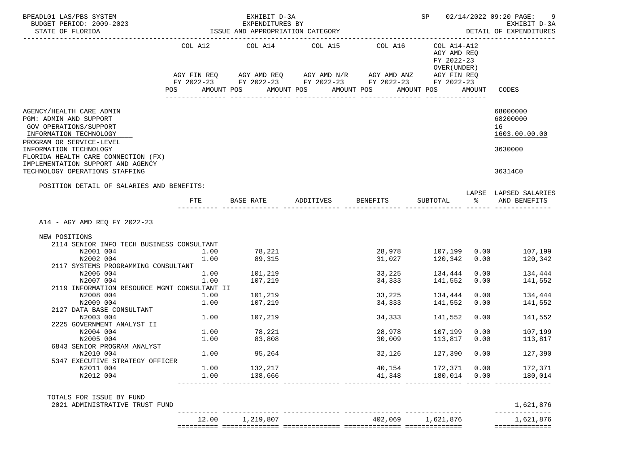| BPEADL01 LAS/PBS SYSTEM                                                                                                            |              | EXHIBIT D-3A                                        |                                                                                                                                        |                  | SP                                                                      |              | 02/14/2022 09:20 PAGE:<br>9                 |
|------------------------------------------------------------------------------------------------------------------------------------|--------------|-----------------------------------------------------|----------------------------------------------------------------------------------------------------------------------------------------|------------------|-------------------------------------------------------------------------|--------------|---------------------------------------------|
| BUDGET PERIOD: 2009-2023<br>STATE OF FLORIDA                                                                                       |              | EXPENDITURES BY<br>ISSUE AND APPROPRIATION CATEGORY |                                                                                                                                        |                  | EXHIBIT D-3A<br>DETAIL OF EXPENDITURES                                  |              |                                             |
| ----------------------                                                                                                             |              |                                                     | COL A12 COL A14 COL A15<br>AGY FIN REQ AGY AMD REQ AGY AMD $N/R$ AGY AMD ANZ<br>FY 2022-23 FY 2022-23 FY 2022-23 FY 2022-23 FY 2022-23 | COL A16          | COL A14-A12<br>AGY AMD REQ<br>FY 2022-23<br>OVER (UNDER)<br>AGY FIN REQ |              |                                             |
|                                                                                                                                    | POS          | AMOUNT POS                                          | AMOUNT POS                                                                                                                             | AMOUNT POS       | AMOUNT POS                                                              | AMOUNT       | CODES                                       |
| AGENCY/HEALTH CARE ADMIN<br>PGM: ADMIN AND SUPPORT<br>GOV OPERATIONS/SUPPORT<br>INFORMATION TECHNOLOGY<br>PROGRAM OR SERVICE-LEVEL |              |                                                     |                                                                                                                                        |                  |                                                                         |              | 68000000<br>68200000<br>16<br>1603.00.00.00 |
| INFORMATION TECHNOLOGY<br>FLORIDA HEALTH CARE CONNECTION (FX)<br>IMPLEMENTATION SUPPORT AND AGENCY                                 |              |                                                     |                                                                                                                                        |                  |                                                                         |              | 3630000                                     |
| TECHNOLOGY OPERATIONS STAFFING                                                                                                     |              |                                                     |                                                                                                                                        |                  |                                                                         |              | 36314C0                                     |
| POSITION DETAIL OF SALARIES AND BENEFITS:                                                                                          | FTE          | BASE RATE                                           | ADDITIVES BENEFITS                                                                                                                     |                  | SUBTOTAL                                                                | $rac{8}{6}$  | LAPSE LAPSED SALARIES<br>AND BENEFITS       |
| A14 - AGY AMD REQ FY 2022-23<br>NEW POSITIONS<br>2114 SENIOR INFO TECH BUSINESS CONSULTANT                                         |              |                                                     |                                                                                                                                        |                  |                                                                         |              |                                             |
| N2001 004                                                                                                                          | 1.00         | 78,221                                              |                                                                                                                                        |                  | 28,978 107,199                                                          | 0.00         | 107,199                                     |
| N2002 004<br>2117 SYSTEMS PROGRAMMING CONSULTANT                                                                                   | 1.00         | 89,315                                              |                                                                                                                                        | 31,027           | 120,342                                                                 | 0.00         | 120,342                                     |
| N2006 004                                                                                                                          | 1.00         | 101,219                                             |                                                                                                                                        |                  | 33, 225 134, 444                                                        | 0.00         | 134,444                                     |
| N2007 004                                                                                                                          | 1.00         | 107,219                                             |                                                                                                                                        | 34,333           | 141,552                                                                 | 0.00         | 141,552                                     |
| 2119 INFORMATION RESOURCE MGMT CONSULTANT II                                                                                       |              |                                                     |                                                                                                                                        |                  |                                                                         |              |                                             |
| N2008 004<br>N2009 004                                                                                                             | 1.00<br>1.00 | 101,219<br>107,219                                  |                                                                                                                                        | 33,225<br>34,333 | 134,444<br>141,552                                                      | 0.00<br>0.00 | 134,444<br>141,552                          |
| 2127 DATA BASE CONSULTANT                                                                                                          |              |                                                     |                                                                                                                                        |                  |                                                                         |              |                                             |
| N2003 004                                                                                                                          | 1.00         | 107,219                                             |                                                                                                                                        | 34,333           | 141,552                                                                 | 0.00         | 141,552                                     |
| 2225 GOVERNMENT ANALYST II                                                                                                         |              |                                                     |                                                                                                                                        |                  |                                                                         |              |                                             |
| N2004 004                                                                                                                          |              | $1.00$ 78,221                                       |                                                                                                                                        |                  | 28,978 107,199                                                          | 0.00         | 107,199                                     |
| N2005 004                                                                                                                          | 1.00         | 83,808                                              |                                                                                                                                        | 30,009           | 113,817                                                                 | 0.00         | 113,817                                     |
| 6843 SENIOR PROGRAM ANALYST                                                                                                        |              |                                                     |                                                                                                                                        |                  |                                                                         |              |                                             |
| N2010 004                                                                                                                          | 1.00         | 95,264                                              |                                                                                                                                        | 32,126           | 127,390 0.00                                                            |              | 127,390                                     |
| 5347 EXECUTIVE STRATEGY OFFICER<br>N2011 004                                                                                       | 1.00         | 132,217                                             |                                                                                                                                        | 40,154           | 172,371 0.00                                                            |              | 172,371                                     |
| N2012 004                                                                                                                          | 1.00         | 138,666                                             |                                                                                                                                        | 41,348           | 180,014 0.00                                                            |              | 180,014                                     |
| TOTALS FOR ISSUE BY FUND<br>2021 ADMINISTRATIVE TRUST FUND                                                                         |              |                                                     |                                                                                                                                        |                  |                                                                         |              | 1,621,876                                   |
|                                                                                                                                    |              | 12.00   1,219,807                                   |                                                                                                                                        |                  | 402,069 1,621,876                                                       |              | --------------<br>1,621,876                 |
|                                                                                                                                    |              |                                                     |                                                                                                                                        |                  |                                                                         |              | ==============                              |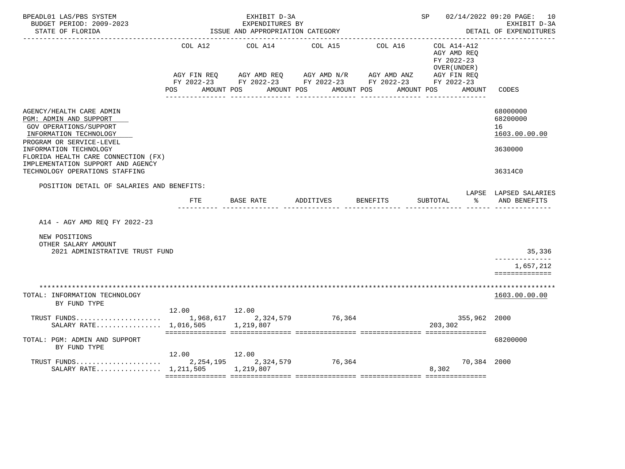| BPEADL01 LAS/PBS SYSTEM<br>BUDGET PERIOD: 2009-2023<br>STATE OF FLORIDA<br>___________________                                                                                                                                                                             |                                  | EXHIBIT D-3A<br>EXPENDITURES BY<br>ISSUE AND APPROPRIATION CATEGORY | SP 02/14/2022 09:20 PAGE: 10     | EXHIBIT D-3A<br>DETAIL OF EXPENDITURES                                                                                           |                                                                                  |                                                                   |
|----------------------------------------------------------------------------------------------------------------------------------------------------------------------------------------------------------------------------------------------------------------------------|----------------------------------|---------------------------------------------------------------------|----------------------------------|----------------------------------------------------------------------------------------------------------------------------------|----------------------------------------------------------------------------------|-------------------------------------------------------------------|
|                                                                                                                                                                                                                                                                            | COL A12<br>AMOUNT POS<br>POS FOR | COL A14                                                             | COL A15<br>AMOUNT POS AMOUNT POS | COL A16<br>AGY FIN REQ AGY AMD REQ AGY AMD N/R AGY AMD ANZ AGY FIN REQ<br>FY 2022-23 FY 2022-23 FY 2022-23 FY 2022-23 FY 2022-23 | COL A14-A12<br>AGY AMD REQ<br>FY 2022-23<br>OVER (UNDER)<br>AMOUNT POS<br>AMOUNT | CODES                                                             |
| AGENCY/HEALTH CARE ADMIN<br>PGM: ADMIN AND SUPPORT<br>GOV OPERATIONS/SUPPORT<br>INFORMATION TECHNOLOGY<br>PROGRAM OR SERVICE-LEVEL<br>INFORMATION TECHNOLOGY<br>FLORIDA HEALTH CARE CONNECTION (FX)<br>IMPLEMENTATION SUPPORT AND AGENCY<br>TECHNOLOGY OPERATIONS STAFFING |                                  |                                                                     |                                  |                                                                                                                                  |                                                                                  | 68000000<br>68200000<br>16<br>1603.00.00.00<br>3630000<br>36314C0 |
| POSITION DETAIL OF SALARIES AND BENEFITS:                                                                                                                                                                                                                                  |                                  |                                                                     |                                  |                                                                                                                                  |                                                                                  | LAPSE LAPSED SALARIES                                             |
|                                                                                                                                                                                                                                                                            | FTE                              | BASE RATE                                                           | ADDITIVES                        | BENEFITS                                                                                                                         | SUBTOTAL<br>ွေ နောက် အ                                                           | AND BENEFITS                                                      |
| A14 - AGY AMD REO FY 2022-23                                                                                                                                                                                                                                               |                                  |                                                                     |                                  |                                                                                                                                  |                                                                                  |                                                                   |
| NEW POSITIONS<br>OTHER SALARY AMOUNT<br>2021 ADMINISTRATIVE TRUST FUND                                                                                                                                                                                                     |                                  |                                                                     |                                  |                                                                                                                                  |                                                                                  | 35,336                                                            |
|                                                                                                                                                                                                                                                                            |                                  |                                                                     |                                  |                                                                                                                                  |                                                                                  | --------------<br>1,657,212<br>==============                     |
| TOTAL: INFORMATION TECHNOLOGY<br>BY FUND TYPE                                                                                                                                                                                                                              |                                  |                                                                     |                                  |                                                                                                                                  |                                                                                  | 1603.00.00.00                                                     |
| SALARY RATE 1,016,505 1,219,807                                                                                                                                                                                                                                            | 12.00 12.00                      |                                                                     |                                  |                                                                                                                                  | 355,962 2000<br>203,302                                                          |                                                                   |
| TOTAL: PGM: ADMIN AND SUPPORT<br>BY FUND TYPE                                                                                                                                                                                                                              |                                  |                                                                     |                                  |                                                                                                                                  |                                                                                  | 68200000                                                          |
| SALARY RATE 1,211,505                                                                                                                                                                                                                                                      | 12.00 12.00                      | 1,219,807                                                           |                                  |                                                                                                                                  | 70,384 2000<br>8,302                                                             |                                                                   |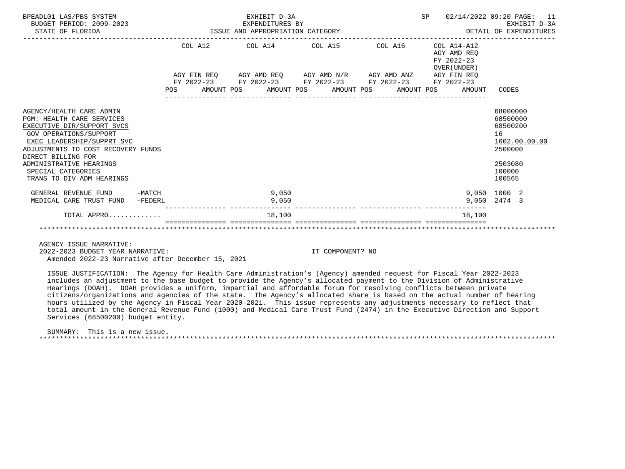| BPEADL01 LAS/PBS SYSTEM<br>BUDGET PERIOD: 2009-2023<br>STATE OF FLORIDA                                                                                                                                                                                                                      |                     | EXPENDITURES BY<br>ISSUE AND APPROPRIATION CATEGORY | EXHIBIT D-3A<br>EXPENDITURES BY |  |                                                                                                           | SP |                                                          | 02/14/2022 09:20 PAGE: 11<br>EXHIBIT D-3A<br>DETAIL OF EXPENDITURES                               |
|----------------------------------------------------------------------------------------------------------------------------------------------------------------------------------------------------------------------------------------------------------------------------------------------|---------------------|-----------------------------------------------------|---------------------------------|--|-----------------------------------------------------------------------------------------------------------|----|----------------------------------------------------------|---------------------------------------------------------------------------------------------------|
|                                                                                                                                                                                                                                                                                              |                     | COL A12 COL A14 COL A15                             |                                 |  | COL A16                                                                                                   |    | COL A14-A12<br>AGY AMD REO<br>FY 2022-23<br>OVER (UNDER) |                                                                                                   |
|                                                                                                                                                                                                                                                                                              |                     |                                                     |                                 |  | AGY FIN REQ AGY AMD REQ AGY AMD N/R AGY AMD ANZ AGY FIN REQ                                               |    |                                                          |                                                                                                   |
|                                                                                                                                                                                                                                                                                              |                     |                                                     |                                 |  | FY 2022-23 FY 2022-23 FY 2022-23 FY 2022-23 FY 2022-23<br>POS AMOUNT POS AMOUNT POS AMOUNT POS AMOUNT POS |    | AMOUNT                                                   | CODES                                                                                             |
| AGENCY/HEALTH CARE ADMIN<br><b>PGM: HEALTH CARE SERVICES</b><br>EXECUTIVE DIR/SUPPORT SVCS<br>GOV OPERATIONS/SUPPORT<br>EXEC LEADERSHIP/SUPPRT SVC<br>ADJUSTMENTS TO COST RECOVERY FUNDS<br>DIRECT BILLING FOR<br>ADMINISTRATIVE HEARINGS<br>SPECIAL CATEGORIES<br>TRANS TO DIV ADM HEARINGS |                     |                                                     |                                 |  |                                                                                                           |    |                                                          | 68000000<br>68500000<br>68500200<br>16<br>1602.00.00.00<br>2500000<br>2503080<br>100000<br>100565 |
| GENERAL REVENUE FUND<br>MEDICAL CARE TRUST FUND                                                                                                                                                                                                                                              | $-MATCH$<br>-FEDERL |                                                     | 9,050<br>9,050                  |  |                                                                                                           |    |                                                          | 9,050 1000 2<br>9,050 2474 3                                                                      |
| TOTAL APPRO                                                                                                                                                                                                                                                                                  |                     |                                                     | 18,100                          |  |                                                                                                           |    | 18,100                                                   |                                                                                                   |
|                                                                                                                                                                                                                                                                                              |                     |                                                     |                                 |  |                                                                                                           |    |                                                          |                                                                                                   |

2022-2023 BUDGET YEAR NARRATIVE: IT COMPONENT? NO

Amended 2022-23 Narrative after December 15, 2021

 ISSUE JUSTIFICATION: The Agency for Health Care Administration's (Agency) amended request for Fiscal Year 2022-2023 includes an adjustment to the base budget to provide the Agency's allocated payment to the Division of Administrative Hearings (DOAH). DOAH provides a uniform, impartial and affordable forum for resolving conflicts between private citizens/organizations and agencies of the state. The Agency's allocated share is based on the actual number of hearing hours utilized by the Agency in Fiscal Year 2020-2021. This issue represents any adjustments necessary to reflect that total amount in the General Revenue Fund (1000) and Medical Care Trust Fund (2474) in the Executive Direction and Support Services (68500200) budget entity.

 SUMMARY: This is a new issue. \*\*\*\*\*\*\*\*\*\*\*\*\*\*\*\*\*\*\*\*\*\*\*\*\*\*\*\*\*\*\*\*\*\*\*\*\*\*\*\*\*\*\*\*\*\*\*\*\*\*\*\*\*\*\*\*\*\*\*\*\*\*\*\*\*\*\*\*\*\*\*\*\*\*\*\*\*\*\*\*\*\*\*\*\*\*\*\*\*\*\*\*\*\*\*\*\*\*\*\*\*\*\*\*\*\*\*\*\*\*\*\*\*\*\*\*\*\*\*\*\*\*\*\*\*\*\*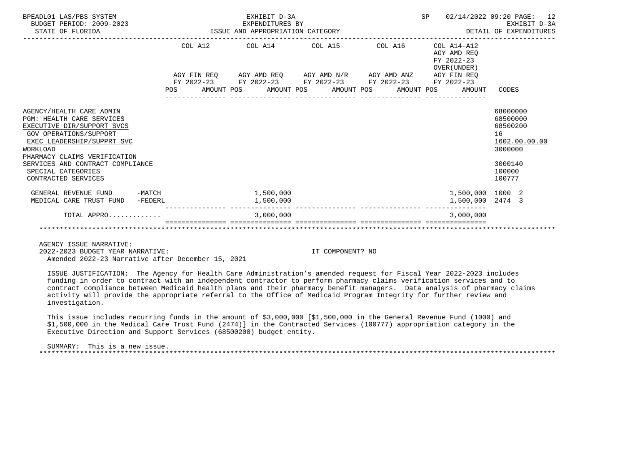| BPEADL01 LAS/PBS SYSTEM<br>BUDGET PERIOD: 2009-2023<br>STATE OF FLORIDA                                                                                                                                                                                         | EXHIBIT D-3A<br>EXPENDITURES BY<br>EXPENDITURES BY<br>ISSUE AND APPROPRIATION CATEGORY                    |  | SP                                        | 02/14/2022 09:20 PAGE: 12<br>EXHIBIT D-3A<br>DETAIL OF EXPENDITURES                     |
|-----------------------------------------------------------------------------------------------------------------------------------------------------------------------------------------------------------------------------------------------------------------|-----------------------------------------------------------------------------------------------------------|--|-------------------------------------------|-----------------------------------------------------------------------------------------|
|                                                                                                                                                                                                                                                                 | COL A12 COL A14 COL A15 COL A16 COL A14-A12                                                               |  | AGY AMD REO<br>FY 2022-23<br>OVER (UNDER) |                                                                                         |
|                                                                                                                                                                                                                                                                 | AGY FIN REQ AGY AMD REQ AGY AMD N/R AGY AMD ANZ AGY FIN REQ                                               |  |                                           |                                                                                         |
|                                                                                                                                                                                                                                                                 | FY 2022-23 FY 2022-23 FY 2022-23 FY 2022-23 FY 2022-23<br>POS AMOUNT POS AMOUNT POS AMOUNT POS AMOUNT POS |  | AMOUNT                                    | CODES                                                                                   |
| AGENCY/HEALTH CARE ADMIN<br><b>PGM: HEALTH CARE SERVICES</b><br>EXECUTIVE DIR/SUPPORT SVCS<br><b>GOV OPERATIONS/SUPPORT</b><br>EXEC LEADERSHIP/SUPPRT SVC<br>WORKLOAD<br>PHARMACY CLAIMS VERIFICATION<br>SERVICES AND CONTRACT COMPLIANCE<br>SPECIAL CATEGORIES |                                                                                                           |  |                                           | 68000000<br>68500000<br>68500200<br>16<br>1602.00.00.00<br>3000000<br>3000140<br>100000 |
| CONTRACTED SERVICES<br>GENERAL REVENUE FUND -MATCH                                                                                                                                                                                                              | 1,500,000                                                                                                 |  | 1,500,000 1000 2                          | 100777                                                                                  |
| MEDICAL CARE TRUST FUND -FEDERL                                                                                                                                                                                                                                 | 1,500,000                                                                                                 |  | 1,500,000 2474 3                          |                                                                                         |
| TOTAL APPRO                                                                                                                                                                                                                                                     | 3,000,000                                                                                                 |  | 3,000,000                                 |                                                                                         |
|                                                                                                                                                                                                                                                                 |                                                                                                           |  |                                           |                                                                                         |

2022-2023 BUDGET YEAR NARRATIVE: IT COMPONENT? NO

Amended 2022-23 Narrative after December 15, 2021

 ISSUE JUSTIFICATION: The Agency for Health Care Administration's amended request for Fiscal Year 2022-2023 includes funding in order to contract with an independent contractor to perform pharmacy claims verification services and to contract compliance between Medicaid health plans and their pharmacy benefit managers. Data analysis of pharmacy claims activity will provide the appropriate referral to the Office of Medicaid Program Integrity for further review and investigation.

 This issue includes recurring funds in the amount of \$3,000,000 [\$1,500,000 in the General Revenue Fund (1000) and \$1,500,000 in the Medical Care Trust Fund (2474)] in the Contracted Services (100777) appropriation category in the Executive Direction and Support Services (68500200) budget entity.

 SUMMARY: This is a new issue. \*\*\*\*\*\*\*\*\*\*\*\*\*\*\*\*\*\*\*\*\*\*\*\*\*\*\*\*\*\*\*\*\*\*\*\*\*\*\*\*\*\*\*\*\*\*\*\*\*\*\*\*\*\*\*\*\*\*\*\*\*\*\*\*\*\*\*\*\*\*\*\*\*\*\*\*\*\*\*\*\*\*\*\*\*\*\*\*\*\*\*\*\*\*\*\*\*\*\*\*\*\*\*\*\*\*\*\*\*\*\*\*\*\*\*\*\*\*\*\*\*\*\*\*\*\*\*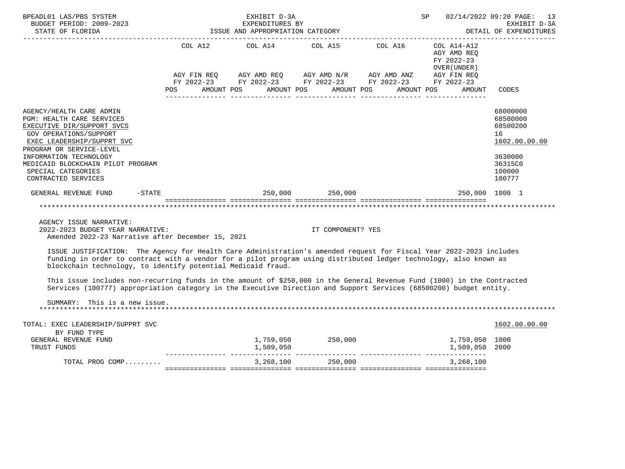| BPEADL01 LAS/PBS SYSTEM<br>EXPENDITURES BY<br>BUDGET PERIOD: 2009-2023<br>STATE OF FLORIDA STATE OF STATE OF STATE OF STATE OF STATE OF STATE OF STATE OF STATE OF STATE OF STATE OF STATE OF STATE OF STATE OF STATE OF STATE OF STATE OF STATE OF STATE OF ST<br>--------------------                  | EXHIBIT D-3A                                                                                                                                             |                   | <b>SP</b>            |                                                           | 02/14/2022 09:20 PAGE: 13<br>EXHIBIT D-3A<br>DETAIL OF EXPENDITURES |
|----------------------------------------------------------------------------------------------------------------------------------------------------------------------------------------------------------------------------------------------------------------------------------------------------------|----------------------------------------------------------------------------------------------------------------------------------------------------------|-------------------|----------------------|-----------------------------------------------------------|---------------------------------------------------------------------|
|                                                                                                                                                                                                                                                                                                          | COL A12 COL A14 COL A15 COL A16<br>AGY FIN REQ AGY AMD REQ AGY AMD N/R AGY AMD ANZ AGY FIN REQ<br>FY 2022-23 FY 2022-23 FY 2022-23 FY 2022-23 FY 2022-23 |                   |                      | COL A14-A12<br>AGY AMD REQ<br>FY 2022-23<br>OVER (UNDER ) |                                                                     |
|                                                                                                                                                                                                                                                                                                          | POS AMOUNT POS AMOUNT POS AMOUNT POS AMOUNT POS                                                                                                          |                   |                      | AMOUNT                                                    | CODES                                                               |
| AGENCY/HEALTH CARE ADMIN<br>PGM: HEALTH CARE SERVICES<br>EXECUTIVE DIR/SUPPORT SVCS<br><b>GOV OPERATIONS/SUPPORT</b><br>EXEC LEADERSHIP/SUPPRT SVC<br>PROGRAM OR SERVICE-LEVEL<br>INFORMATION TECHNOLOGY                                                                                                 |                                                                                                                                                          |                   |                      |                                                           | 68000000<br>68500000<br>68500200<br>16<br>1602.00.00.00<br>3630000  |
| MEDICAID BLOCKCHAIN PILOT PROGRAM<br>SPECIAL CATEGORIES<br>CONTRACTED SERVICES                                                                                                                                                                                                                           |                                                                                                                                                          |                   |                      |                                                           | 36315C0<br>100000<br>100777                                         |
| GENERAL REVENUE FUND -STATE                                                                                                                                                                                                                                                                              |                                                                                                                                                          | 250,000 250,000   |                      | 250,000 1000 1                                            |                                                                     |
| ***********************************                                                                                                                                                                                                                                                                      |                                                                                                                                                          |                   |                      |                                                           |                                                                     |
| AGENCY ISSUE NARRATIVE:<br>2022-2023 BUDGET YEAR NARRATIVE:<br>Amended 2022-23 Narrative after December 15, 2021                                                                                                                                                                                         |                                                                                                                                                          | IT COMPONENT? YES |                      |                                                           |                                                                     |
| ISSUE JUSTIFICATION: The Agency for Health Care Administration's amended request for Fiscal Year 2022-2023 includes<br>funding in order to contract with a vendor for a pilot program using distributed ledger technology, also known as<br>blockchain technology, to identify potential Medicaid fraud. |                                                                                                                                                          |                   |                      |                                                           |                                                                     |
| This issue includes non-recurring funds in the amount of \$250,000 in the General Revenue Fund (1000) in the Contracted<br>Services (100777) appropriation category in the Executive Direction and Support Services (68500200) budget entity.                                                            |                                                                                                                                                          |                   |                      |                                                           |                                                                     |
| SUMMARY: This is a new issue.                                                                                                                                                                                                                                                                            |                                                                                                                                                          |                   |                      |                                                           |                                                                     |
| TOTAL: EXEC LEADERSHIP/SUPPRT SVC                                                                                                                                                                                                                                                                        |                                                                                                                                                          |                   |                      |                                                           | 1602.00.00.00                                                       |
| BY FUND TYPE<br>GENERAL REVENUE FUND<br>TRUST FUNDS                                                                                                                                                                                                                                                      |                                                                                                                                                          |                   |                      | 1,759,050 1000<br>1,509,050 2000                          |                                                                     |
| TOTAL PROG COMP                                                                                                                                                                                                                                                                                          |                                                                                                                                                          |                   | 3, 268, 100 250, 000 | 3,268,100                                                 |                                                                     |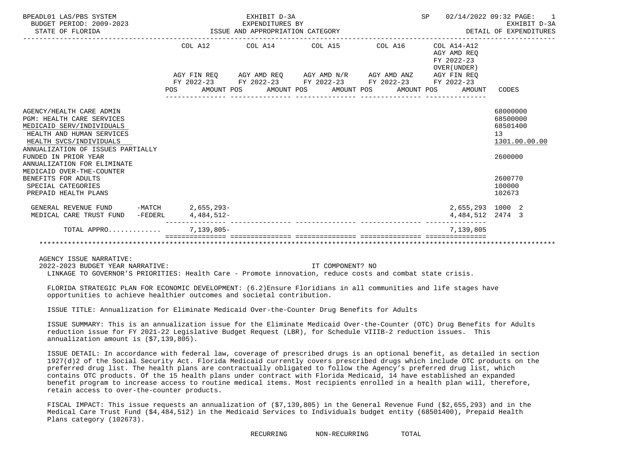| BPEADL01 LAS/PBS SYSTEM<br>BUDGET PERIOD: 2009-2023<br>STATE OF FLORIDA                                                                                                                                                                                                    |            | EXHIBIT D-3A<br>EXPENDITURES BY<br>EXPENDITURES BY<br>ISSUE AND APPROPRIATION CATEGORY |                                                                                                                                                |         | SP                                                       | 02/14/2022 09:32 PAGE:<br>$\overline{1}$<br>EXHIBIT D-3A<br>DETAIL OF EXPENDITURES |
|----------------------------------------------------------------------------------------------------------------------------------------------------------------------------------------------------------------------------------------------------------------------------|------------|----------------------------------------------------------------------------------------|------------------------------------------------------------------------------------------------------------------------------------------------|---------|----------------------------------------------------------|------------------------------------------------------------------------------------|
|                                                                                                                                                                                                                                                                            |            | COL A12 COL A14 COL A15                                                                |                                                                                                                                                | COL A16 | COL A14-A12<br>AGY AMD REO<br>FY 2022-23<br>OVER (UNDER) |                                                                                    |
|                                                                                                                                                                                                                                                                            | <b>POS</b> |                                                                                        | AGY FIN REQ AGY AMD REQ AGY AMD N/R AGY AMD ANZ AGY FIN REQ<br>FY 2022-23 FY 2022-23 FY 2022-23 FY 2022-23<br>AMOUNT POS AMOUNT POS AMOUNT POS |         | FY 2022-23<br>AMOUNT POS<br>AMOUNT                       | CODES                                                                              |
| AGENCY/HEALTH CARE ADMIN<br><b>PGM: HEALTH CARE SERVICES</b><br>MEDICAID SERV/INDIVIDUALS<br>HEALTH AND HUMAN SERVICES<br>HEALTH SVCS/INDIVIDUALS<br>ANNUALIZATION OF ISSUES PARTIALLY<br>FUNDED IN PRIOR YEAR<br>ANNUALIZATION FOR ELIMINATE<br>MEDICAID OVER-THE-COUNTER |            |                                                                                        |                                                                                                                                                |         |                                                          | 68000000<br>68500000<br>68501400<br>13<br>1301.00.00.00<br>2600000                 |
| BENEFITS FOR ADULTS<br>SPECIAL CATEGORIES<br>PREPAID HEALTH PLANS                                                                                                                                                                                                          |            |                                                                                        |                                                                                                                                                |         |                                                          | 2600770<br>100000<br>102673                                                        |
| GENERAL REVENUE FUND -MATCH 2,655,293-<br>MEDICAL CARE TRUST FUND<br>-FEDERL                                                                                                                                                                                               | 4,484,512- |                                                                                        |                                                                                                                                                |         | 2,655,293 1000 2<br>4, 484, 512 2474 3                   |                                                                                    |
| TOTAL APPRO                                                                                                                                                                                                                                                                | 7,139,805- |                                                                                        |                                                                                                                                                |         | 7,139,805                                                |                                                                                    |
|                                                                                                                                                                                                                                                                            |            |                                                                                        |                                                                                                                                                |         |                                                          |                                                                                    |

2022-2023 BUDGET YEAR NARRATIVE: IT COMPONENT? NO

LINKAGE TO GOVERNOR'S PRIORITIES: Health Care - Promote innovation, reduce costs and combat state crisis.

 FLORIDA STRATEGIC PLAN FOR ECONOMIC DEVELOPMENT: (6.2)Ensure Floridians in all communities and life stages have opportunities to achieve healthier outcomes and societal contribution.

ISSUE TITLE: Annualization for Eliminate Medicaid Over-the-Counter Drug Benefits for Adults

 ISSUE SUMMARY: This is an annualization issue for the Eliminate Medicaid Over-the-Counter (OTC) Drug Benefits for Adults reduction issue for FY 2021-22 Legislative Budget Request (LBR), for Schedule VIIIB-2 reduction issues. This annualization amount is (\$7,139,805).

 ISSUE DETAIL: In accordance with federal law, coverage of prescribed drugs is an optional benefit, as detailed in section 1927(d)2 of the Social Security Act. Florida Medicaid currently covers prescribed drugs which include OTC products on the preferred drug list. The health plans are contractually obligated to follow the Agency's preferred drug list, which contains OTC products. Of the 15 health plans under contract with Florida Medicaid, 14 have established an expanded benefit program to increase access to routine medical items. Most recipients enrolled in a health plan will, therefore, retain access to over-the-counter products.

 FISCAL IMPACT: This issue requests an annualization of (\$7,139,805) in the General Revenue Fund (\$2,655,293) and in the Medical Care Trust Fund (\$4,484,512) in the Medicaid Services to Individuals budget entity (68501400), Prepaid Health Plans category (102673).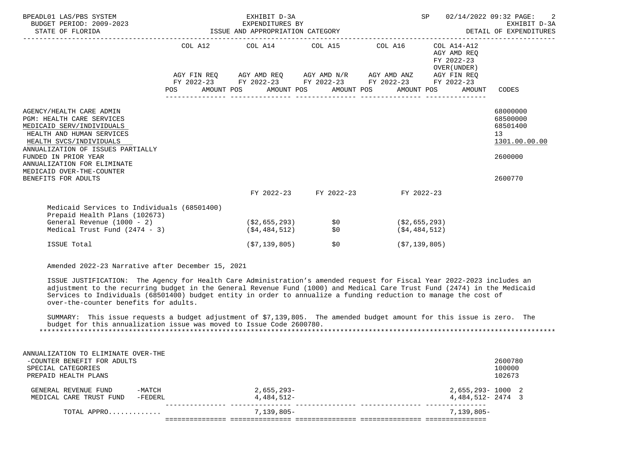| BPEADL01 LAS/PBS SYSTEM<br>EXPENDITURES BI<br>19923<br>ISSUE AND APPROPRIATION CATEGORY<br>TISSUE AND APPROPRIATION CATEGORY<br>BUDGET PERIOD: 2009-2023<br>STATE OF FLORIDA                                                                                                                      |                                                                                                                |  | EXHIBIT D-3A                                                                                                                                                                                            |                                  |                                                   | SP |                                                                          | 02/14/2022 09:32 PAGE:<br>-2<br>EXHIBIT D-3A<br>DETAIL OF EXPENDITURES        |
|---------------------------------------------------------------------------------------------------------------------------------------------------------------------------------------------------------------------------------------------------------------------------------------------------|----------------------------------------------------------------------------------------------------------------|--|---------------------------------------------------------------------------------------------------------------------------------------------------------------------------------------------------------|----------------------------------|---------------------------------------------------|----|--------------------------------------------------------------------------|-------------------------------------------------------------------------------|
|                                                                                                                                                                                                                                                                                                   | POS FOR THE POST OF THE STATE STATE STATE STATE STATE STATE STATE STATE STATE STATE STATE STATE STATE STATE ST |  | COL A12 COL A14 COL A15 COL A16<br>AGY FIN REQ AGY AMD REQ AGY AMD N/R AGY AMD ANZ AGY FIN REQ<br>FY 2022-23 FY 2022-23 FY 2022-23 FY 2022-23 FY 2022-23<br>AMOUNT POS AMOUNT POS AMOUNT POS AMOUNT POS |                                  |                                                   |    | COL A14-A12<br>AGY AMD REO<br>FY 2022-23<br>OVER (UNDER)<br>AMOUNT CODES |                                                                               |
| AGENCY/HEALTH CARE ADMIN<br><b>PGM: HEALTH CARE SERVICES</b><br>MEDICAID SERV/INDIVIDUALS<br>HEALTH AND HUMAN SERVICES<br>HEALTH SVCS/INDIVIDUALS<br>ANNUALIZATION OF ISSUES PARTIALLY<br>FUNDED IN PRIOR YEAR<br>ANNUALIZATION FOR ELIMINATE<br>MEDICAID OVER-THE-COUNTER<br>BENEFITS FOR ADULTS |                                                                                                                |  |                                                                                                                                                                                                         |                                  |                                                   |    |                                                                          | 68000000<br>68500000<br>68501400<br>13<br>1301.00.00.00<br>2600000<br>2600770 |
|                                                                                                                                                                                                                                                                                                   |                                                                                                                |  |                                                                                                                                                                                                         | FY 2022-23 FY 2022-23 FY 2022-23 |                                                   |    |                                                                          |                                                                               |
| Medicaid Services to Individuals (68501400)<br>Prepaid Health Plans (102673)<br>General Revenue (1000 - 2)<br>Medical Trust Fund $(2474 - 3)$<br>ISSUE Total                                                                                                                                      |                                                                                                                |  | ( \$2,655,293)<br>( \$4,484,512)<br>(S7, 139, 805)                                                                                                                                                      | \$0<br>\$0<br>\$0                | ( \$2,655,293)<br>( \$4,484,512)<br>(\$7,139,805) |    |                                                                          |                                                                               |
| Amended 2022-23 Narrative after December 15, 2021                                                                                                                                                                                                                                                 |                                                                                                                |  |                                                                                                                                                                                                         |                                  |                                                   |    |                                                                          |                                                                               |

 ISSUE JUSTIFICATION: The Agency for Health Care Administration's amended request for Fiscal Year 2022-2023 includes an adjustment to the recurring budget in the General Revenue Fund (1000) and Medical Care Trust Fund (2474) in the Medicaid Services to Individuals (68501400) budget entity in order to annualize a funding reduction to manage the cost of over-the-counter benefits for adults.

 SUMMARY: This issue requests a budget adjustment of \$7,139,805. The amended budget amount for this issue is zero. The budget for this annualization issue was moved to Issue Code 2600780. \*\*\*\*\*\*\*\*\*\*\*\*\*\*\*\*\*\*\*\*\*\*\*\*\*\*\*\*\*\*\*\*\*\*\*\*\*\*\*\*\*\*\*\*\*\*\*\*\*\*\*\*\*\*\*\*\*\*\*\*\*\*\*\*\*\*\*\*\*\*\*\*\*\*\*\*\*\*\*\*\*\*\*\*\*\*\*\*\*\*\*\*\*\*\*\*\*\*\*\*\*\*\*\*\*\*\*\*\*\*\*\*\*\*\*\*\*\*\*\*\*\*\*\*\*\*\*

| ANNUALIZATION TO ELIMINATE OVER-THE |              |                      |
|-------------------------------------|--------------|----------------------|
| -COUNTER BENEFIT FOR ADULTS         |              | 2600780              |
| SPECIAL CATEGORIES                  |              | 100000               |
| PREPAID HEALTH PLANS                |              | 102673               |
| $-MATCH$<br>GENERAL REVENUE FUND    | 2,655,293-   | 2,655,293-1000 2     |
| -FEDERL<br>MEDICAL CARE TRUST FUND  | 4,484,512-   | $4,484,512 - 2474$ 3 |
| TOTAL APPRO                         | $7,139,805-$ | $7.139.805 -$        |
|                                     |              |                      |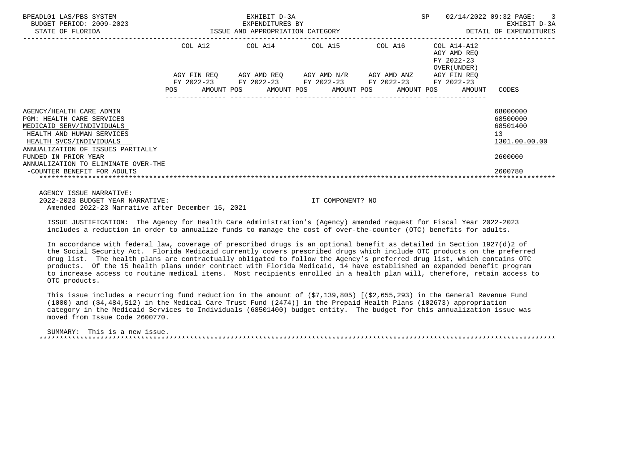| BPEADL01 LAS/PBS SYSTEM<br>9-2023<br>ISSUE AND APPROPRIATION CATEGORY<br>BUDGET PERIOD: 2009-2023<br>STATE OF FLORIDA                                                                                                                                 |            |  | EXHIBIT D-3A                                                                                              |  | SP |         | 02/14/2022 09:32 PAGE: 3<br>EXHIBIT D-3A<br>DETAIL OF EXPENDITURES |                                                                   |                                                                                 |
|-------------------------------------------------------------------------------------------------------------------------------------------------------------------------------------------------------------------------------------------------------|------------|--|-----------------------------------------------------------------------------------------------------------|--|----|---------|--------------------------------------------------------------------|-------------------------------------------------------------------|---------------------------------------------------------------------------------|
|                                                                                                                                                                                                                                                       |            |  | COL A12 COL A14 COL A15                                                                                   |  |    | COL A16 |                                                                    | COL A14-A12<br>AGY AMD REO<br>FY 2022-23<br>OVER (UNDER )         |                                                                                 |
|                                                                                                                                                                                                                                                       | <b>POS</b> |  | AGY FIN REQ AGY AMD REQ AGY AMD N/R AGY AMD ANZ<br>FY 2022-23 FY 2022-23 FY 2022-23 FY 2022-23 FY 2022-23 |  |    |         |                                                                    | AGY FIN REO<br>AMOUNT POS AMOUNT POS AMOUNT POS AMOUNT POS AMOUNT | CODES                                                                           |
| AGENCY/HEALTH CARE ADMIN<br><b>PGM: HEALTH CARE SERVICES</b><br>MEDICAID SERV/INDIVIDUALS<br>HEALTH AND HUMAN SERVICES<br>HEALTH SVCS/INDIVIDUALS<br>ANNUALIZATION OF ISSUES PARTIALLY<br>FUNDED IN PRIOR YEAR<br>ANNUALIZATION TO ELIMINATE OVER-THE |            |  |                                                                                                           |  |    |         |                                                                    |                                                                   | 68000000<br>68500000<br>68501400<br>13 <sup>°</sup><br>1301.00.00.00<br>2600000 |
| -COUNTER BENEFIT FOR ADULTS                                                                                                                                                                                                                           |            |  |                                                                                                           |  |    |         |                                                                    |                                                                   | 2600780                                                                         |

 AGENCY ISSUE NARRATIVE: 2022-2023 BUDGET YEAR NARRATIVE: IT COMPONENT? NO Amended 2022-23 Narrative after December 15, 2021

 ISSUE JUSTIFICATION: The Agency for Health Care Administration's (Agency) amended request for Fiscal Year 2022-2023 includes a reduction in order to annualize funds to manage the cost of over-the-counter (OTC) benefits for adults.

 In accordance with federal law, coverage of prescribed drugs is an optional benefit as detailed in Section 1927(d)2 of the Social Security Act. Florida Medicaid currently covers prescribed drugs which include OTC products on the preferred drug list. The health plans are contractually obligated to follow the Agency's preferred drug list, which contains OTC products. Of the 15 health plans under contract with Florida Medicaid, 14 have established an expanded benefit program to increase access to routine medical items. Most recipients enrolled in a health plan will, therefore, retain access to OTC products.

 This issue includes a recurring fund reduction in the amount of (\$7,139,805) [(\$2,655,293) in the General Revenue Fund (1000) and (\$4,484,512) in the Medical Care Trust Fund (2474)] in the Prepaid Health Plans (102673) appropriation category in the Medicaid Services to Individuals (68501400) budget entity. The budget for this annualization issue was moved from Issue Code 2600770.

 SUMMARY: This is a new issue. \*\*\*\*\*\*\*\*\*\*\*\*\*\*\*\*\*\*\*\*\*\*\*\*\*\*\*\*\*\*\*\*\*\*\*\*\*\*\*\*\*\*\*\*\*\*\*\*\*\*\*\*\*\*\*\*\*\*\*\*\*\*\*\*\*\*\*\*\*\*\*\*\*\*\*\*\*\*\*\*\*\*\*\*\*\*\*\*\*\*\*\*\*\*\*\*\*\*\*\*\*\*\*\*\*\*\*\*\*\*\*\*\*\*\*\*\*\*\*\*\*\*\*\*\*\*\*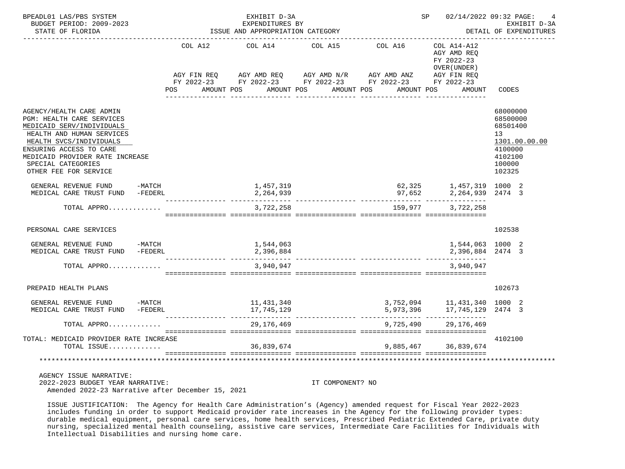| BPEADL01 LAS/PBS SYSTEM<br>BUDGET PERIOD: 2009-2023<br>STATE OF FLORIDA                                                                                                                                                                                 |         | EXHIBIT D-3A<br>EXPENDITURES BY<br>ISSUE AND APPROPRIATION CATEGORY                                                                      |         | SP 02/14/2022 09:32 PAGE: | 4<br>EXHIBIT D-3A<br>DETAIL OF EXPENDITURES                                              |                                                                                                   |
|---------------------------------------------------------------------------------------------------------------------------------------------------------------------------------------------------------------------------------------------------------|---------|------------------------------------------------------------------------------------------------------------------------------------------|---------|---------------------------|------------------------------------------------------------------------------------------|---------------------------------------------------------------------------------------------------|
|                                                                                                                                                                                                                                                         | POS FOR | COL A12 COL A14<br>AGY FIN REQ AGY AMD REQ AGY AMD N/R AGY AMD ANZ AGY FIN REQ<br>FY 2022-23 FY 2022-23 FY 2022-23 FY 2022-23 FY 2022-23 | COL A15 | COL A16                   | COL A14-A12<br>AGY AMD REO<br>FY 2022-23<br>OVER (UNDER)                                 |                                                                                                   |
|                                                                                                                                                                                                                                                         |         | AMOUNT POS AMOUNT POS AMOUNT POS                                                                                                         |         |                           | AMOUNT POS<br>AMOUNT                                                                     | CODES                                                                                             |
| AGENCY/HEALTH CARE ADMIN<br>PGM: HEALTH CARE SERVICES<br>MEDICAID SERV/INDIVIDUALS<br>HEALTH AND HUMAN SERVICES<br>HEALTH SVCS/INDIVIDUALS<br>ENSURING ACCESS TO CARE<br>MEDICAID PROVIDER RATE INCREASE<br>SPECIAL CATEGORIES<br>OTHER FEE FOR SERVICE |         |                                                                                                                                          |         |                           |                                                                                          | 68000000<br>68500000<br>68501400<br>13<br>1301.00.00.00<br>4100000<br>4102100<br>100000<br>102325 |
| GENERAL REVENUE FUND -MATCH<br>MEDICAL CARE TRUST FUND -FEDERL                                                                                                                                                                                          |         | 1,457,319<br>2,264,939                                                                                                                   |         |                           | 62,325 1,457,319 1000 2<br>97,652 2,264,939 2474 3                                       |                                                                                                   |
| TOTAL APPRO                                                                                                                                                                                                                                             |         | 3,722,258                                                                                                                                |         | 159,977                   | -------- ----------------<br>3,722,258                                                   |                                                                                                   |
| PERSONAL CARE SERVICES                                                                                                                                                                                                                                  |         |                                                                                                                                          |         |                           |                                                                                          | 102538                                                                                            |
| GENERAL REVENUE FUND -MATCH<br>MEDICAL CARE TRUST FUND -FEDERL                                                                                                                                                                                          |         | 1,544,063<br>2,396,884                                                                                                                   |         |                           | 1,544,063 1000 2<br>2,396,884 2474 3                                                     |                                                                                                   |
| TOTAL APPRO                                                                                                                                                                                                                                             |         | 3,940,947                                                                                                                                |         |                           | 3,940,947                                                                                |                                                                                                   |
| PREPAID HEALTH PLANS                                                                                                                                                                                                                                    |         |                                                                                                                                          |         |                           |                                                                                          | 102673                                                                                            |
| GENERAL REVENUE FUND -MATCH<br>MEDICAL CARE TRUST FUND -FEDERL                                                                                                                                                                                          |         | 11,431,340<br>17,745,129                                                                                                                 |         |                           | 3,752,094          11,431,340    1000    2<br>5,973,396          17,745,129    2474    3 |                                                                                                   |
| TOTAL APPRO                                                                                                                                                                                                                                             |         | 29, 176, 469                                                                                                                             |         | 9,725,490                 | 29, 176, 469                                                                             |                                                                                                   |
| TOTAL: MEDICAID PROVIDER RATE INCREASE<br>TOTAL ISSUE                                                                                                                                                                                                   |         | 36,839,674                                                                                                                               |         |                           | 9,885,467 36,839,674                                                                     | 4102100                                                                                           |
| **************************************                                                                                                                                                                                                                  |         |                                                                                                                                          |         |                           |                                                                                          |                                                                                                   |
| AGENCY ISSUE NARRATIVE:                                                                                                                                                                                                                                 |         |                                                                                                                                          |         |                           |                                                                                          |                                                                                                   |

 2022-2023 BUDGET YEAR NARRATIVE: IT COMPONENT? NO Amended 2022-23 Narrative after December 15, 2021

 ISSUE JUSTIFICATION: The Agency for Health Care Administration's (Agency) amended request for Fiscal Year 2022-2023 includes funding in order to support Medicaid provider rate increases in the Agency for the following provider types: durable medical equipment, personal care services, home health services, Prescribed Pediatric Extended Care, private duty nursing, specialized mental health counseling, assistive care services, Intermediate Care Facilities for Individuals with Intellectual Disabilities and nursing home care.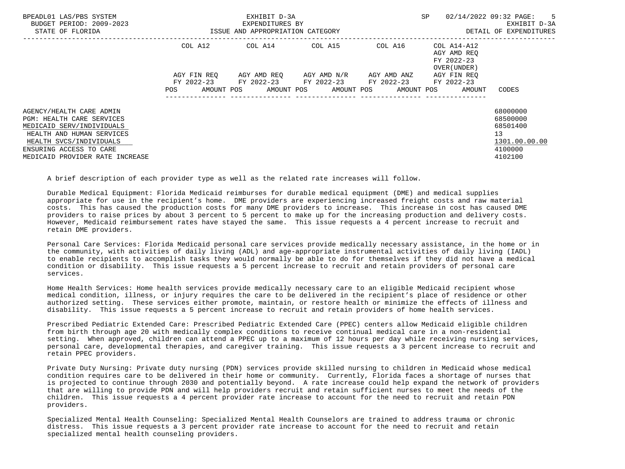| BPEADL01 LAS/PBS SYSTEM<br>BUDGET PERIOD: 2009-2023<br>STATE OF FLORIDA                                                                                                                                  |                                                    | EXHIBIT D-3A<br>EXPENDITURES BY<br>ISSUE AND APPROPRIATION CATEGORY |                                                                                                                                | SP                                                                                                      | 02/14/2022 09:32 PAGE:<br>$-5$<br>EXHIBIT D-3A<br>DETAIL OF EXPENDITURES      |
|----------------------------------------------------------------------------------------------------------------------------------------------------------------------------------------------------------|----------------------------------------------------|---------------------------------------------------------------------|--------------------------------------------------------------------------------------------------------------------------------|---------------------------------------------------------------------------------------------------------|-------------------------------------------------------------------------------|
|                                                                                                                                                                                                          | COL A12<br>AGY FIN REQ<br>AMOUNT POS<br><b>POS</b> | COL A14 COL A15                                                     | AGY AMD REO     AGY AMD N/R     AGY AMD ANZ<br>FY 2022-23 FY 2022-23 FY 2022-23 FY 2022-23<br>AMOUNT POS AMOUNT POS AMOUNT POS | COL A16 COL A14-A12<br>AGY AMD REO<br>FY 2022-23<br>OVER (UNDER)<br>AGY FIN REO<br>FY 2022-23<br>AMOUNT | CODES                                                                         |
| AGENCY/HEALTH CARE ADMIN<br>PGM: HEALTH CARE SERVICES<br>MEDICAID SERV/INDIVIDUALS<br>HEALTH AND HUMAN SERVICES<br>HEALTH SVCS/INDIVIDUALS<br>ENSURING ACCESS TO CARE<br>MEDICAID PROVIDER RATE INCREASE |                                                    |                                                                     |                                                                                                                                |                                                                                                         | 68000000<br>68500000<br>68501400<br>13<br>1301.00.00.00<br>4100000<br>4102100 |

A brief description of each provider type as well as the related rate increases will follow.

 Durable Medical Equipment: Florida Medicaid reimburses for durable medical equipment (DME) and medical supplies appropriate for use in the recipient's home. DME providers are experiencing increased freight costs and raw material costs. This has caused the production costs for many DME providers to increase. This increase in cost has caused DME providers to raise prices by about 3 percent to 5 percent to make up for the increasing production and delivery costs. However, Medicaid reimbursement rates have stayed the same. This issue requests a 4 percent increase to recruit and retain DME providers.

 Personal Care Services: Florida Medicaid personal care services provide medically necessary assistance, in the home or in the community, with activities of daily living (ADL) and age-appropriate instrumental activities of daily living (IADL) to enable recipients to accomplish tasks they would normally be able to do for themselves if they did not have a medical condition or disability. This issue requests a 5 percent increase to recruit and retain providers of personal care services.

 Home Health Services: Home health services provide medically necessary care to an eligible Medicaid recipient whose medical condition, illness, or injury requires the care to be delivered in the recipient's place of residence or other authorized setting. These services either promote, maintain, or restore health or minimize the effects of illness and disability. This issue requests a 5 percent increase to recruit and retain providers of home health services.

 Prescribed Pediatric Extended Care: Prescribed Pediatric Extended Care (PPEC) centers allow Medicaid eligible children from birth through age 20 with medically complex conditions to receive continual medical care in a non-residential setting. When approved, children can attend a PPEC up to a maximum of 12 hours per day while receiving nursing services, personal care, developmental therapies, and caregiver training. This issue requests a 3 percent increase to recruit and retain PPEC providers.

 Private Duty Nursing: Private duty nursing (PDN) services provide skilled nursing to children in Medicaid whose medical condition requires care to be delivered in their home or community. Currently, Florida faces a shortage of nurses that is projected to continue through 2030 and potentially beyond. A rate increase could help expand the network of providers that are willing to provide PDN and will help providers recruit and retain sufficient nurses to meet the needs of the children. This issue requests a 4 percent provider rate increase to account for the need to recruit and retain PDN providers.

 Specialized Mental Health Counseling: Specialized Mental Health Counselors are trained to address trauma or chronic distress. This issue requests a 3 percent provider rate increase to account for the need to recruit and retain specialized mental health counseling providers.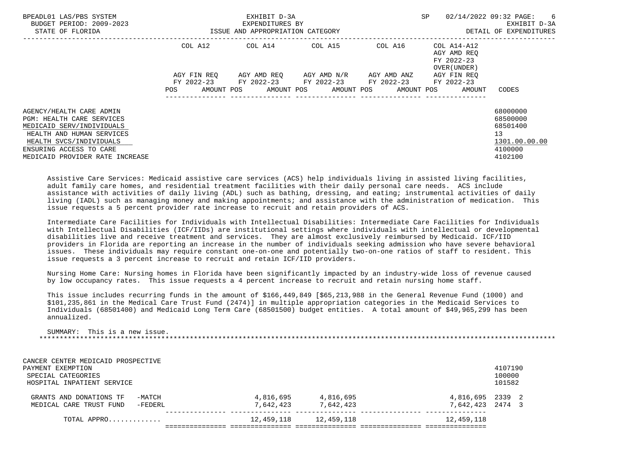| BPEADL01 LAS/PBS SYSTEM<br>BUDGET PERIOD: 2009-2023<br>STATE OF FLORIDA | ISSUE AND APPROPRIATION CATEGORY |            | EXHIBIT D-3A<br>EXPENDITURES BY |  |  | SP                                                                    | 02/14/2022 09:32 PAGE:<br>EXHIBIT D-3A<br>DETAIL OF EXPENDITURES |                                           |        |               |
|-------------------------------------------------------------------------|----------------------------------|------------|---------------------------------|--|--|-----------------------------------------------------------------------|------------------------------------------------------------------|-------------------------------------------|--------|---------------|
|                                                                         |                                  |            |                                 |  |  | COL A12 COL A14 COL A15 COL A16 COL A14-A12                           |                                                                  | AGY AMD REO<br>FY 2022-23<br>OVER (UNDER) |        |               |
|                                                                         | AGY FIN REO                      |            | AGY AMD REO AGY AMD N/R         |  |  | AGY AMD ANZ<br>FY 2022-23 FY 2022-23 FY 2022-23 FY 2022-23 FY 2022-23 |                                                                  | AGY FIN REO                               |        |               |
|                                                                         | POS.                             | AMOUNT POS | AMOUNT POS AMOUNT POS           |  |  |                                                                       |                                                                  | AMOUNT POS                                | AMOUNT | CODES         |
| AGENCY/HEALTH CARE ADMIN                                                |                                  |            |                                 |  |  |                                                                       |                                                                  |                                           |        | 68000000      |
| <b>PGM: HEALTH CARE SERVICES</b>                                        |                                  |            |                                 |  |  |                                                                       |                                                                  |                                           |        | 68500000      |
| MEDICAID SERV/INDIVIDUALS                                               |                                  |            |                                 |  |  |                                                                       |                                                                  |                                           |        | 68501400      |
| HEALTH AND HUMAN SERVICES                                               |                                  |            |                                 |  |  |                                                                       |                                                                  |                                           |        | 13            |
| HEALTH SVCS/INDIVIDUALS                                                 |                                  |            |                                 |  |  |                                                                       |                                                                  |                                           |        | 1301.00.00.00 |
| ENSURING ACCESS TO CARE                                                 |                                  |            |                                 |  |  |                                                                       |                                                                  |                                           |        | 4100000       |
| MEDICAID PROVIDER RATE INCREASE                                         |                                  |            |                                 |  |  |                                                                       |                                                                  |                                           |        | 4102100       |

 Assistive Care Services: Medicaid assistive care services (ACS) help individuals living in assisted living facilities, adult family care homes, and residential treatment facilities with their daily personal care needs. ACS include assistance with activities of daily living (ADL) such as bathing, dressing, and eating; instrumental activities of daily living (IADL) such as managing money and making appointments; and assistance with the administration of medication. This issue requests a 5 percent provider rate increase to recruit and retain providers of ACS.

 Intermediate Care Facilities for Individuals with Intellectual Disabilities: Intermediate Care Facilities for Individuals with Intellectual Disabilities (ICF/IIDs) are institutional settings where individuals with intellectual or developmental disabilities live and receive treatment and services. They are almost exclusively reimbursed by Medicaid. ICF/IID providers in Florida are reporting an increase in the number of individuals seeking admission who have severe behavioral issues. These individuals may require constant one-on-one and potentially two-on-one ratios of staff to resident. This issue requests a 3 percent increase to recruit and retain ICF/IID providers.

 Nursing Home Care: Nursing homes in Florida have been significantly impacted by an industry-wide loss of revenue caused by low occupancy rates. This issue requests a 4 percent increase to recruit and retain nursing home staff.

 This issue includes recurring funds in the amount of \$166,449,849 [\$65,213,988 in the General Revenue Fund (1000) and \$101,235,861 in the Medical Care Trust Fund (2474)] in multiple appropriation categories in the Medicaid Services to Individuals (68501400) and Medicaid Long Term Care (68501500) budget entities. A total amount of \$49,965,299 has been annualized.

 SUMMARY: This is a new issue. \*\*\*\*\*\*\*\*\*\*\*\*\*\*\*\*\*\*\*\*\*\*\*\*\*\*\*\*\*\*\*\*\*\*\*\*\*\*\*\*\*\*\*\*\*\*\*\*\*\*\*\*\*\*\*\*\*\*\*\*\*\*\*\*\*\*\*\*\*\*\*\*\*\*\*\*\*\*\*\*\*\*\*\*\*\*\*\*\*\*\*\*\*\*\*\*\*\*\*\*\*\*\*\*\*\*\*\*\*\*\*\*\*\*\*\*\*\*\*\*\*\*\*\*\*\*\*

| CANCER CENTER MEDICAID PROSPECTIVE<br>PAYMENT EXEMPTION<br>SPECIAL CATEGORIES<br>HOSPITAL INPATIENT SERVICE |            |            |                  | 4107190<br>100000<br>101582 |  |
|-------------------------------------------------------------------------------------------------------------|------------|------------|------------------|-----------------------------|--|
| GRANTS AND DONATIONS TF<br>-MATCH                                                                           | 4,816,695  | 4,816,695  | 4,816,695 2339 2 |                             |  |
| $-FEDERL$<br>MEDICAL CARE TRUST FUND                                                                        | 7,642,423  | 7,642,423  | 7,642,423        | 2474 3                      |  |
| TOTAL APPRO                                                                                                 | 12,459,118 | 12,459,118 | 12,459,118       |                             |  |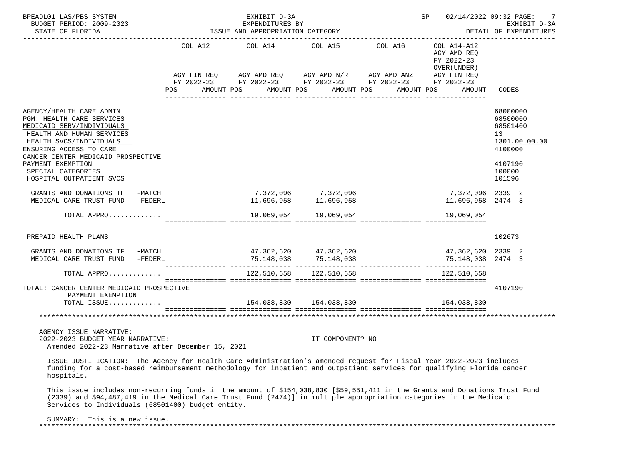| BPEADL01 LAS/PBS SYSTEM<br>BUDGET PERIOD: 2009-2023<br>STATE OF FLORIDA                                                                                                                                                                                                                                 |                       | EXHIBIT D-3A<br>EXPENDITURES BY<br>ISSUE AND APPROPRIATION CATEGORY |                                                                                                                                                                           |                       | <b>SP</b>                                                           | 02/14/2022 09:32 PAGE:<br>7<br>EXHIBIT D-3A<br>DETAIL OF EXPENDITURES                             |
|---------------------------------------------------------------------------------------------------------------------------------------------------------------------------------------------------------------------------------------------------------------------------------------------------------|-----------------------|---------------------------------------------------------------------|---------------------------------------------------------------------------------------------------------------------------------------------------------------------------|-----------------------|---------------------------------------------------------------------|---------------------------------------------------------------------------------------------------|
|                                                                                                                                                                                                                                                                                                         | POS FOR<br>AMOUNT POS |                                                                     | COL A12 COL A14 COL A15<br>AGY FIN REQ AGY AMD REQ AGY AMD N/R AGY AMD ANZ AGY FIN REQ<br>FY 2022-23 FY 2022-23 FY 2022-23 FY 2022-23 FY 2022-23<br>AMOUNT POS AMOUNT POS | COL A16<br>AMOUNT POS | COL A14-A12<br>AGY AMD REO<br>FY 2022-23<br>OVER (UNDER )<br>AMOUNT | CODES                                                                                             |
| AGENCY/HEALTH CARE ADMIN<br>PGM: HEALTH CARE SERVICES<br>MEDICAID SERV/INDIVIDUALS<br>HEALTH AND HUMAN SERVICES<br>HEALTH SVCS/INDIVIDUALS<br>ENSURING ACCESS TO CARE<br>CANCER CENTER MEDICAID PROSPECTIVE<br>PAYMENT EXEMPTION<br>SPECIAL CATEGORIES<br>HOSPITAL OUTPATIENT SVCS                      |                       |                                                                     |                                                                                                                                                                           |                       |                                                                     | 68000000<br>68500000<br>68501400<br>13<br>1301.00.00.00<br>4100000<br>4107190<br>100000<br>101596 |
| GRANTS AND DONATIONS TF -MATCH<br>MEDICAL CARE TRUST FUND<br>-FEDERL                                                                                                                                                                                                                                    |                       |                                                                     | 7,372,096 7,372,096                                                                                                                                                       |                       | 7,372,096 2339 2<br>11,696,958 2474 3                               |                                                                                                   |
| TOTAL APPRO                                                                                                                                                                                                                                                                                             |                       |                                                                     | 19,069,054    19,069,054                                                                                                                                                  |                       | 19,069,054                                                          |                                                                                                   |
| PREPAID HEALTH PLANS                                                                                                                                                                                                                                                                                    |                       |                                                                     |                                                                                                                                                                           |                       |                                                                     | 102673                                                                                            |
| GRANTS AND DONATIONS TF -MATCH<br>MEDICAL CARE TRUST FUND -FEDERL                                                                                                                                                                                                                                       |                       |                                                                     | $47,362,620$ $47,362,620$<br>75,148,038 75,148,038                                                                                                                        |                       | 47,362,620<br>75,148,038 2474 3                                     | 2339 2                                                                                            |
| TOTAL APPRO                                                                                                                                                                                                                                                                                             |                       |                                                                     | 122,510,658 122,510,658                                                                                                                                                   |                       | 122,510,658                                                         |                                                                                                   |
| TOTAL: CANCER CENTER MEDICAID PROSPECTIVE<br>PAYMENT EXEMPTION<br>TOTAL ISSUE                                                                                                                                                                                                                           |                       |                                                                     | 154,038,830   154,038,830                                                                                                                                                 |                       | 154,038,830                                                         | 4107190                                                                                           |
|                                                                                                                                                                                                                                                                                                         |                       |                                                                     |                                                                                                                                                                           |                       |                                                                     |                                                                                                   |
| AGENCY ISSUE NARRATIVE:<br>2022-2023 BUDGET YEAR NARRATIVE:<br>Amended 2022-23 Narrative after December 15, 2021                                                                                                                                                                                        |                       |                                                                     | IT COMPONENT? NO                                                                                                                                                          |                       |                                                                     |                                                                                                   |
| ISSUE JUSTIFICATION: The Agency for Health Care Administration's amended request for Fiscal Year 2022-2023 includes<br>funding for a cost-based reimbursement methodology for inpatient and outpatient services for qualifying Florida cancer<br>hospitals.                                             |                       |                                                                     |                                                                                                                                                                           |                       |                                                                     |                                                                                                   |
| This issue includes non-recurring funds in the amount of \$154,038,830 [\$59,551,411 in the Grants and Donations Trust Fund<br>(2339) and \$94,487,419 in the Medical Care Trust Fund (2474)] in multiple appropriation categories in the Medicaid<br>Services to Individuals (68501400) budget entity. |                       |                                                                     |                                                                                                                                                                           |                       |                                                                     |                                                                                                   |
| SUMMARY: This is a new issue.                                                                                                                                                                                                                                                                           |                       |                                                                     |                                                                                                                                                                           |                       |                                                                     |                                                                                                   |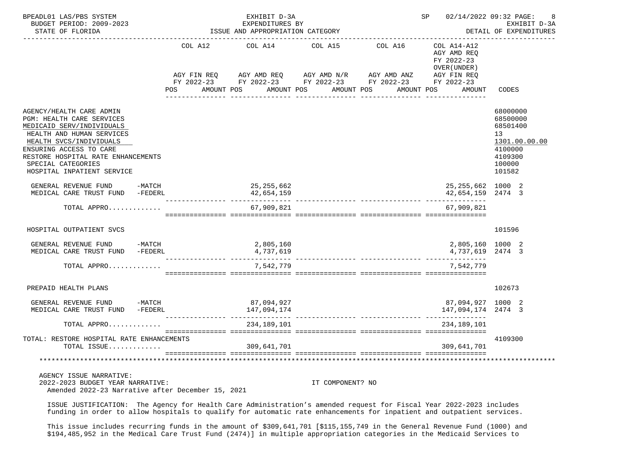| BPEADL01 LAS/PBS SYSTEM<br>BUDGET PERIOD: 2009-2023<br>STATE OF FLORIDA                                                                                                                                                                                                | ISSUE AND APPROPRIATION CATEGORY |                           | SP 02/14/2022 09:32 PAGE:                                                                                                                                                                                                                                                                                                                                  | 8<br>EXHIBIT D-3A<br>DETAIL OF EXPENDITURES |                                                                    |                                                                                                   |
|------------------------------------------------------------------------------------------------------------------------------------------------------------------------------------------------------------------------------------------------------------------------|----------------------------------|---------------------------|------------------------------------------------------------------------------------------------------------------------------------------------------------------------------------------------------------------------------------------------------------------------------------------------------------------------------------------------------------|---------------------------------------------|--------------------------------------------------------------------|---------------------------------------------------------------------------------------------------|
|                                                                                                                                                                                                                                                                        | POS                              | COL A12 COL A14           | $AGY \text{ } \text{FIN } \text{REQ} \text{ } \qquad \text{AGY } \text{AMD } \text{REQ} \text{ } \qquad \text{AGY } \text{AMD } \text{N/R} \text{ } \qquad \text{AGY } \text{AMD } \text{ANZ} \text{ } \qquad \text{AGY } \text{FIN } \text{REQ}$<br>FY 2022-23 FY 2022-23 FY 2022-23 FY 2022-23 FY 2022-23<br>AMOUNT POS AMOUNT POS AMOUNT POS AMOUNT POS | COL A15 COL A16                             | COL A14-A12<br>AGY AMD REO<br>FY 2022-23<br>OVER (UNDER)<br>AMOUNT | CODES                                                                                             |
| AGENCY/HEALTH CARE ADMIN<br><b>PGM: HEALTH CARE SERVICES</b><br>MEDICAID SERV/INDIVIDUALS<br>HEALTH AND HUMAN SERVICES<br>HEALTH SVCS/INDIVIDUALS<br>ENSURING ACCESS TO CARE<br>RESTORE HOSPITAL RATE ENHANCEMENTS<br>SPECIAL CATEGORIES<br>HOSPITAL INPATIENT SERVICE |                                  |                           |                                                                                                                                                                                                                                                                                                                                                            |                                             |                                                                    | 68000000<br>68500000<br>68501400<br>13<br>1301.00.00.00<br>4100000<br>4109300<br>100000<br>101582 |
| GENERAL REVENUE FUND -MATCH<br>MEDICAL CARE TRUST FUND -FEDERL                                                                                                                                                                                                         |                                  | 25,255,662<br>42,654,159  |                                                                                                                                                                                                                                                                                                                                                            |                                             | 25, 255, 662 1000 2<br>42,654,159 2474 3                           |                                                                                                   |
| TOTAL APPRO                                                                                                                                                                                                                                                            |                                  | 67,909,821                |                                                                                                                                                                                                                                                                                                                                                            |                                             | 67,909,821                                                         |                                                                                                   |
| HOSPITAL OUTPATIENT SVCS                                                                                                                                                                                                                                               |                                  |                           |                                                                                                                                                                                                                                                                                                                                                            |                                             |                                                                    | 101596                                                                                            |
| GENERAL REVENUE FUND -MATCH<br>MEDICAL CARE TRUST FUND -FEDERL                                                                                                                                                                                                         |                                  | 2,805,160<br>4,737,619    |                                                                                                                                                                                                                                                                                                                                                            |                                             | 2,805,160 1000 2<br>4,737,619 2474 3                               |                                                                                                   |
| TOTAL APPRO                                                                                                                                                                                                                                                            |                                  | 7,542,779                 |                                                                                                                                                                                                                                                                                                                                                            |                                             | 7,542,779                                                          |                                                                                                   |
| PREPAID HEALTH PLANS                                                                                                                                                                                                                                                   |                                  |                           |                                                                                                                                                                                                                                                                                                                                                            |                                             |                                                                    | 102673                                                                                            |
| GENERAL REVENUE FUND -MATCH<br>MEDICAL CARE TRUST FUND -FEDERL                                                                                                                                                                                                         |                                  | 87,094,927<br>147,094,174 |                                                                                                                                                                                                                                                                                                                                                            |                                             | 87,094,927 1000 2<br>147,094,174 2474 3                            |                                                                                                   |
| TOTAL APPRO                                                                                                                                                                                                                                                            |                                  | 234,189,101               |                                                                                                                                                                                                                                                                                                                                                            |                                             | 234,189,101                                                        |                                                                                                   |
| TOTAL: RESTORE HOSPITAL RATE ENHANCEMENTS<br>TOTAL ISSUE                                                                                                                                                                                                               |                                  | 309,641,701               |                                                                                                                                                                                                                                                                                                                                                            |                                             | 309,641,701                                                        | 4109300                                                                                           |
|                                                                                                                                                                                                                                                                        |                                  |                           |                                                                                                                                                                                                                                                                                                                                                            |                                             |                                                                    |                                                                                                   |
| AGENCY ISSUE NARRATIVE:<br>2022-2023 BUDGET YEAR NARRATIVE:                                                                                                                                                                                                            |                                  |                           | IT COMPONENT? NO                                                                                                                                                                                                                                                                                                                                           |                                             |                                                                    |                                                                                                   |

Amended 2022-23 Narrative after December 15, 2021

 ISSUE JUSTIFICATION: The Agency for Health Care Administration's amended request for Fiscal Year 2022-2023 includes funding in order to allow hospitals to qualify for automatic rate enhancements for inpatient and outpatient services.

 This issue includes recurring funds in the amount of \$309,641,701 [\$115,155,749 in the General Revenue Fund (1000) and \$194,485,952 in the Medical Care Trust Fund (2474)] in multiple appropriation categories in the Medicaid Services to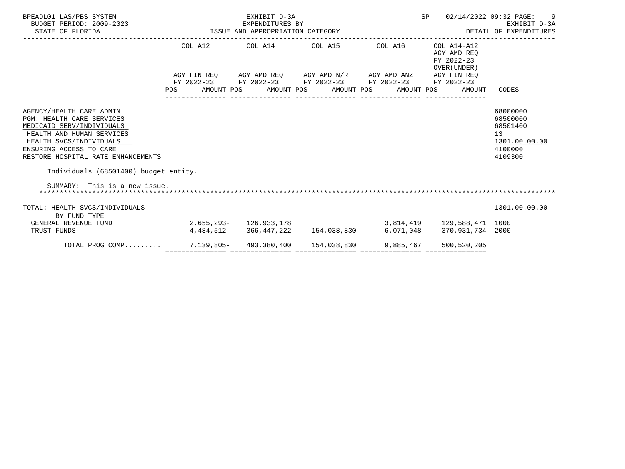| BPEADL01 LAS/PBS SYSTEM<br>BUDGET PERIOD: 2009-2023<br>STATE OF FLORIDA                                                                                                                                                                                     |         | EXHIBIT D-3A<br>EXPENDITURES BY<br>ISSUE AND APPROPRIATION CATEGORY                                           |                  | SP               | 02/14/2022 09:32 PAGE:<br>-9<br>EXHIBIT D-3A<br>DETAIL OF EXPENDITURES |                                                                               |
|-------------------------------------------------------------------------------------------------------------------------------------------------------------------------------------------------------------------------------------------------------------|---------|---------------------------------------------------------------------------------------------------------------|------------------|------------------|------------------------------------------------------------------------|-------------------------------------------------------------------------------|
|                                                                                                                                                                                                                                                             |         | COL A12 COL A14 COL A15 COL A16                                                                               |                  |                  | COL A14-A12<br>AGY AMD REO<br>FY 2022-23<br>OVER (UNDER)               |                                                                               |
|                                                                                                                                                                                                                                                             |         | AGY FIN REQ AGY AMD REQ AGY AMD N/R AGY AMD ANZ AGY FIN REQ                                                   |                  |                  |                                                                        |                                                                               |
|                                                                                                                                                                                                                                                             | POS FOR | FY 2022-23 FY 2022-23 FY 2022-23 FY 2022-23 FY 2022-23<br>AMOUNT POS AMOUNT POS AMOUNT POS<br>--------------- | ________________ | ________________ | AMOUNT POS<br>AMOUNT                                                   | CODES                                                                         |
| AGENCY/HEALTH CARE ADMIN<br><b>PGM: HEALTH CARE SERVICES</b><br>MEDICAID SERV/INDIVIDUALS<br>HEALTH AND HUMAN SERVICES<br>HEALTH SVCS/INDIVIDUALS<br>ENSURING ACCESS TO CARE<br>RESTORE HOSPITAL RATE ENHANCEMENTS<br>Individuals (68501400) budget entity. |         |                                                                                                               |                  |                  |                                                                        | 68000000<br>68500000<br>68501400<br>13<br>1301.00.00.00<br>4100000<br>4109300 |
| SUMMARY: This is a new issue.                                                                                                                                                                                                                               |         |                                                                                                               |                  |                  |                                                                        |                                                                               |
| TOTAL: HEALTH SVCS/INDIVIDUALS<br>BY FUND TYPE                                                                                                                                                                                                              |         |                                                                                                               |                  |                  |                                                                        | 1301.00.00.00                                                                 |
| GENERAL REVENUE FUND                                                                                                                                                                                                                                        |         |                                                                                                               |                  |                  | $2,655,293$ - $126,933,178$ $3,814,419$ $129,588,471$ $1000$           |                                                                               |
| TRUST FUNDS                                                                                                                                                                                                                                                 |         |                                                                                                               |                  |                  | $4,484,512-366,447,222$ 154,038,830 6,071,048 370,931,734 2000         |                                                                               |
| TOTAL PROG COMP                                                                                                                                                                                                                                             |         | 7,139,805- 493,380,400 154,038,830 9,885,467 500,520,205                                                      |                  |                  |                                                                        |                                                                               |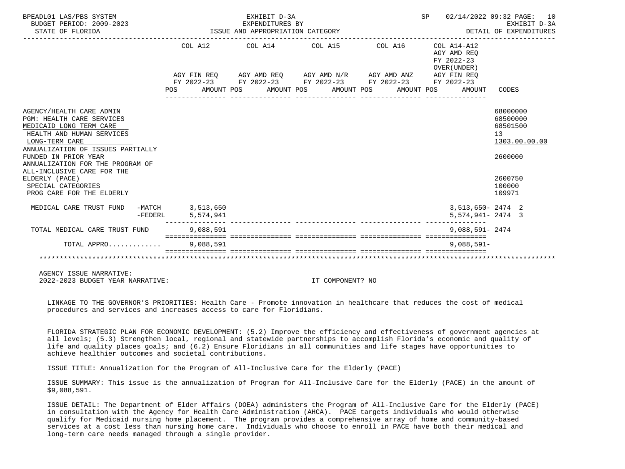| BPEADL01 LAS/PBS SYSTEM<br>BUDGET PERIOD: 2009-2023<br>STATE OF FLORIDA                                                                                                     |                                       | EXHIBIT D-3A<br>EXPENDITURES BY<br>EXPENDITURES BY<br>ISSUE AND APPROPRIATION CATEGORY | SP 02/14/2022 09:32 PAGE: 10                                                                                                                              | EXHIBIT D-3A<br>DETAIL OF EXPENDITURES |                                                             |                                                         |
|-----------------------------------------------------------------------------------------------------------------------------------------------------------------------------|---------------------------------------|----------------------------------------------------------------------------------------|-----------------------------------------------------------------------------------------------------------------------------------------------------------|----------------------------------------|-------------------------------------------------------------|---------------------------------------------------------|
|                                                                                                                                                                             |                                       |                                                                                        | COL A12 COL A14 COL A15 COL A16                                                                                                                           |                                        | $COL A14- A12$<br>AGY AMD REO<br>FY 2022-23<br>OVER (UNDER) |                                                         |
|                                                                                                                                                                             | POS                                   |                                                                                        | AGY FIN REQ AGY AMD REQ AGY AMD N/R AGY AMD ANZ AGY FIN REQ<br>FY 2022-23 FY 2022-23 FY 2022-23 FY 2022-23 FY 2022-23<br>AMOUNT POS AMOUNT POS AMOUNT POS | AMOUNT POS                             | AMOUNT                                                      | CODES                                                   |
| AGENCY/HEALTH CARE ADMIN<br><b>PGM: HEALTH CARE SERVICES</b><br>MEDICAID LONG TERM CARE<br>HEALTH AND HUMAN SERVICES<br>LONG-TERM CARE<br>ANNUALIZATION OF ISSUES PARTIALLY |                                       |                                                                                        |                                                                                                                                                           |                                        |                                                             | 68000000<br>68500000<br>68501500<br>13<br>1303.00.00.00 |
| FUNDED IN PRIOR YEAR<br>ANNUALIZATION FOR THE PROGRAM OF<br>ALL-INCLUSIVE CARE FOR THE                                                                                      |                                       |                                                                                        |                                                                                                                                                           |                                        |                                                             | 2600000                                                 |
| ELDERLY (PACE)<br>SPECIAL CATEGORIES<br>PROG CARE FOR THE ELDERLY                                                                                                           |                                       |                                                                                        |                                                                                                                                                           |                                        |                                                             | 2600750<br>100000<br>109971                             |
| MEDICAL CARE TRUST FUND                                                                                                                                                     | -MATCH 3,513,650<br>-FEDERL 5,574,941 |                                                                                        |                                                                                                                                                           |                                        | $3,513,650 - 2474$ 2<br>$5,574,941 - 2474$ 3                |                                                         |
| TOTAL MEDICAL CARE TRUST FUND                                                                                                                                               | 9,088,591                             |                                                                                        |                                                                                                                                                           |                                        | 9,088,591-2474                                              |                                                         |
| TOTAL APPRO                                                                                                                                                                 | 9,088,591                             |                                                                                        |                                                                                                                                                           |                                        | $9.088.591 -$                                               |                                                         |
|                                                                                                                                                                             |                                       |                                                                                        |                                                                                                                                                           |                                        |                                                             |                                                         |

 AGENCY ISSUE NARRATIVE: 2022-2023 BUDGET YEAR NARRATIVE: IT COMPONENT? NO

 LINKAGE TO THE GOVERNOR'S PRIORITIES: Health Care - Promote innovation in healthcare that reduces the cost of medical procedures and services and increases access to care for Floridians.

 FLORIDA STRATEGIC PLAN FOR ECONOMIC DEVELOPMENT: (5.2) Improve the efficiency and effectiveness of government agencies at all levels; (5.3) Strengthen local, regional and statewide partnerships to accomplish Florida's economic and quality of life and quality places goals; and (6.2) Ensure Floridians in all communities and life stages have opportunities to achieve healthier outcomes and societal contributions.

ISSUE TITLE: Annualization for the Program of All-Inclusive Care for the Elderly (PACE)

 ISSUE SUMMARY: This issue is the annualization of Program for All-Inclusive Care for the Elderly (PACE) in the amount of \$9,088,591.

 ISSUE DETAIL: The Department of Elder Affairs (DOEA) administers the Program of All-Inclusive Care for the Elderly (PACE) in consultation with the Agency for Health Care Administration (AHCA). PACE targets individuals who would otherwise qualify for Medicaid nursing home placement. The program provides a comprehensive array of home and community-based services at a cost less than nursing home care. Individuals who choose to enroll in PACE have both their medical and long-term care needs managed through a single provider.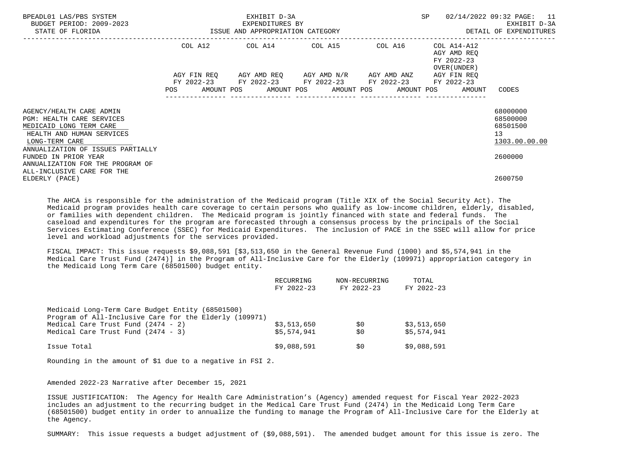| BPEADL01 LAS/PBS SYSTEM<br>BUDGET PERIOD: 2009-2023<br>STATE OF FLORIDA                                                                                                     |            | EXHIBIT D-3A<br>EXPENDITURES BY | ISSUE AND APPROPRIATION CATEGORY                                                                                                                     | SP                                                        | 02/14/2022 09:32 PAGE: 11<br>EXHIBIT D-3A<br>DETAIL OF EXPENDITURES |
|-----------------------------------------------------------------------------------------------------------------------------------------------------------------------------|------------|---------------------------------|------------------------------------------------------------------------------------------------------------------------------------------------------|-----------------------------------------------------------|---------------------------------------------------------------------|
|                                                                                                                                                                             |            |                                 | COL A12 COL A14 COL A15 COL A16                                                                                                                      | COL A14-A12<br>AGY AMD REO<br>FY 2022-23<br>OVER (UNDER ) |                                                                     |
|                                                                                                                                                                             | <b>POS</b> |                                 | AGY FIN REQ AGY AMD REQ AGY AMD N/R AGY AMD ANZ<br>FY 2022-23 FY 2022-23 FY 2022-23 FY 2022-23<br>AMOUNT POS AMOUNT POS AMOUNT POS AMOUNT POS AMOUNT | AGY FIN REO<br>FY 2022-23                                 | CODES                                                               |
| AGENCY/HEALTH CARE ADMIN<br><b>PGM: HEALTH CARE SERVICES</b><br>MEDICAID LONG TERM CARE<br>HEALTH AND HUMAN SERVICES<br>LONG-TERM CARE<br>ANNUALIZATION OF ISSUES PARTIALLY |            |                                 |                                                                                                                                                      |                                                           | 68000000<br>68500000<br>68501500<br>13<br>1303.00.00.00             |
| FUNDED IN PRIOR YEAR<br>ANNUALIZATION FOR THE PROGRAM OF<br>ALL-INCLUSIVE CARE FOR THE<br>ELDERLY (PACE)                                                                    |            |                                 |                                                                                                                                                      |                                                           | 2600000<br>2600750                                                  |

 The AHCA is responsible for the administration of the Medicaid program (Title XIX of the Social Security Act). The Medicaid program provides health care coverage to certain persons who qualify as low-income children, elderly, disabled, or families with dependent children. The Medicaid program is jointly financed with state and federal funds. The caseload and expenditures for the program are forecasted through a consensus process by the principals of the Social Services Estimating Conference (SSEC) for Medicaid Expenditures. The inclusion of PACE in the SSEC will allow for price level and workload adjustments for the services provided.

 FISCAL IMPACT: This issue requests \$9,088,591 [\$3,513,650 in the General Revenue Fund (1000) and \$5,574,941 in the Medical Care Trust Fund (2474)] in the Program of All-Inclusive Care for the Elderly (109971) appropriation category in the Medicaid Long Term Care (68501500) budget entity.

|                                                                                                                                                                                            | RECURRING<br>FY 2022-23    | NON-RECURRING<br>FY 2022-23 | TOTAL<br>FY 2022-23        |
|--------------------------------------------------------------------------------------------------------------------------------------------------------------------------------------------|----------------------------|-----------------------------|----------------------------|
| Medicaid Long-Term Care Budget Entity (68501500)<br>Program of All-Inclusive Care for the Elderly (109971)<br>Medical Care Trust Fund $(2474 - 2)$<br>Medical Care Trust Fund $(2474 - 3)$ | \$3,513,650<br>\$5,574,941 | \$0<br>\$0                  | \$3,513,650<br>\$5,574,941 |
| Issue Total                                                                                                                                                                                | \$9,088,591                | S0                          | \$9,088,591                |

Rounding in the amount of \$1 due to a negative in FSI 2.

Amended 2022-23 Narrative after December 15, 2021

 ISSUE JUSTIFICATION: The Agency for Health Care Administration's (Agency) amended request for Fiscal Year 2022-2023 includes an adjustment to the recurring budget in the Medical Care Trust Fund (2474) in the Medicaid Long Term Care (68501500) budget entity in order to annualize the funding to manage the Program of All-Inclusive Care for the Elderly at the Agency.

SUMMARY: This issue requests a budget adjustment of (\$9,088,591). The amended budget amount for this issue is zero. The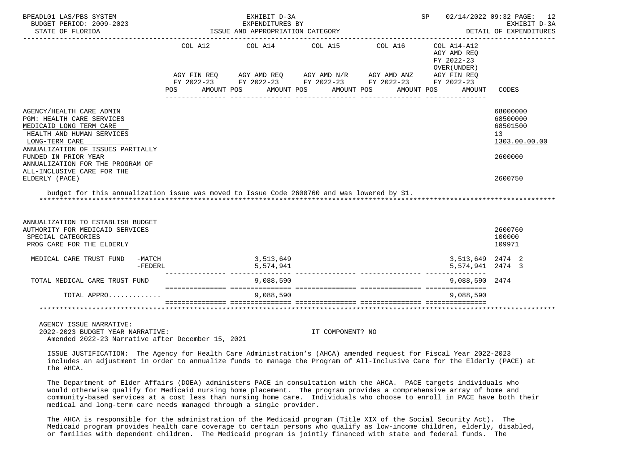| BPEADL01 LAS/PBS SYSTEM<br>BUDGET PERIOD: 2009-2023<br>STATE OF FLORIDA                                                                                                                                                                                                                                                                                                                                                                                                                |                     |  | EXHIBIT D-3A<br>EXPENDITURES BY<br>ISSUE AND APPROPRIATION CATEGORY                                                                                                                          |            | 02/14/2022 09:32 PAGE: 12<br>SP<br>EXHIBIT D-3A<br>DETAIL OF EXPENDITURES |                                      |                                                                    |
|----------------------------------------------------------------------------------------------------------------------------------------------------------------------------------------------------------------------------------------------------------------------------------------------------------------------------------------------------------------------------------------------------------------------------------------------------------------------------------------|---------------------|--|----------------------------------------------------------------------------------------------------------------------------------------------------------------------------------------------|------------|---------------------------------------------------------------------------|--------------------------------------|--------------------------------------------------------------------|
|                                                                                                                                                                                                                                                                                                                                                                                                                                                                                        | POS                 |  | COL A12 COL A14 COL A15 COL A16<br>AGY FIN REQ AGY AMD REQ AGY AMD N/R AGY AMD ANZ AGY FIN REQ<br>FY 2022-23 FY 2022-23 FY 2022-23 FY 2022-23 FY 2022-23<br>AMOUNT POS AMOUNT POS AMOUNT POS | AMOUNT POS | COL A14-A12<br>AGY AMD REO<br>FY 2022-23<br>OVER (UNDER)<br>AMOUNT        | CODES                                |                                                                    |
| AGENCY/HEALTH CARE ADMIN<br>PGM: HEALTH CARE SERVICES<br>MEDICAID LONG TERM CARE<br>HEALTH AND HUMAN SERVICES<br>LONG-TERM CARE<br>ANNUALIZATION OF ISSUES PARTIALLY<br>FUNDED IN PRIOR YEAR<br>ANNUALIZATION FOR THE PROGRAM OF<br>ALL-INCLUSIVE CARE FOR THE                                                                                                                                                                                                                         |                     |  |                                                                                                                                                                                              |            |                                                                           |                                      | 68000000<br>68500000<br>68501500<br>13<br>1303.00.00.00<br>2600000 |
| ELDERLY (PACE)<br>budget for this annualization issue was moved to Issue Code 2600760 and was lowered by \$1.                                                                                                                                                                                                                                                                                                                                                                          |                     |  |                                                                                                                                                                                              |            |                                                                           |                                      | 2600750                                                            |
| ANNUALIZATION TO ESTABLISH BUDGET<br>AUTHORITY FOR MEDICAID SERVICES<br>SPECIAL CATEGORIES<br>PROG CARE FOR THE ELDERLY                                                                                                                                                                                                                                                                                                                                                                |                     |  |                                                                                                                                                                                              |            |                                                                           |                                      | 2600760<br>100000<br>109971                                        |
| MEDICAL CARE TRUST FUND                                                                                                                                                                                                                                                                                                                                                                                                                                                                | -MATCH<br>$-FEDERL$ |  | 3,513,649<br>5,574,941                                                                                                                                                                       |            |                                                                           | 3,513,649 2474 2<br>5,574,941 2474 3 |                                                                    |
| TOTAL MEDICAL CARE TRUST FUND                                                                                                                                                                                                                                                                                                                                                                                                                                                          |                     |  | 9,088,590                                                                                                                                                                                    |            |                                                                           | 9,088,590 2474                       |                                                                    |
| TOTAL APPRO                                                                                                                                                                                                                                                                                                                                                                                                                                                                            |                     |  | 9,088,590                                                                                                                                                                                    |            |                                                                           | 9,088,590                            |                                                                    |
|                                                                                                                                                                                                                                                                                                                                                                                                                                                                                        |                     |  |                                                                                                                                                                                              |            |                                                                           |                                      |                                                                    |
| $\mathcal{L} \cap \mathcal{L} \cap \mathcal{L} \cap \mathcal{L} \cap \mathcal{L} \cap \mathcal{L} \cap \mathcal{L} \cap \mathcal{L} \cap \mathcal{L} \cap \mathcal{L} \cap \mathcal{L} \cap \mathcal{L} \cap \mathcal{L} \cap \mathcal{L} \cap \mathcal{L} \cap \mathcal{L} \cap \mathcal{L} \cap \mathcal{L} \cap \mathcal{L} \cap \mathcal{L} \cap \mathcal{L} \cap \mathcal{L} \cap \mathcal{L} \cap \mathcal{L} \cap \mathcal{L} \cap \mathcal{L} \cap \mathcal{L} \cap \mathcal{$ |                     |  |                                                                                                                                                                                              |            |                                                                           |                                      |                                                                    |

 2022-2023 BUDGET YEAR NARRATIVE: IT COMPONENT? NO Amended 2022-23 Narrative after December 15, 2021

 ISSUE JUSTIFICATION: The Agency for Health Care Administration's (AHCA) amended request for Fiscal Year 2022-2023 includes an adjustment in order to annualize funds to manage the Program of All-Inclusive Care for the Elderly (PACE) at the AHCA.

 The Department of Elder Affairs (DOEA) administers PACE in consultation with the AHCA. PACE targets individuals who would otherwise qualify for Medicaid nursing home placement. The program provides a comprehensive array of home and community-based services at a cost less than nursing home care. Individuals who choose to enroll in PACE have both their medical and long-term care needs managed through a single provider.

 The AHCA is responsible for the administration of the Medicaid program (Title XIX of the Social Security Act). The Medicaid program provides health care coverage to certain persons who qualify as low-income children, elderly, disabled, or families with dependent children. The Medicaid program is jointly financed with state and federal funds. The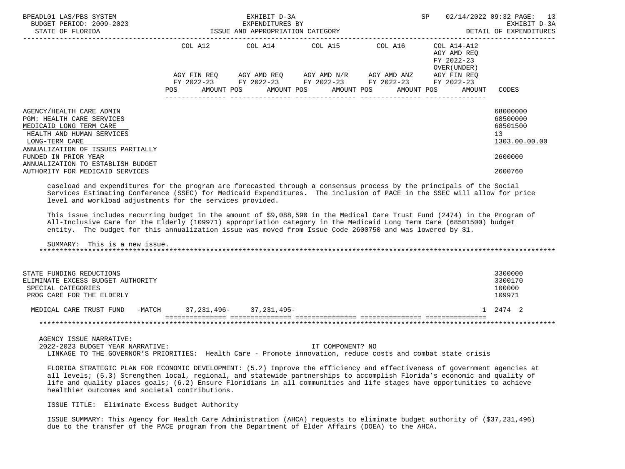| BPEADL01 LAS/PBS SYSTEM<br>EXPENDITURES BY<br>BUDGET PERIOD: 2009-2023<br>STATE OF FLORIDA STATE OF STATE OF STATE OF STATE OF STATE OF STATE OF STATE OF STATE OF STATE OF STATE OF STATE OF STATE OF STATE OF STATE OF STATE OF STATE OF STATE OF STATE OF ST                                                                                               | EXHIBIT D-3A | <b>SP</b> SP                                                | 02/14/2022 09:32 PAGE: 13<br>EXHIBIT D-3A<br>DETAIL OF EXPENDITURES |                                                        |                        |
|---------------------------------------------------------------------------------------------------------------------------------------------------------------------------------------------------------------------------------------------------------------------------------------------------------------------------------------------------------------|--------------|-------------------------------------------------------------|---------------------------------------------------------------------|--------------------------------------------------------|------------------------|
|                                                                                                                                                                                                                                                                                                                                                               |              | COL A12 COL A14 COL A15 COL A16 COL A14-A12                 |                                                                     | AGY AMD REQ<br>FY 2022-23<br>OVER (UNDER )             |                        |
|                                                                                                                                                                                                                                                                                                                                                               |              | AGY FIN REQ AGY AMD REQ AGY AMD N/R AGY AMD ANZ AGY FIN REQ |                                                                     |                                                        |                        |
|                                                                                                                                                                                                                                                                                                                                                               |              | FY 2022-23 FY 2022-23 FY 2022-23 FY 2022-23 FY 2022-23      |                                                                     |                                                        |                        |
|                                                                                                                                                                                                                                                                                                                                                               |              |                                                             |                                                                     | POS AMOUNT POS AMOUNT POS AMOUNT POS AMOUNT POS AMOUNT | CODES                  |
| AGENCY/HEALTH CARE ADMIN                                                                                                                                                                                                                                                                                                                                      |              |                                                             |                                                                     |                                                        | 68000000               |
| PGM: HEALTH CARE SERVICES<br>MEDICAID LONG TERM CARE                                                                                                                                                                                                                                                                                                          |              |                                                             |                                                                     |                                                        | 68500000<br>68501500   |
| HEALTH AND HUMAN SERVICES                                                                                                                                                                                                                                                                                                                                     |              |                                                             |                                                                     |                                                        | 13                     |
| LONG-TERM CARE                                                                                                                                                                                                                                                                                                                                                |              |                                                             |                                                                     |                                                        | 1303.00.00.00          |
| ANNUALIZATION OF ISSUES PARTIALLY<br>FUNDED IN PRIOR YEAR<br>ANNUALIZATION TO ESTABLISH BUDGET                                                                                                                                                                                                                                                                |              |                                                             |                                                                     |                                                        | 2600000                |
| AUTHORITY FOR MEDICAID SERVICES                                                                                                                                                                                                                                                                                                                               |              |                                                             |                                                                     |                                                        | 2600760                |
| This issue includes recurring budget in the amount of \$9,088,590 in the Medical Care Trust Fund (2474) in the Program of<br>All-Inclusive Care for the Elderly (109971) appropriation category in the Medicaid Long Term Care (68501500) budget<br>entity. The budget for this annualization issue was moved from Issue Code 2600750 and was lowered by \$1. |              |                                                             |                                                                     |                                                        |                        |
| SUMMARY: This is a new issue.                                                                                                                                                                                                                                                                                                                                 |              |                                                             |                                                                     |                                                        |                        |
| STATE FUNDING REDUCTIONS                                                                                                                                                                                                                                                                                                                                      |              |                                                             |                                                                     |                                                        | 3300000                |
| ELIMINATE EXCESS BUDGET AUTHORITY                                                                                                                                                                                                                                                                                                                             |              |                                                             |                                                                     |                                                        | 3300170                |
| SPECIAL CATEGORIES                                                                                                                                                                                                                                                                                                                                            |              |                                                             |                                                                     |                                                        | 100000                 |
| PROG CARE FOR THE ELDERLY                                                                                                                                                                                                                                                                                                                                     |              |                                                             |                                                                     |                                                        | 109971                 |
| MEDICAL CARE TRUST FUND -MATCH 37, 231, 496- 37, 231, 495-                                                                                                                                                                                                                                                                                                    |              |                                                             |                                                                     |                                                        | 1 2474 2               |
|                                                                                                                                                                                                                                                                                                                                                               |              |                                                             |                                                                     |                                                        | ********************** |
| AGENCY ISSUE NARRATIVE:                                                                                                                                                                                                                                                                                                                                       |              |                                                             |                                                                     |                                                        |                        |
| 2022-2023 BUDGET YEAR NARRATIVE:<br>LINKAGE TO THE GOVERNOR'S PRIORITIES: Health Care - Promote innovation, reduce costs and combat state crisis                                                                                                                                                                                                              |              | IT COMPONENT? NO                                            |                                                                     |                                                        |                        |
|                                                                                                                                                                                                                                                                                                                                                               |              |                                                             |                                                                     |                                                        |                        |
| FLORIDA STRATEGIC PLAN FOR ECONOMIC DEVELOPMENT: (5.2) Improve the efficiency and effectiveness of government agencies at<br>all levels; (5.3) Strengthen local, regional, and statewide partnerships to accomplish Florida's economic and quality of                                                                                                         |              |                                                             |                                                                     |                                                        |                        |

ISSUE TITLE: Eliminate Excess Budget Authority

healthier outcomes and societal contributions.

 ISSUE SUMMARY: This Agency for Health Care Administration (AHCA) requests to eliminate budget authority of (\$37,231,496) due to the transfer of the PACE program from the Department of Elder Affairs (DOEA) to the AHCA.

life and quality places goals; (6.2) Ensure Floridians in all communities and life stages have opportunities to achieve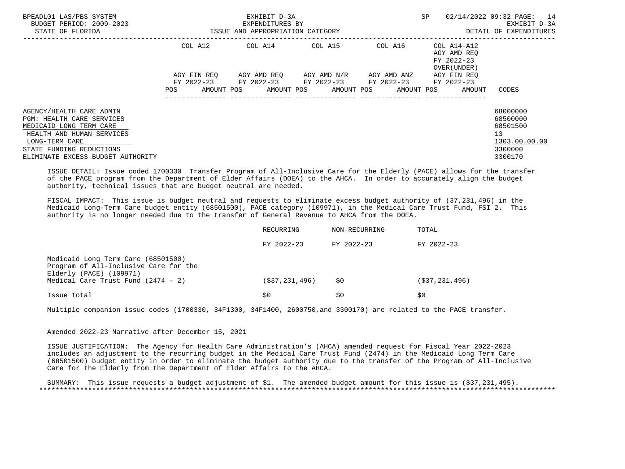| BPEADL01 LAS/PBS SYSTEM<br>BUDGET PERIOD: 2009-2023<br>STATE OF FLORIDA          |     |             | EXHIBIT D-3A<br>EXPENDITURES BY<br>ISSUE AND APPROPRIATION CATEGORY             |  |             | SP |                                                          | 14<br>02/14/2022 09:32 PAGE:<br>EXHIBIT D-3A<br>DETAIL OF EXPENDITURES |
|----------------------------------------------------------------------------------|-----|-------------|---------------------------------------------------------------------------------|--|-------------|----|----------------------------------------------------------|------------------------------------------------------------------------|
|                                                                                  |     | COL A12     | COL A14 COL A15                                                                 |  | COL A16     |    | COL A14-A12<br>AGY AMD REO<br>FY 2022-23<br>OVER (UNDER) |                                                                        |
|                                                                                  |     | AGY FIN REO | AGY AMD REO AGY AMD N/R                                                         |  | AGY AMD ANZ |    | AGY FIN REO                                              |                                                                        |
|                                                                                  | POS | AMOUNT POS  | FY 2022-23 FY 2022-23 FY 2022-23 FY 2022-23<br>AMOUNT POS AMOUNT POS AMOUNT POS |  |             |    | FY 2022-23<br>AMOUNT                                     | CODES                                                                  |
| AGENCY/HEALTH CARE ADMIN<br>PGM: HEALTH CARE SERVICES<br>MEDICAID LONG TERM CARE |     |             |                                                                                 |  |             |    |                                                          | 68000000<br>68500000<br>68501500                                       |
| HEALTH AND HUMAN SERVICES<br>LONG-TERM CARE                                      |     |             |                                                                                 |  |             |    |                                                          | 13<br>1303.00.00.00                                                    |
| STATE FUNDING REDUCTIONS<br>ELIMINATE EXCESS BUDGET AUTHORITY                    |     |             |                                                                                 |  |             |    |                                                          | 3300000<br>3300170                                                     |

 ISSUE DETAIL: Issue coded 1700330 Transfer Program of All-Inclusive Care for the Elderly (PACE) allows for the transfer of the PACE program from the Department of Elder Affairs (DOEA) to the AHCA. In order to accurately align the budget authority, technical issues that are budget neutral are needed.

 FISCAL IMPACT: This issue is budget neutral and requests to eliminate excess budget authority of (37,231,496) in the Medicaid Long-Term Care budget entity (68501500), PACE category (109971), in the Medical Care Trust Fund, FSI 2. This authority is no longer needed due to the transfer of General Revenue to AHCA from the DOEA.

|                                                                                                                                              | RECURRING      | NON-RECURRING | TOTAL           |
|----------------------------------------------------------------------------------------------------------------------------------------------|----------------|---------------|-----------------|
|                                                                                                                                              | $FY$ 2022-23   | FY 2022-23    | $FY$ 2022-23    |
| Medicaid Long Term Care (68501500)<br>Program of All-Inclusive Care for the<br>Elderly (PACE) (109971)<br>Medical Care Trust Fund (2474 - 2) | (\$37,231,496) | S0            | (537, 231, 496) |
| Issue Total                                                                                                                                  | S0             | S0            | S0              |

Multiple companion issue codes (1700330, 34F1300, 34F1400, 2600750,and 3300170) are related to the PACE transfer.

## Amended 2022-23 Narrative after December 15, 2021

 ISSUE JUSTIFICATION: The Agency for Health Care Administration's (AHCA) amended request for Fiscal Year 2022-2023 includes an adjustment to the recurring budget in the Medical Care Trust Fund (2474) in the Medicaid Long Term Care (68501500) budget entity in order to eliminate the budget authority due to the transfer of the Program of All-Inclusive Care for the Elderly from the Department of Elder Affairs to the AHCA.

 SUMMARY: This issue requests a budget adjustment of \$1. The amended budget amount for this issue is (\$37,231,495). \*\*\*\*\*\*\*\*\*\*\*\*\*\*\*\*\*\*\*\*\*\*\*\*\*\*\*\*\*\*\*\*\*\*\*\*\*\*\*\*\*\*\*\*\*\*\*\*\*\*\*\*\*\*\*\*\*\*\*\*\*\*\*\*\*\*\*\*\*\*\*\*\*\*\*\*\*\*\*\*\*\*\*\*\*\*\*\*\*\*\*\*\*\*\*\*\*\*\*\*\*\*\*\*\*\*\*\*\*\*\*\*\*\*\*\*\*\*\*\*\*\*\*\*\*\*\*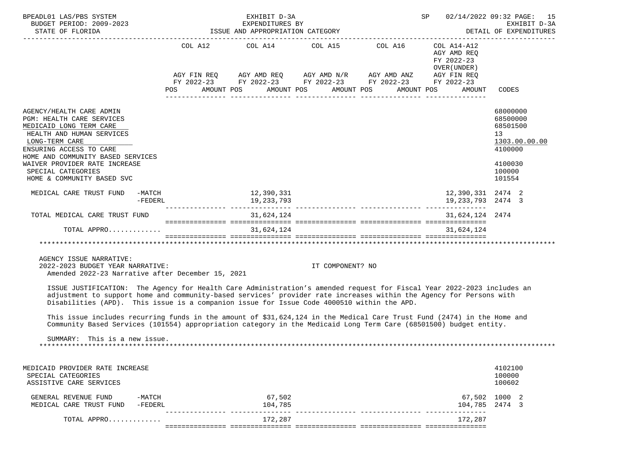| BPEADL01 LAS/PBS SYSTEM<br>BUDGET PERIOD: 2009-2023                                                                                                                                                                                                                                                                                                                                                                                                                                                                                                                                         | ISSUE AND APPROPRIATION CATEGORY                                                                                                                                                                                                                | EXHIBIT D-3A<br>EXPENDITURES BY |                  | 02/14/2022 09:32 PAGE: 15<br>SP<br>EXHIBIT D-3A<br>DETAIL OF EXPENDITURES |                                                                     |                                                                                                   |  |
|---------------------------------------------------------------------------------------------------------------------------------------------------------------------------------------------------------------------------------------------------------------------------------------------------------------------------------------------------------------------------------------------------------------------------------------------------------------------------------------------------------------------------------------------------------------------------------------------|-------------------------------------------------------------------------------------------------------------------------------------------------------------------------------------------------------------------------------------------------|---------------------------------|------------------|---------------------------------------------------------------------------|---------------------------------------------------------------------|---------------------------------------------------------------------------------------------------|--|
| STATE OF FLORIDA                                                                                                                                                                                                                                                                                                                                                                                                                                                                                                                                                                            |                                                                                                                                                                                                                                                 |                                 |                  |                                                                           |                                                                     |                                                                                                   |  |
|                                                                                                                                                                                                                                                                                                                                                                                                                                                                                                                                                                                             | COL A12 COL A14 COL A15 COL A16<br>$AGY \text{ FIN REQ} \qquad \text{AGY AMD REQ} \qquad \text{AGY AMD N/R} \qquad \text{AGY AMD ANZ} \qquad \text{AGY FIN REQ}$<br>FY 2022-23 FY 2022-23 FY 2022-23 FY 2022-23 FY 2022-23<br>AMOUNT POS<br>POS | AMOUNT POS                      | AMOUNT POS       | AMOUNT POS                                                                | COL A14-A12<br>AGY AMD REO<br>FY 2022-23<br>OVER (UNDER )<br>AMOUNT | CODES                                                                                             |  |
| AGENCY/HEALTH CARE ADMIN<br>PGM: HEALTH CARE SERVICES<br>MEDICAID LONG TERM CARE<br>HEALTH AND HUMAN SERVICES<br>LONG-TERM CARE<br>ENSURING ACCESS TO CARE<br>HOME AND COMMUNITY BASED SERVICES<br>WAIVER PROVIDER RATE INCREASE<br>SPECIAL CATEGORIES<br>HOME & COMMUNITY BASED SVC                                                                                                                                                                                                                                                                                                        |                                                                                                                                                                                                                                                 |                                 |                  |                                                                           |                                                                     | 68000000<br>68500000<br>68501500<br>13<br>1303.00.00.00<br>4100000<br>4100030<br>100000<br>101554 |  |
| MEDICAL CARE TRUST FUND -MATCH<br>$-FEDERL$                                                                                                                                                                                                                                                                                                                                                                                                                                                                                                                                                 |                                                                                                                                                                                                                                                 | 12,390,331<br>19,233,793        |                  |                                                                           | 12,390,331 2474 2<br>19, 233, 793 2474 3                            |                                                                                                   |  |
| TOTAL MEDICAL CARE TRUST FUND                                                                                                                                                                                                                                                                                                                                                                                                                                                                                                                                                               |                                                                                                                                                                                                                                                 | 31,624,124                      |                  |                                                                           | 31,624,124 2474                                                     |                                                                                                   |  |
| TOTAL APPRO                                                                                                                                                                                                                                                                                                                                                                                                                                                                                                                                                                                 |                                                                                                                                                                                                                                                 | 31,624,124                      |                  |                                                                           | 31,624,124                                                          |                                                                                                   |  |
| AGENCY ISSUE NARRATIVE:<br>2022-2023 BUDGET YEAR NARRATIVE:<br>Amended 2022-23 Narrative after December 15, 2021                                                                                                                                                                                                                                                                                                                                                                                                                                                                            |                                                                                                                                                                                                                                                 |                                 | IT COMPONENT? NO |                                                                           | ***********************************                                 |                                                                                                   |  |
| ISSUE JUSTIFICATION: The Agency for Health Care Administration's amended request for Fiscal Year 2022-2023 includes an<br>adjustment to support home and community-based services' provider rate increases within the Agency for Persons with<br>Disabilities (APD). This issue is a companion issue for Issue Code 4000510 within the APD.<br>This issue includes recurring funds in the amount of \$31,624,124 in the Medical Care Trust Fund (2474) in the Home and<br>Community Based Services (101554) appropriation category in the Medicaid Long Term Care (68501500) budget entity. |                                                                                                                                                                                                                                                 |                                 |                  |                                                                           |                                                                     |                                                                                                   |  |
| SUMMARY: This is a new issue.                                                                                                                                                                                                                                                                                                                                                                                                                                                                                                                                                               |                                                                                                                                                                                                                                                 |                                 |                  |                                                                           |                                                                     |                                                                                                   |  |
| MEDICAID PROVIDER RATE INCREASE<br>SPECIAL CATEGORIES<br>ASSISTIVE CARE SERVICES                                                                                                                                                                                                                                                                                                                                                                                                                                                                                                            |                                                                                                                                                                                                                                                 |                                 |                  |                                                                           |                                                                     | 4102100<br>100000<br>100602                                                                       |  |
| GENERAL REVENUE FUND<br>$-MATCH$<br>MEDICAL CARE TRUST FUND<br>$-FEDERL$                                                                                                                                                                                                                                                                                                                                                                                                                                                                                                                    |                                                                                                                                                                                                                                                 | 67,502<br>104,785               |                  |                                                                           | 104,785 2474 3                                                      | 67,502 1000 2                                                                                     |  |
| TOTAL APPRO                                                                                                                                                                                                                                                                                                                                                                                                                                                                                                                                                                                 |                                                                                                                                                                                                                                                 | 172,287                         |                  |                                                                           | 172,287                                                             |                                                                                                   |  |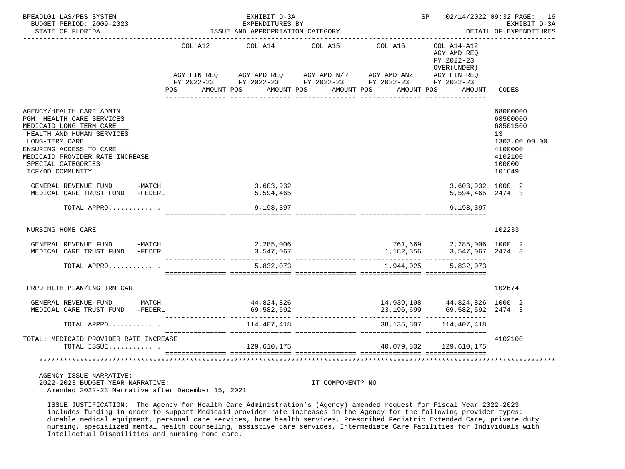| BPEADL01 LAS/PBS SYSTEM<br>BUDGET PERIOD: 2009-2023<br>STATE OF FLORIDA                                                                                                                                                                 |  | ISSUE AND APPROPRIATION CATEGORY |                                  | SP      | 02/14/2022 09:32 PAGE: 16<br>EXHIBIT D-3A<br>DETAIL OF EXPENDITURES                                                              |                                                                            |                                                                                                                |
|-----------------------------------------------------------------------------------------------------------------------------------------------------------------------------------------------------------------------------------------|--|----------------------------------|----------------------------------|---------|----------------------------------------------------------------------------------------------------------------------------------|----------------------------------------------------------------------------|----------------------------------------------------------------------------------------------------------------|
|                                                                                                                                                                                                                                         |  | COL A12                          | COL A14                          | COL A15 | COL A16<br>AGY FIN REQ AGY AMD REQ AGY AMD N/R AGY AMD ANZ AGY FIN REQ<br>FY 2022-23 FY 2022-23 FY 2022-23 FY 2022-23 FY 2022-23 | COL A14-A12<br>AGY AMD REO<br>FY 2022-23<br>OVER (UNDER)                   |                                                                                                                |
|                                                                                                                                                                                                                                         |  | POS                              | AMOUNT POS AMOUNT POS AMOUNT POS |         |                                                                                                                                  | AMOUNT POS<br>AMOUNT                                                       | CODES                                                                                                          |
| AGENCY/HEALTH CARE ADMIN<br>PGM: HEALTH CARE SERVICES<br>MEDICAID LONG TERM CARE<br>HEALTH AND HUMAN SERVICES<br>LONG-TERM CARE<br>ENSURING ACCESS TO CARE<br>MEDICAID PROVIDER RATE INCREASE<br>SPECIAL CATEGORIES<br>ICF/DD COMMUNITY |  |                                  |                                  |         |                                                                                                                                  |                                                                            | 68000000<br>68500000<br>68501500<br>13 <sup>°</sup><br>1303.00.00.00<br>4100000<br>4102100<br>100000<br>101649 |
| GENERAL REVENUE FUND -MATCH<br>MEDICAL CARE TRUST FUND -FEDERL                                                                                                                                                                          |  |                                  | 3,603,932<br>5,594,465           |         |                                                                                                                                  | 3,603,932 1000 2<br>5,594,465 2474 3                                       |                                                                                                                |
| TOTAL APPRO                                                                                                                                                                                                                             |  |                                  | 9,198,397                        |         |                                                                                                                                  | 9,198,397                                                                  |                                                                                                                |
| NURSING HOME CARE                                                                                                                                                                                                                       |  |                                  |                                  |         |                                                                                                                                  |                                                                            | 102233                                                                                                         |
| GENERAL REVENUE FUND -MATCH<br>MEDICAL CARE TRUST FUND -FEDERL                                                                                                                                                                          |  |                                  | 2,285,006<br>3,547,067           |         | 1,182,356                                                                                                                        | 761,669 2,285,006 1000 2<br>1,182,356 3,547,067 2474 3<br>3,547,067 2474 3 |                                                                                                                |
| TOTAL APPRO                                                                                                                                                                                                                             |  |                                  | 5,832,073                        |         | 1,944,025                                                                                                                        | 5,832,073                                                                  |                                                                                                                |
| PRPD HLTH PLAN/LNG TRM CAR                                                                                                                                                                                                              |  |                                  |                                  |         |                                                                                                                                  |                                                                            | 102674                                                                                                         |
| GENERAL REVENUE FUND -MATCH<br>MEDICAL CARE TRUST FUND -FEDERL                                                                                                                                                                          |  |                                  | 44,824,826<br>69,582,592         |         | 23,196,699                                                                                                                       | 14,939,108   44,824,826   1000   2<br>23,196,699   69,582,592   2474   3   |                                                                                                                |
| TOTAL APPRO                                                                                                                                                                                                                             |  |                                  | 114,407,418                      |         | 38,135,807                                                                                                                       | 114,407,418                                                                |                                                                                                                |
| TOTAL: MEDICAID PROVIDER RATE INCREASE<br>TOTAL ISSUE                                                                                                                                                                                   |  |                                  | 129,610,175                      |         | 40,079,832                                                                                                                       | 129,610,175                                                                | 4102100                                                                                                        |
|                                                                                                                                                                                                                                         |  |                                  |                                  |         |                                                                                                                                  |                                                                            |                                                                                                                |
| AGENCY ISSUE NARRATIVE:                                                                                                                                                                                                                 |  |                                  |                                  |         |                                                                                                                                  |                                                                            |                                                                                                                |

 2022-2023 BUDGET YEAR NARRATIVE: IT COMPONENT? NO Amended 2022-23 Narrative after December 15, 2021

 ISSUE JUSTIFICATION: The Agency for Health Care Administration's (Agency) amended request for Fiscal Year 2022-2023 includes funding in order to support Medicaid provider rate increases in the Agency for the following provider types: durable medical equipment, personal care services, home health services, Prescribed Pediatric Extended Care, private duty nursing, specialized mental health counseling, assistive care services, Intermediate Care Facilities for Individuals with Intellectual Disabilities and nursing home care.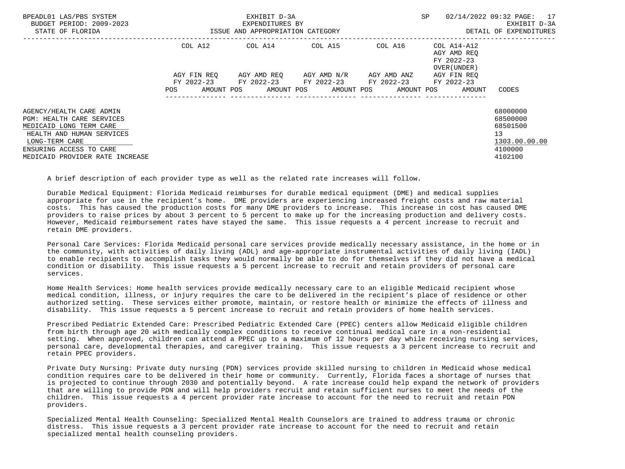| BPEADL01 LAS/PBS SYSTEM<br>BUDGET PERIOD: 2009-2023<br>STATE OF FLORIDA                                                                                           |             |            | EXHIBIT D-3A<br>EXPENDITURES BY<br>ISSUE AND APPROPRIATION CATEGORY                          |  |                                  | SP |                                                                  | 02/14/2022 09:32 PAGE: 17<br>EXHIBIT D-3A<br>DETAIL OF EXPENDITURES |
|-------------------------------------------------------------------------------------------------------------------------------------------------------------------|-------------|------------|----------------------------------------------------------------------------------------------|--|----------------------------------|----|------------------------------------------------------------------|---------------------------------------------------------------------|
|                                                                                                                                                                   | COL A12     |            | COL A14 COL A15                                                                              |  |                                  |    | COL A16 COL A14-A12<br>AGY AMD REO<br>FY 2022-23<br>OVER (UNDER) |                                                                     |
|                                                                                                                                                                   | AGY FIN REO |            | AGY AMD REO      AGY AMD N/R      AGY AMD ANZ<br>FY 2022-23 FY 2022-23 FY 2022-23 FY 2022-23 |  |                                  |    | AGY FIN REO<br>FY 2022-23                                        |                                                                     |
|                                                                                                                                                                   | <b>POS</b>  | AMOUNT POS |                                                                                              |  | AMOUNT POS AMOUNT POS AMOUNT POS |    | AMOUNT                                                           | CODES                                                               |
| AGENCY/HEALTH CARE ADMIN<br><b>PGM: HEALTH CARE SERVICES</b><br>MEDICAID LONG TERM CARE<br>HEALTH AND HUMAN SERVICES<br>LONG-TERM CARE<br>ENSURING ACCESS TO CARE |             |            |                                                                                              |  |                                  |    |                                                                  | 68000000<br>68500000<br>68501500<br>13<br>1303.00.00.00<br>4100000  |
| MEDICAID PROVIDER RATE INCREASE                                                                                                                                   |             |            |                                                                                              |  |                                  |    |                                                                  | 4102100                                                             |

A brief description of each provider type as well as the related rate increases will follow.

 Durable Medical Equipment: Florida Medicaid reimburses for durable medical equipment (DME) and medical supplies appropriate for use in the recipient's home. DME providers are experiencing increased freight costs and raw material costs. This has caused the production costs for many DME providers to increase. This increase in cost has caused DME providers to raise prices by about 3 percent to 5 percent to make up for the increasing production and delivery costs. However, Medicaid reimbursement rates have stayed the same. This issue requests a 4 percent increase to recruit and retain DME providers.

 Personal Care Services: Florida Medicaid personal care services provide medically necessary assistance, in the home or in the community, with activities of daily living (ADL) and age-appropriate instrumental activities of daily living (IADL) to enable recipients to accomplish tasks they would normally be able to do for themselves if they did not have a medical condition or disability. This issue requests a 5 percent increase to recruit and retain providers of personal care services.

 Home Health Services: Home health services provide medically necessary care to an eligible Medicaid recipient whose medical condition, illness, or injury requires the care to be delivered in the recipient's place of residence or other authorized setting. These services either promote, maintain, or restore health or minimize the effects of illness and disability. This issue requests a 5 percent increase to recruit and retain providers of home health services.

 Prescribed Pediatric Extended Care: Prescribed Pediatric Extended Care (PPEC) centers allow Medicaid eligible children from birth through age 20 with medically complex conditions to receive continual medical care in a non-residential setting. When approved, children can attend a PPEC up to a maximum of 12 hours per day while receiving nursing services, personal care, developmental therapies, and caregiver training. This issue requests a 3 percent increase to recruit and retain PPEC providers.

 Private Duty Nursing: Private duty nursing (PDN) services provide skilled nursing to children in Medicaid whose medical condition requires care to be delivered in their home or community. Currently, Florida faces a shortage of nurses that is projected to continue through 2030 and potentially beyond. A rate increase could help expand the network of providers that are willing to provide PDN and will help providers recruit and retain sufficient nurses to meet the needs of the children. This issue requests a 4 percent provider rate increase to account for the need to recruit and retain PDN providers.

 Specialized Mental Health Counseling: Specialized Mental Health Counselors are trained to address trauma or chronic distress. This issue requests a 3 percent provider rate increase to account for the need to recruit and retain specialized mental health counseling providers.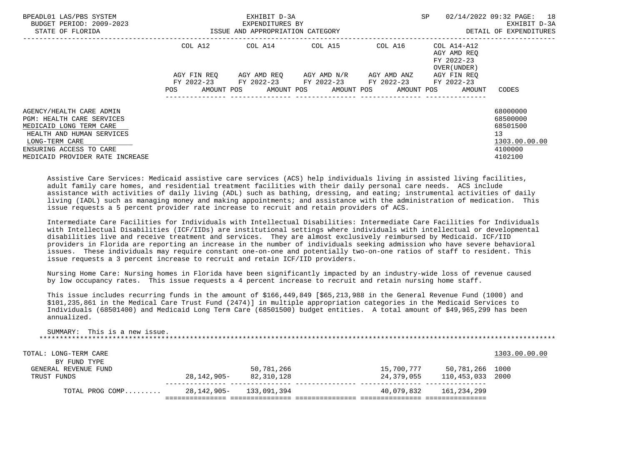| BPEADL01 LAS/PBS SYSTEM<br>BUDGET PERIOD: 2009-2023<br>STATE OF FLORIDA                 |                          | EXHIBIT D-3A<br>EXPENDITURES BY<br>ISSUE AND APPROPRIATION CATEGORY |                       |                          | <b>SP</b>                                                        | 02/14/2022 09:32 PAGE: 18<br>EXHIBIT D-3A<br>DETAIL OF EXPENDITURES |
|-----------------------------------------------------------------------------------------|--------------------------|---------------------------------------------------------------------|-----------------------|--------------------------|------------------------------------------------------------------|---------------------------------------------------------------------|
|                                                                                         | COL A12                  | COL A14 COL A15                                                     |                       |                          | COL A16 COL A14-A12<br>AGY AMD REO<br>FY 2022-23<br>OVER (UNDER) |                                                                     |
|                                                                                         | AGY FIN REO              | AGY AMD REQ AGY AMD N/R AGY AMD ANZ                                 |                       |                          | AGY FIN REO                                                      |                                                                     |
|                                                                                         | <b>POS</b><br>AMOUNT POS | FY 2022-23 FY 2022-23 FY 2022-23                                    | AMOUNT POS AMOUNT POS | FY 2022-23<br>AMOUNT POS | FY 2022-23<br>AMOUNT                                             | CODES                                                               |
| AGENCY/HEALTH CARE ADMIN<br><b>PGM: HEALTH CARE SERVICES</b><br>MEDICAID LONG TERM CARE |                          |                                                                     |                       |                          |                                                                  | 68000000<br>68500000<br>68501500                                    |
| HEALTH AND HUMAN SERVICES<br>LONG-TERM CARE                                             |                          |                                                                     |                       |                          |                                                                  | 13<br>1303.00.00.00                                                 |
| ENSURING ACCESS TO CARE                                                                 |                          |                                                                     |                       |                          |                                                                  | 4100000                                                             |
| MEDICAID PROVIDER RATE INCREASE                                                         |                          |                                                                     |                       |                          |                                                                  | 4102100                                                             |

 Assistive Care Services: Medicaid assistive care services (ACS) help individuals living in assisted living facilities, adult family care homes, and residential treatment facilities with their daily personal care needs. ACS include assistance with activities of daily living (ADL) such as bathing, dressing, and eating; instrumental activities of daily living (IADL) such as managing money and making appointments; and assistance with the administration of medication. This issue requests a 5 percent provider rate increase to recruit and retain providers of ACS.

 Intermediate Care Facilities for Individuals with Intellectual Disabilities: Intermediate Care Facilities for Individuals with Intellectual Disabilities (ICF/IIDs) are institutional settings where individuals with intellectual or developmental disabilities live and receive treatment and services. They are almost exclusively reimbursed by Medicaid. ICF/IID providers in Florida are reporting an increase in the number of individuals seeking admission who have severe behavioral issues. These individuals may require constant one-on-one and potentially two-on-one ratios of staff to resident. This issue requests a 3 percent increase to recruit and retain ICF/IID providers.

 Nursing Home Care: Nursing homes in Florida have been significantly impacted by an industry-wide loss of revenue caused by low occupancy rates. This issue requests a 4 percent increase to recruit and retain nursing home staff.

 This issue includes recurring funds in the amount of \$166,449,849 [\$65,213,988 in the General Revenue Fund (1000) and \$101,235,861 in the Medical Care Trust Fund (2474)] in multiple appropriation categories in the Medicaid Services to Individuals (68501400) and Medicaid Long Term Care (68501500) budget entities. A total amount of \$49,965,299 has been annualized.

| This is a new issue.<br>SUMMARY: |             |             |            |                 |               |
|----------------------------------|-------------|-------------|------------|-----------------|---------------|
| TOTAL: LONG-TERM CARE            |             |             |            |                 | 1303.00.00.00 |
| BY FUND TYPE                     |             |             |            |                 |               |
| GENERAL REVENUE FUND             |             | 50,781,266  | 15,700,777 | 50,781,266 1000 |               |
| TRUST FUNDS                      | 28,142,905- | 82,310,128  | 24,379,055 | 110,453,033     | 2000          |
| TOTAL PROG COMP                  | 28,142,905- | 133,091,394 | 40,079,832 | 161,234,299     |               |
|                                  |             |             |            |                 |               |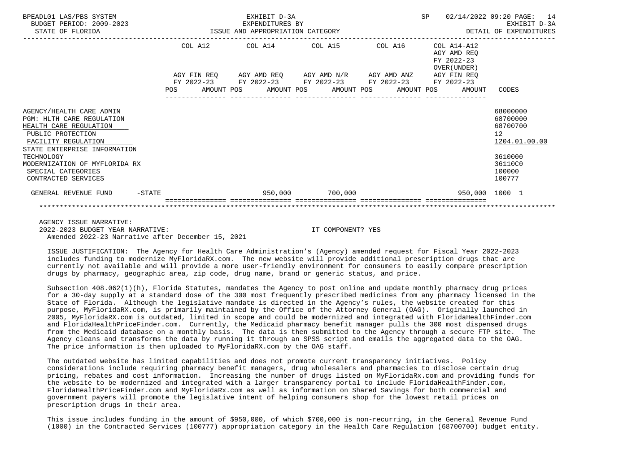| BPEADL01 LAS/PBS SYSTEM<br>BUDGET PERIOD: 2009-2023<br>STATE OF FLORIDA                                                                                            |     | 2023 EXPENDITURES BY<br>ISSUE AND APPROPRIATION CATEGORY |                                  | EXHIBIT D-3A<br>EXPENDITURES BY |                 |            | SP | 02/14/2022 09:20 PAGE: 14                                | DETAIL OF EXPENDITURES                                  | EXHIBIT D-3A |
|--------------------------------------------------------------------------------------------------------------------------------------------------------------------|-----|----------------------------------------------------------|----------------------------------|---------------------------------|-----------------|------------|----|----------------------------------------------------------|---------------------------------------------------------|--------------|
|                                                                                                                                                                    |     | COL A12                                                  | COL A14 COL A15                  |                                 |                 | COL A16    |    | COL A14-A12<br>AGY AMD REO<br>FY 2022-23<br>OVER (UNDER) |                                                         |              |
|                                                                                                                                                                    |     | AGY FIN REQ 6GY AMD REQ 6GY AMD N/R 6GY AMD ANZ          |                                  |                                 |                 |            |    | AGY FIN REO                                              |                                                         |              |
|                                                                                                                                                                    | POS | FY 2022-23 FY 2022-23 FY 2022-23 FY 2022-23              | AMOUNT POS AMOUNT POS AMOUNT POS |                                 |                 | AMOUNT POS |    | FY 2022-23<br>AMOUNT                                     | CODES                                                   |              |
| AGENCY/HEALTH CARE ADMIN<br><b>PGM: HLTH CARE REGULATION</b><br>HEALTH CARE REGULATION<br>PUBLIC PROTECTION<br>FACILITY REGULATION<br>STATE ENTERPRISE INFORMATION |     |                                                          |                                  |                                 |                 |            |    |                                                          | 68000000<br>68700000<br>68700700<br>12<br>1204.01.00.00 |              |
| TECHNOLOGY<br>MODERNIZATION OF MYFLORIDA RX<br>SPECIAL CATEGORIES<br>CONTRACTED SERVICES                                                                           |     |                                                          |                                  |                                 |                 |            |    |                                                          | 3610000<br>36110C0<br>100000<br>100777                  |              |
| GENERAL REVENUE FUND<br>$-$ STATE                                                                                                                                  |     |                                                          |                                  |                                 | 950,000 700,000 |            |    | 950,000 1000 1                                           |                                                         |              |
|                                                                                                                                                                    |     |                                                          |                                  |                                 |                 |            |    |                                                          |                                                         |              |

 AGENCY ISSUE NARRATIVE: 2022-2023 BUDGET YEAR NARRATIVE: IT COMPONENT? YES Amended 2022-23 Narrative after December 15, 2021

 ISSUE JUSTIFICATION: The Agency for Health Care Administration's (Agency) amended request for Fiscal Year 2022-2023 includes funding to modernize MyFloridaRX.com. The new website will provide additional prescription drugs that are currently not available and will provide a more user-friendly environment for consumers to easily compare prescription drugs by pharmacy, geographic area, zip code, drug name, brand or generic status, and price.

 Subsection 408.062(1)(h), Florida Statutes, mandates the Agency to post online and update monthly pharmacy drug prices for a 30-day supply at a standard dose of the 300 most frequently prescribed medicines from any pharmacy licensed in the State of Florida. Although the legislative mandate is directed in the Agency's rules, the website created for this purpose, MyFloridaRX.com, is primarily maintained by the Office of the Attorney General (OAG). Originally launched in 2005, MyFloridaRX.com is outdated, limited in scope and could be modernized and integrated with FloridaHealthFinder.com and FloridaHealthPriceFinder.com. Currently, the Medicaid pharmacy benefit manager pulls the 300 most dispensed drugs from the Medicaid database on a monthly basis. The data is then submitted to the Agency through a secure FTP site. The Agency cleans and transforms the data by running it through an SPSS script and emails the aggregated data to the OAG. The price information is then uploaded to MyFloridaRX.com by the OAG staff.

 The outdated website has limited capabilities and does not promote current transparency initiatives. Policy considerations include requiring pharmacy benefit managers, drug wholesalers and pharmacies to disclose certain drug pricing, rebates and cost information. Increasing the number of drugs listed on MyFloridaRx.com and providing funds for the website to be modernized and integrated with a larger transparency portal to include FloridaHealthFinder.com, FloridaHealthPriceFinder.com and MyFloridaRx.com as well as information on Shared Savings for both commercial and government payers will promote the legislative intent of helping consumers shop for the lowest retail prices on prescription drugs in their area.

 This issue includes funding in the amount of \$950,000, of which \$700,000 is non-recurring, in the General Revenue Fund (1000) in the Contracted Services (100777) appropriation category in the Health Care Regulation (68700700) budget entity.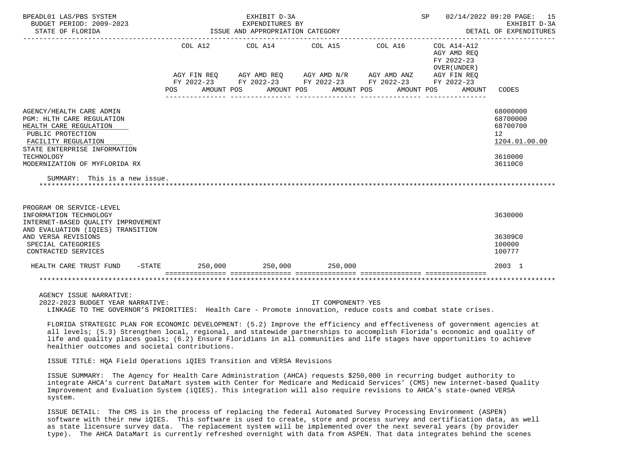| BPEADL01 LAS/PBS SYSTEM<br>BUDGET PERIOD: 2009-2023<br>STATE OF FLORIDA                  |         | EXHIBIT D-3A<br>EXPENDITURES BY<br>ISSUE AND APPROPRIATION CATEGORY |                 |                          | 02/14/2022 09:20 PAGE: 15<br>SP<br>EXHIBIT D-3A<br>DETAIL OF EXPENDITURES |               |  |  |
|------------------------------------------------------------------------------------------|---------|---------------------------------------------------------------------|-----------------|--------------------------|---------------------------------------------------------------------------|---------------|--|--|
|                                                                                          |         | COL A12 COL A14 COL A15                                             |                 | COL A16                  | COL A14-A12<br>AGY AMD REO<br>FY 2022-23<br>OVER (UNDER)                  |               |  |  |
|                                                                                          |         | AGY FIN REQ AGY AMD REQ AGY AMD N/R AGY AMD ANZ AGY FIN REQ         |                 |                          |                                                                           |               |  |  |
|                                                                                          | POS     | FY 2022-23 FY 2022-23 FY 2022-23 FY 2022-23<br>AMOUNT POS           | AMOUNT POS      | AMOUNT POS<br>AMOUNT POS | FY 2022-23<br>AMOUNT                                                      | CODES         |  |  |
| AGENCY/HEALTH CARE ADMIN                                                                 |         |                                                                     |                 |                          |                                                                           | 68000000      |  |  |
| PGM: HLTH CARE REGULATION                                                                |         |                                                                     |                 |                          |                                                                           | 68700000      |  |  |
| HEALTH CARE REGULATION                                                                   |         |                                                                     |                 |                          |                                                                           | 68700700      |  |  |
| PUBLIC PROTECTION                                                                        |         |                                                                     |                 |                          |                                                                           | 12            |  |  |
| FACILITY REGULATION                                                                      |         |                                                                     |                 |                          |                                                                           | 1204.01.00.00 |  |  |
| STATE ENTERPRISE INFORMATION<br>TECHNOLOGY                                               |         |                                                                     |                 |                          |                                                                           | 3610000       |  |  |
| MODERNIZATION OF MYFLORIDA RX                                                            |         |                                                                     |                 |                          |                                                                           | 36110C0       |  |  |
| SUMMARY: This is a new issue.                                                            |         |                                                                     |                 |                          |                                                                           |               |  |  |
| PROGRAM OR SERVICE-LEVEL<br>INFORMATION TECHNOLOGY<br>INTERNET-BASED QUALITY IMPROVEMENT |         |                                                                     |                 |                          |                                                                           | 3630000       |  |  |
| AND EVALUATION (IOIES) TRANSITION<br>AND VERSA REVISIONS                                 |         |                                                                     |                 |                          |                                                                           | 36309C0       |  |  |
| SPECIAL CATEGORIES                                                                       |         |                                                                     |                 |                          |                                                                           | 100000        |  |  |
| CONTRACTED SERVICES                                                                      |         |                                                                     |                 |                          |                                                                           | 100777        |  |  |
| HEALTH CARE TRUST FUND<br>$-$ STATE                                                      | 250,000 |                                                                     | 250,000 250,000 |                          |                                                                           | 2003 1        |  |  |
|                                                                                          |         |                                                                     |                 |                          |                                                                           |               |  |  |

 2022-2023 BUDGET YEAR NARRATIVE: IT COMPONENT? YES LINKAGE TO THE GOVERNOR'S PRIORITIES: Health Care - Promote innovation, reduce costs and combat state crises.

 FLORIDA STRATEGIC PLAN FOR ECONOMIC DEVELOPMENT: (5.2) Improve the efficiency and effectiveness of government agencies at all levels; (5.3) Strengthen local, regional, and statewide partnerships to accomplish Florida's economic and quality of life and quality places goals; (6.2) Ensure Floridians in all communities and life stages have opportunities to achieve healthier outcomes and societal contributions.

ISSUE TITLE: HQA Field Operations iQIES Transition and VERSA Revisions

 ISSUE SUMMARY: The Agency for Health Care Administration (AHCA) requests \$250,000 in recurring budget authority to integrate AHCA's current DataMart system with Center for Medicare and Medicaid Services' (CMS) new internet-based Quality Improvement and Evaluation System (iQIES). This integration will also require revisions to AHCA's state-owned VERSA system.

 ISSUE DETAIL: The CMS is in the process of replacing the federal Automated Survey Processing Environment (ASPEN) software with their new iQIES. This software is used to create, store and process survey and certification data, as well as state licensure survey data. The replacement system will be implemented over the next several years (by provider type). The AHCA DataMart is currently refreshed overnight with data from ASPEN. That data integrates behind the scenes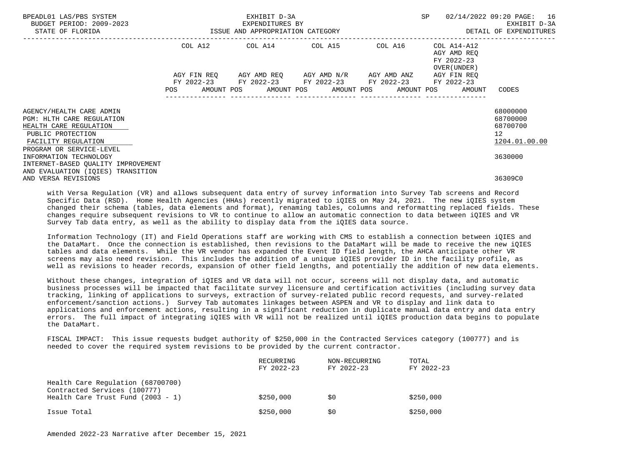|            |                                    |                                                                     | 02/14/2022 09:20 PAGE: 16<br>EXHIBIT D-3A<br>DETAIL OF EXPENDITURES |                                                                                                                                                                 |
|------------|------------------------------------|---------------------------------------------------------------------|---------------------------------------------------------------------|-----------------------------------------------------------------------------------------------------------------------------------------------------------------|
|            |                                    |                                                                     | AGY AMD REO<br>FY 2022-23                                           |                                                                                                                                                                 |
| <b>POS</b> |                                    |                                                                     | AGY FIN REQ<br>FY 2022-23<br>AMOUNT                                 | CODES                                                                                                                                                           |
|            |                                    |                                                                     |                                                                     | 68000000<br>68700000<br>68700700<br>12 <sup>°</sup><br>1204.01.00.00                                                                                            |
|            |                                    |                                                                     |                                                                     | 3630000<br>36309C0                                                                                                                                              |
|            | INTERNET-BASED QUALITY IMPROVEMENT | EXHIBIT D-3A<br>EXPENDITURES BY<br>ISSUE AND APPROPRIATION CATEGORY | AGY FIN REO AGY AMD REO AGY AMD N/R AGY AMD ANZ                     | SP<br>COL A12 COL A14 COL A15 COL A16 COL A14-A12<br>OVER (UNDER)<br>FY 2022-23 FY 2022-23 FY 2022-23 FY 2022-23<br>AMOUNT POS AMOUNT POS AMOUNT POS AMOUNT POS |

 with Versa Regulation (VR) and allows subsequent data entry of survey information into Survey Tab screens and Record Specific Data (RSD). Home Health Agencies (HHAs) recently migrated to iQIES on May 24, 2021. The new iQIES system changed their schema (tables, data elements and format), renaming tables, columns and reformatting replaced fields. These changes require subsequent revisions to VR to continue to allow an automatic connection to data between iQIES and VR Survey Tab data entry, as well as the ability to display data from the iQIES data source.

 Information Technology (IT) and Field Operations staff are working with CMS to establish a connection between iQIES and the DataMart. Once the connection is established, then revisions to the DataMart will be made to receive the new iQIES tables and data elements. While the VR vendor has expanded the Event ID field length, the AHCA anticipate other VR screens may also need revision. This includes the addition of a unique iQIES provider ID in the facility profile, as well as revisions to header records, expansion of other field lengths, and potentially the addition of new data elements.

 Without these changes, integration of iQIES and VR data will not occur, screens will not display data, and automatic business processes will be impacted that facilitate survey licensure and certification activities (including survey data tracking, linking of applications to surveys, extraction of survey-related public record requests, and survey-related enforcement/sanction actions.) Survey Tab automates linkages between ASPEN and VR to display and link data to applications and enforcement actions, resulting in a significant reduction in duplicate manual data entry and data entry errors. The full impact of integrating iQIES with VR will not be realized until iQIES production data begins to populate the DataMart.

 FISCAL IMPACT: This issue requests budget authority of \$250,000 in the Contracted Services category (100777) and is needed to cover the required system revisions to be provided by the current contractor.

|                                                                                                          | RECURRING<br>FY 2022-23 | NON-RECURRING<br>FY 2022-23 | TOTAL<br>FY 2022-23 |
|----------------------------------------------------------------------------------------------------------|-------------------------|-----------------------------|---------------------|
| Health Care Regulation (68700700)<br>Contracted Services (100777)<br>Health Care Trust Fund $(2003 - 1)$ | \$250,000               | S0                          | \$250,000           |
| Issue Total                                                                                              | \$250,000               | \$0                         | \$250,000           |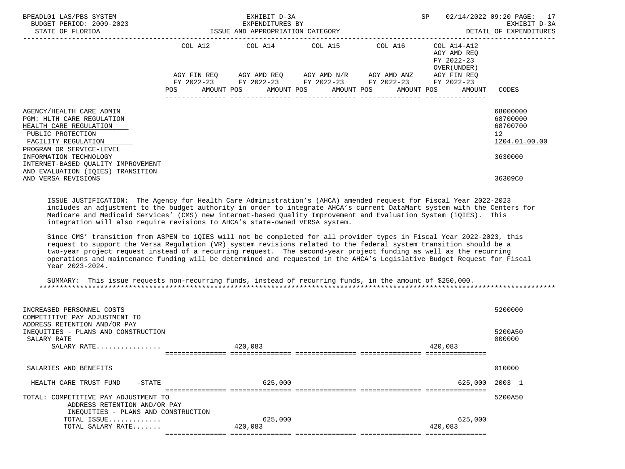| BPEADL01 LAS/PBS SYSTEM<br>BUDGET PERIOD: 2009-2023<br>STATE OF FLORIDA                                                                                                                                                                                                                                                                                                                                                                                                                                                                                                                                                                                                                                                                                                                                                                                                                                                                                                                   |            | EXHIBIT D-3A<br>EXPENDITURES BY | ISSUE AND APPROPRIATION CATEGORY                                                                                                                                                                        | SP<br>----------------------------------                  | 02/14/2022 09:20 PAGE: 17<br>EXHIBIT D-3A<br>DETAIL OF EXPENDITURES |
|-------------------------------------------------------------------------------------------------------------------------------------------------------------------------------------------------------------------------------------------------------------------------------------------------------------------------------------------------------------------------------------------------------------------------------------------------------------------------------------------------------------------------------------------------------------------------------------------------------------------------------------------------------------------------------------------------------------------------------------------------------------------------------------------------------------------------------------------------------------------------------------------------------------------------------------------------------------------------------------------|------------|---------------------------------|---------------------------------------------------------------------------------------------------------------------------------------------------------------------------------------------------------|-----------------------------------------------------------|---------------------------------------------------------------------|
|                                                                                                                                                                                                                                                                                                                                                                                                                                                                                                                                                                                                                                                                                                                                                                                                                                                                                                                                                                                           | <b>POS</b> |                                 | COL A12 COL A14 COL A15 COL A16 COL A14-A12<br>AGY FIN REQ AGY AMD REQ AGY AMD N/R AGY AMD ANZ<br>FY 2022-23 FY 2022-23 FY 2022-23 FY 2022-23 FY 2022-23<br>AMOUNT POS AMOUNT POS AMOUNT POS AMOUNT POS | AGY AMD REO<br>FY 2022-23<br>OVER (UNDER )<br>AGY FIN REO | AMOUNT CODES                                                        |
| AGENCY/HEALTH CARE ADMIN<br><b>PGM: HLTH CARE REGULATION</b><br>HEALTH CARE REGULATION<br>PUBLIC PROTECTION<br>FACILITY REGULATION<br>PROGRAM OR SERVICE-LEVEL<br>INFORMATION TECHNOLOGY<br>INTERNET-BASED OUALITY IMPROVEMENT<br>AND EVALUATION (IOIES) TRANSITION                                                                                                                                                                                                                                                                                                                                                                                                                                                                                                                                                                                                                                                                                                                       |            |                                 |                                                                                                                                                                                                         |                                                           | 68000000<br>68700000<br>68700700<br>12<br>1204.01.00.00<br>3630000  |
| AND VERSA REVISIONS<br>ISSUE JUSTIFICATION: The Agency for Health Care Administration's (AHCA) amended request for Fiscal Year 2022-2023<br>includes an adjustment to the budget authority in order to integrate AHCA's current DataMart system with the Centers for<br>Medicare and Medicaid Services' (CMS) new internet-based Quality Improvement and Evaluation System (iQIES). This<br>integration will also require revisions to AHCA's state-owned VERSA system.<br>Since CMS' transition from ASPEN to iQIES will not be completed for all provider types in Fiscal Year 2022-2023, this<br>request to support the Versa Requlation (VR) system revisions related to the federal system transition should be a<br>two-year project request instead of a recurring request. The second-year project funding as well as the recurring<br>operations and maintenance funding will be determined and requested in the AHCA's Legislative Budget Request for Fiscal<br>Year 2023-2024. |            |                                 |                                                                                                                                                                                                         |                                                           | 36309C0                                                             |

 SUMMARY: This issue requests non-recurring funds, instead of recurring funds, in the amount of \$250,000. \*\*\*\*\*\*\*\*\*\*\*\*\*\*\*\*\*\*\*\*\*\*\*\*\*\*\*\*\*\*\*\*\*\*\*\*\*\*\*\*\*\*\*\*\*\*\*\*\*\*\*\*\*\*\*\*\*\*\*\*\*\*\*\*\*\*\*\*\*\*\*\*\*\*\*\*\*\*\*\*\*\*\*\*\*\*\*\*\*\*\*\*\*\*\*\*\*\*\*\*\*\*\*\*\*\*\*\*\*\*\*\*\*\*\*\*\*\*\*\*\*\*\*\*\*\*\*

| INCREASED PERSONNEL COSTS<br>COMPETITIVE PAY ADJUSTMENT TO<br>ADDRESS RETENTION AND/OR PAY<br>INEQUITIES - PLANS AND CONSTRUCTION<br>SALARY RATE<br>SALARY RATE | 420,083 | 420,083 | 5200000<br>5200A50<br>000000 |
|-----------------------------------------------------------------------------------------------------------------------------------------------------------------|---------|---------|------------------------------|
|                                                                                                                                                                 |         |         |                              |
| SALARIES AND BENEFITS                                                                                                                                           |         |         | 010000                       |
| HEALTH CARE TRUST FUND<br>-STATE                                                                                                                                | 625,000 | 625,000 | 2003 1                       |
|                                                                                                                                                                 |         |         |                              |
| TOTAL: COMPETITIVE PAY ADJUSTMENT TO                                                                                                                            |         |         | 5200A50                      |
| ADDRESS RETENTION AND/OR PAY                                                                                                                                    |         |         |                              |
| INEQUITIES - PLANS AND CONSTRUCTION                                                                                                                             |         |         |                              |
| TOTAL ISSUE                                                                                                                                                     | 625,000 | 625,000 |                              |
| TOTAL SALARY RATE                                                                                                                                               | 420,083 | 420,083 |                              |
|                                                                                                                                                                 |         |         |                              |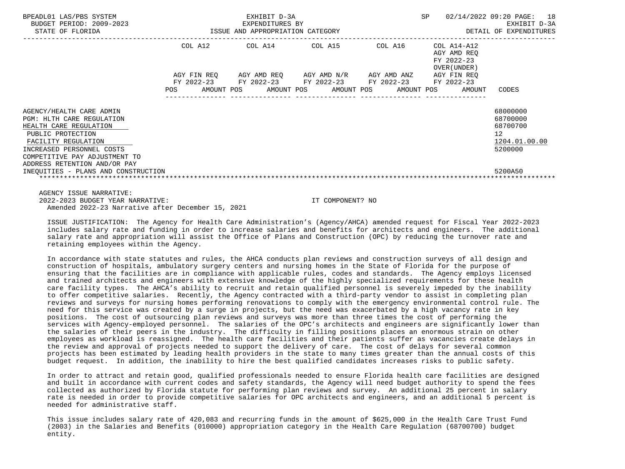| BPEADL01 LAS/PBS SYSTEM<br>BUDGET PERIOD: 2009-2023<br>STATE OF FLORIDA                                                                                                                                                                                          |         | EXHIBIT D-3A<br>-2023 EXPENDITURES BY<br>ISSUE AND APPROPRIATION CATEGORY                                                                                | SP              | 02/14/2022 09:20 PAGE: 18<br>EXHIBIT D-3A<br>DETAIL OF EXPENDITURES |                                                           |                                                                                            |
|------------------------------------------------------------------------------------------------------------------------------------------------------------------------------------------------------------------------------------------------------------------|---------|----------------------------------------------------------------------------------------------------------------------------------------------------------|-----------------|---------------------------------------------------------------------|-----------------------------------------------------------|--------------------------------------------------------------------------------------------|
|                                                                                                                                                                                                                                                                  | COL A12 |                                                                                                                                                          | COL A14 COL A15 | COL A16                                                             | COL A14-A12<br>AGY AMD REO<br>FY 2022-23<br>OVER (UNDER ) |                                                                                            |
|                                                                                                                                                                                                                                                                  | POS     | AGY FIN REQ AGY AMD REQ AGY AMD N/R AGY AMD ANZ<br>FY 2022-23 FY 2022-23 FY 2022-23 FY 2022-23 FY 2022-23<br>AMOUNT POS AMOUNT POS AMOUNT POS AMOUNT POS |                 |                                                                     | AGY FIN REO<br>AMOUNT                                     | CODES                                                                                      |
| AGENCY/HEALTH CARE ADMIN<br>PGM: HLTH CARE REGULATION<br>HEALTH CARE REGULATION<br>PUBLIC PROTECTION<br>FACILITY REGULATION<br>INCREASED PERSONNEL COSTS<br>COMPETITIVE PAY ADJUSTMENT TO<br>ADDRESS RETENTION AND/OR PAY<br>INEOUITIES - PLANS AND CONSTRUCTION |         |                                                                                                                                                          |                 |                                                                     |                                                           | 68000000<br>68700000<br>68700700<br>12 <sup>°</sup><br>1204.01.00.00<br>5200000<br>5200A50 |

 AGENCY ISSUE NARRATIVE: 2022-2023 BUDGET YEAR NARRATIVE: IT COMPONENT? NO Amended 2022-23 Narrative after December 15, 2021

 ISSUE JUSTIFICATION: The Agency for Health Care Administration's (Agency/AHCA) amended request for Fiscal Year 2022-2023 includes salary rate and funding in order to increase salaries and benefits for architects and engineers. The additional salary rate and appropriation will assist the Office of Plans and Construction (OPC) by reducing the turnover rate and retaining employees within the Agency.

 In accordance with state statutes and rules, the AHCA conducts plan reviews and construction surveys of all design and construction of hospitals, ambulatory surgery centers and nursing homes in the State of Florida for the purpose of ensuring that the facilities are in compliance with applicable rules, codes and standards. The Agency employs licensed and trained architects and engineers with extensive knowledge of the highly specialized requirements for these health care facility types. The AHCA's ability to recruit and retain qualified personnel is severely impeded by the inability to offer competitive salaries. Recently, the Agency contracted with a third-party vendor to assist in completing plan reviews and surveys for nursing homes performing renovations to comply with the emergency environmental control rule. The need for this service was created by a surge in projects, but the need was exacerbated by a high vacancy rate in key positions. The cost of outsourcing plan reviews and surveys was more than three times the cost of performing the services with Agency-employed personnel. The salaries of the OPC's architects and engineers are significantly lower than the salaries of their peers in the industry. The difficulty in filling positions places an enormous strain on other employees as workload is reassigned. The health care facilities and their patients suffer as vacancies create delays in the review and approval of projects needed to support the delivery of care. The cost of delays for several common projects has been estimated by leading health providers in the state to many times greater than the annual costs of this budget request. In addition, the inability to hire the best qualified candidates increases risks to public safety.

 In order to attract and retain good, qualified professionals needed to ensure Florida health care facilities are designed and built in accordance with current codes and safety standards, the Agency will need budget authority to spend the fees collected as authorized by Florida statute for performing plan reviews and survey. An additional 25 percent in salary rate is needed in order to provide competitive salaries for OPC architects and engineers, and an additional 5 percent is needed for administrative staff.

 This issue includes salary rate of 420,083 and recurring funds in the amount of \$625,000 in the Health Care Trust Fund (2003) in the Salaries and Benefits (010000) appropriation category in the Health Care Regulation (68700700) budget entity.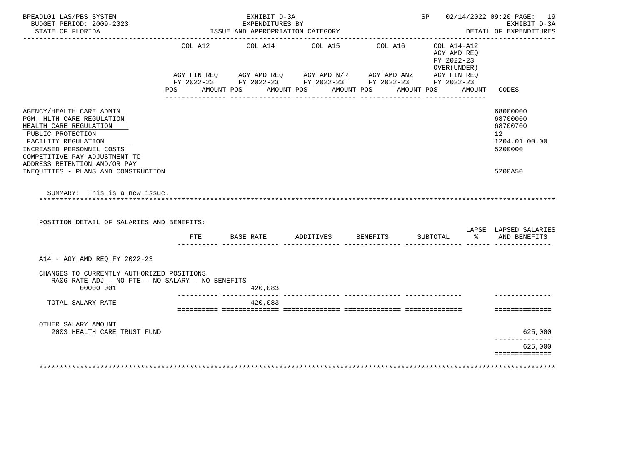| BPEADL01 LAS/PBS SYSTEM<br>BUDGET PERIOD: 2009-2023                                                                                                                                       |         | EXHIBIT D-3A<br>EXPENDITURES BY                                      |                 |                 |            |          |                                                          | SP 02/14/2022 09:20 PAGE: 19<br>EXHIBIT D-3A                       |
|-------------------------------------------------------------------------------------------------------------------------------------------------------------------------------------------|---------|----------------------------------------------------------------------|-----------------|-----------------|------------|----------|----------------------------------------------------------|--------------------------------------------------------------------|
| STATE OF FLORIDA                                                                                                                                                                          |         | ISSUE AND APPROPRIATION CATEGORY                                     |                 |                 |            |          |                                                          | DETAIL OF EXPENDITURES                                             |
|                                                                                                                                                                                           | COL A12 | AGY FIN REQ AGY AMD REQ AGY AMD N/R AGY AMD ANZ AGY FIN REQ          | COL A14 COL A15 | COL A16         |            |          | COL A14-A12<br>AGY AMD REQ<br>FY 2022-23<br>OVER (UNDER) |                                                                    |
|                                                                                                                                                                                           | POS     | FY 2022-23 FY 2022-23 FY 2022-23 FY 2022-23 FY 2022-23<br>AMOUNT POS | AMOUNT POS      | AMOUNT POS      | AMOUNT POS |          | AMOUNT                                                   | CODES                                                              |
|                                                                                                                                                                                           |         |                                                                      |                 |                 |            |          |                                                          |                                                                    |
| AGENCY/HEALTH CARE ADMIN<br>PGM: HLTH CARE REGULATION<br>HEALTH CARE REGULATION<br>PUBLIC PROTECTION<br>FACILITY REGULATION<br>INCREASED PERSONNEL COSTS<br>COMPETITIVE PAY ADJUSTMENT TO |         |                                                                      |                 |                 |            |          |                                                          | 68000000<br>68700000<br>68700700<br>12<br>1204.01.00.00<br>5200000 |
|                                                                                                                                                                                           |         |                                                                      |                 |                 |            |          |                                                          |                                                                    |
| ADDRESS RETENTION AND/OR PAY<br>INEQUITIES - PLANS AND CONSTRUCTION                                                                                                                       |         |                                                                      |                 |                 |            |          |                                                          | 5200A50                                                            |
| SUMMARY: This is a new issue.<br>POSITION DETAIL OF SALARIES AND BENEFITS:                                                                                                                |         |                                                                      |                 |                 |            |          |                                                          |                                                                    |
|                                                                                                                                                                                           | FTE     | BASE RATE                                                            | ADDITIVES       | <b>BENEFITS</b> |            | SUBTOTAL |                                                          | LAPSE LAPSED SALARIES<br>% AND BENEFITS                            |
| A14 - AGY AMD REQ FY 2022-23                                                                                                                                                              |         |                                                                      |                 |                 |            |          |                                                          |                                                                    |
| CHANGES TO CURRENTLY AUTHORIZED POSITIONS<br>RA06 RATE ADJ - NO FTE - NO SALARY - NO BENEFITS<br>00000 001                                                                                |         | 420,083                                                              |                 |                 |            |          |                                                          |                                                                    |
| TOTAL SALARY RATE                                                                                                                                                                         |         | 420,083                                                              |                 |                 |            |          |                                                          |                                                                    |
|                                                                                                                                                                                           |         |                                                                      |                 |                 |            |          |                                                          | ==============                                                     |
| OTHER SALARY AMOUNT<br>2003 HEALTH CARE TRUST FUND                                                                                                                                        |         |                                                                      |                 |                 |            |          |                                                          |                                                                    |
|                                                                                                                                                                                           |         |                                                                      |                 |                 |            |          |                                                          | 625,000<br>-----------<br>625,000                                  |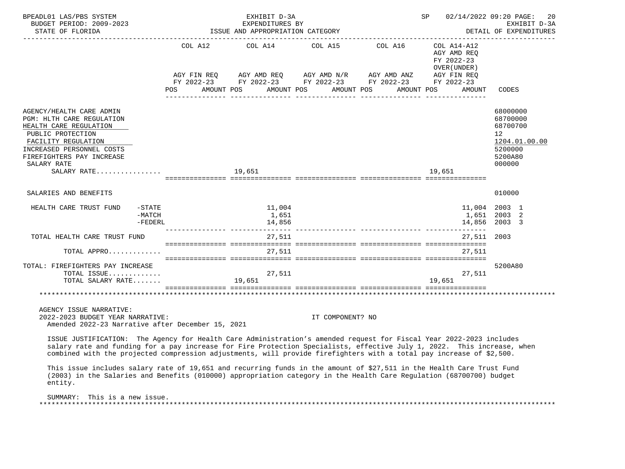| BPEADL01 LAS/PBS SYSTEM<br>BUDGET PERIOD: 2009-2023                                                                                                                                                                                                                                                                                                                    |                     |                                                                                                                | EXHIBIT D-3A                     | EXPENDITURES BY                                                                                                                                                                                         |                                                                        | SP 02/14/2022 09:20 PAGE: 20<br>EXHIBIT D-3A                                                         |
|------------------------------------------------------------------------------------------------------------------------------------------------------------------------------------------------------------------------------------------------------------------------------------------------------------------------------------------------------------------------|---------------------|----------------------------------------------------------------------------------------------------------------|----------------------------------|---------------------------------------------------------------------------------------------------------------------------------------------------------------------------------------------------------|------------------------------------------------------------------------|------------------------------------------------------------------------------------------------------|
| STATE OF FLORIDA                                                                                                                                                                                                                                                                                                                                                       |                     |                                                                                                                | ISSUE AND APPROPRIATION CATEGORY |                                                                                                                                                                                                         |                                                                        | DETAIL OF EXPENDITURES                                                                               |
|                                                                                                                                                                                                                                                                                                                                                                        |                     | POS FOR THE POST OF THE STATE STATE STATE STATE STATE STATE STATE STATE STATE STATE STATE STATE STATE STATE ST |                                  | COL A12 COL A14 COL A15 COL A16<br>AGY FIN REQ AGY AMD REQ AGY AMD N/R AGY AMD ANZ AGY FIN REQ<br>FY 2022-23 FY 2022-23 FY 2022-23 FY 2022-23 FY 2022-23<br>AMOUNT POS AMOUNT POS AMOUNT POS AMOUNT POS | $COL A14 - A12$<br>AGY AMD REO<br>FY 2022-23<br>OVER (UNDER)<br>AMOUNT | CODES                                                                                                |
| AGENCY/HEALTH CARE ADMIN<br><b>PGM: HLTH CARE REGULATION</b><br>HEALTH CARE REGULATION<br>PUBLIC PROTECTION<br>FACILITY REGULATION<br>INCREASED PERSONNEL COSTS<br>FIREFIGHTERS PAY INCREASE<br>SALARY RATE                                                                                                                                                            |                     |                                                                                                                |                                  |                                                                                                                                                                                                         | 19,651                                                                 | 68000000<br>68700000<br>68700700<br>12 <sup>°</sup><br>1204.01.00.00<br>5200000<br>5200A80<br>000000 |
| SALARIES AND BENEFITS                                                                                                                                                                                                                                                                                                                                                  |                     |                                                                                                                |                                  |                                                                                                                                                                                                         |                                                                        | 010000                                                                                               |
| HEALTH CARE TRUST FUND                                                                                                                                                                                                                                                                                                                                                 | $-MATCH$<br>-FEDERL | $-STATE$                                                                                                       | 11,004<br>1,651<br>14,856        |                                                                                                                                                                                                         |                                                                        | 11,004 2003 1<br>1,651 2003 2<br>14,856 2003 3                                                       |
| TOTAL HEALTH CARE TRUST FUND                                                                                                                                                                                                                                                                                                                                           |                     |                                                                                                                | 27,511                           |                                                                                                                                                                                                         | 27,511 2003                                                            |                                                                                                      |
| TOTAL APPRO                                                                                                                                                                                                                                                                                                                                                            |                     |                                                                                                                | 27,511                           |                                                                                                                                                                                                         | 27,511                                                                 |                                                                                                      |
| TOTAL: FIREFIGHTERS PAY INCREASE<br>TOTAL ISSUE<br>TOTAL SALARY RATE                                                                                                                                                                                                                                                                                                   |                     |                                                                                                                | 27,511<br>19,651                 |                                                                                                                                                                                                         | 27,511<br>19,651                                                       | 5200A80                                                                                              |
|                                                                                                                                                                                                                                                                                                                                                                        |                     |                                                                                                                |                                  |                                                                                                                                                                                                         |                                                                        |                                                                                                      |
| AGENCY ISSUE NARRATIVE:<br>2022-2023 BUDGET YEAR NARRATIVE:<br>Amended 2022-23 Narrative after December 15, 2021                                                                                                                                                                                                                                                       |                     |                                                                                                                |                                  | IT COMPONENT? NO                                                                                                                                                                                        |                                                                        |                                                                                                      |
| ISSUE JUSTIFICATION: The Agency for Health Care Administration's amended request for Fiscal Year 2022-2023 includes<br>salary rate and funding for a pay increase for Fire Protection Specialists, effective July 1, 2022. This increase, when<br>combined with the projected compression adjustments, will provide firefighters with a total pay increase of \$2,500. |                     |                                                                                                                |                                  |                                                                                                                                                                                                         |                                                                        |                                                                                                      |

 This issue includes salary rate of 19,651 and recurring funds in the amount of \$27,511 in the Health Care Trust Fund (2003) in the Salaries and Benefits (010000) appropriation category in the Health Care Regulation (68700700) budget entity.

SUMMARY: This is a new issue.

\*\*\*\*\*\*\*\*\*\*\*\*\*\*\*\*\*\*\*\*\*\*\*\*\*\*\*\*\*\*\*\*\*\*\*\*\*\*\*\*\*\*\*\*\*\*\*\*\*\*\*\*\*\*\*\*\*\*\*\*\*\*\*\*\*\*\*\*\*\*\*\*\*\*\*\*\*\*\*\*\*\*\*\*\*\*\*\*\*\*\*\*\*\*\*\*\*\*\*\*\*\*\*\*\*\*\*\*\*\*\*\*\*\*\*\*\*\*\*\*\*\*\*\*\*\*\*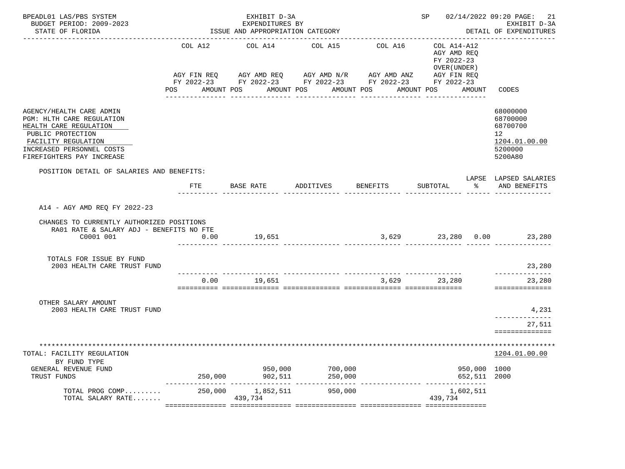| BPEADL01 LAS/PBS SYSTEM<br>BUDGET PERIOD: 2009-2023                                                                                                                                   |                                  | EXHIBIT D-3A<br>EXPENDITURES BY                                                                                                                                               | SP 02/14/2022 09:20 PAGE: 21 | EXHIBIT D-3A                     |                                                                    |                                                                                            |
|---------------------------------------------------------------------------------------------------------------------------------------------------------------------------------------|----------------------------------|-------------------------------------------------------------------------------------------------------------------------------------------------------------------------------|------------------------------|----------------------------------|--------------------------------------------------------------------|--------------------------------------------------------------------------------------------|
| STATE OF FLORIDA<br>---------------------                                                                                                                                             | ISSUE AND APPROPRIATION CATEGORY |                                                                                                                                                                               |                              |                                  |                                                                    | DETAIL OF EXPENDITURES                                                                     |
|                                                                                                                                                                                       |                                  | COL A12 COL A14 COL A15<br>AGY FIN REQ AGY AMD REQ AGY AMD N/R AGY AMD ANZ AGY FIN REQ<br>FY 2022-23 FY 2022-23 FY 2022-23 FY 2022-23 FY 2022-23<br>POS AMOUNT POS AMOUNT POS | ---------------              | COL A16<br>AMOUNT POS AMOUNT POS | COL A14-A12<br>AGY AMD REQ<br>FY 2022-23<br>OVER (UNDER)<br>AMOUNT | CODES                                                                                      |
| AGENCY/HEALTH CARE ADMIN<br>PGM: HLTH CARE REGULATION<br>HEALTH CARE REGULATION<br>PUBLIC PROTECTION<br>FACILITY REGULATION<br>INCREASED PERSONNEL COSTS<br>FIREFIGHTERS PAY INCREASE |                                  |                                                                                                                                                                               |                              |                                  |                                                                    | 68000000<br>68700000<br>68700700<br>12 <sup>°</sup><br>1204.01.00.00<br>5200000<br>5200A80 |
| POSITION DETAIL OF SALARIES AND BENEFITS:                                                                                                                                             |                                  |                                                                                                                                                                               |                              |                                  |                                                                    | LAPSE LAPSED SALARIES                                                                      |
|                                                                                                                                                                                       | FTE                              | BASE RATE                                                                                                                                                                     | ADDITIVES                    | BENEFITS                         | SUBTOTAL<br>$\sim$ $\approx$                                       | AND BENEFITS                                                                               |
| A14 - AGY AMD REQ FY 2022-23<br>CHANGES TO CURRENTLY AUTHORIZED POSITIONS<br>RA01 RATE & SALARY ADJ - BENEFITS NO FTE<br>C0001 001                                                    | 0.00                             | 19,651                                                                                                                                                                        |                              |                                  | $3,629$ $23,280$ $0.00$ $23,280$                                   |                                                                                            |
| TOTALS FOR ISSUE BY FUND<br>2003 HEALTH CARE TRUST FUND                                                                                                                               |                                  |                                                                                                                                                                               |                              |                                  |                                                                    | 23,280<br>______________                                                                   |
|                                                                                                                                                                                       | 0.00                             | 19,651                                                                                                                                                                        |                              |                                  | 3,629 23,280                                                       | 23,280<br>==============                                                                   |
| OTHER SALARY AMOUNT<br>2003 HEALTH CARE TRUST FUND                                                                                                                                    |                                  |                                                                                                                                                                               |                              |                                  |                                                                    | 4,231<br>-------------                                                                     |
|                                                                                                                                                                                       |                                  |                                                                                                                                                                               |                              |                                  |                                                                    | 27,511<br>==============                                                                   |
| TOTAL: FACILITY REGULATION<br>BY FUND TYPE<br>GENERAL REVENUE FUND<br>TRUST FUNDS                                                                                                     | 250,000                          | 950,000<br>902,511                                                                                                                                                            | 700,000<br>250,000           |                                  | 950,000<br>652,511                                                 | 1204.01.00.00<br>1000<br>2000                                                              |
| TOTAL PROG COMP<br>TOTAL SALARY RATE                                                                                                                                                  | 250,000                          | 1,852,511<br>439,734                                                                                                                                                          | 950,000                      | ______________                   | 1,602,511<br>439,734                                               |                                                                                            |